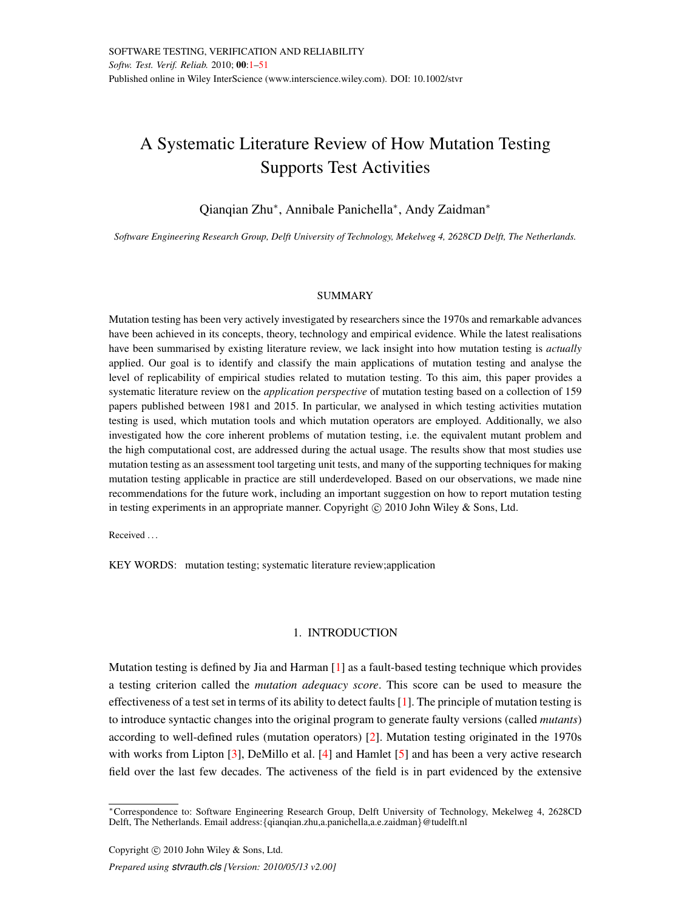# <span id="page-0-0"></span>A Systematic Literature Review of How Mutation Testing Supports Test Activities

## Qianqian Zhu<sup>\*</sup>, Annibale Panichella<sup>\*</sup>, Andy Zaidman<sup>\*</sup>

*Software Engineering Research Group, Delft University of Technology, Mekelweg 4, 2628CD Delft, The Netherlands.*

### **SUMMARY**

Mutation testing has been very actively investigated by researchers since the 1970s and remarkable advances have been achieved in its concepts, theory, technology and empirical evidence. While the latest realisations have been summarised by existing literature review, we lack insight into how mutation testing is *actually* applied. Our goal is to identify and classify the main applications of mutation testing and analyse the level of replicability of empirical studies related to mutation testing. To this aim, this paper provides a systematic literature review on the *application perspective* of mutation testing based on a collection of 159 papers published between 1981 and 2015. In particular, we analysed in which testing activities mutation testing is used, which mutation tools and which mutation operators are employed. Additionally, we also investigated how the core inherent problems of mutation testing, i.e. the equivalent mutant problem and the high computational cost, are addressed during the actual usage. The results show that most studies use mutation testing as an assessment tool targeting unit tests, and many of the supporting techniques for making mutation testing applicable in practice are still underdeveloped. Based on our observations, we made nine recommendations for the future work, including an important suggestion on how to report mutation testing in testing experiments in an appropriate manner. Copyright  $\odot$  2010 John Wiley & Sons, Ltd.

Received ...

KEY WORDS: mutation testing; systematic literature review;application

### 1. INTRODUCTION

Mutation testing is defined by Jia and Harman [\[1\]](#page-45-0) as a fault-based testing technique which provides a testing criterion called the *mutation adequacy score*. This score can be used to measure the effectiveness of a test set in terms of its ability to detect faults [\[1\]](#page-45-0). The principle of mutation testing is to introduce syntactic changes into the original program to generate faulty versions (called *mutants*) according to well-defined rules (mutation operators) [\[2\]](#page-45-1). Mutation testing originated in the 1970s with works from Lipton [\[3\]](#page-45-2), DeMillo et al. [\[4\]](#page-45-3) and Hamlet [\[5\]](#page-45-4) and has been a very active research field over the last few decades. The activeness of the field is in part evidenced by the extensive

<sup>⇤</sup>Correspondence to: Software Engineering Research Group, Delft University of Technology, Mekelweg 4, 2628CD Delft, The Netherlands. Email address:*{*qianqian.zhu,a.panichella,a.e.zaidman*}*@tudelft.nl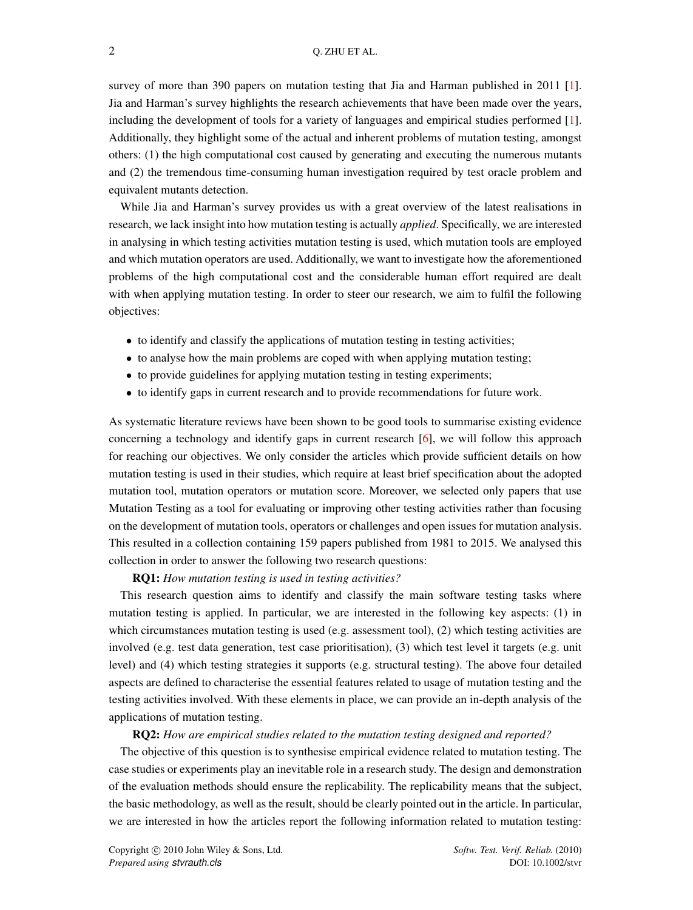survey of more than 390 papers on mutation testing that Jia and Harman published in 2011 [\[1\]](#page-45-0). Jia and Harman's survey highlights the research achievements that have been made over the years, including the development of tools for a variety of languages and empirical studies performed [\[1\]](#page-45-0). Additionally, they highlight some of the actual and inherent problems of mutation testing, amongst others: (1) the high computational cost caused by generating and executing the numerous mutants and (2) the tremendous time-consuming human investigation required by test oracle problem and equivalent mutants detection.

While Jia and Harman's survey provides us with a great overview of the latest realisations in research, we lack insight into how mutation testing is actually *applied*. Specifically, we are interested in analysing in which testing activities mutation testing is used, which mutation tools are employed and which mutation operators are used. Additionally, we want to investigate how the aforementioned problems of the high computational cost and the considerable human effort required are dealt with when applying mutation testing. In order to steer our research, we aim to fulfil the following objectives:

- to identify and classify the applications of mutation testing in testing activities;
- to analyse how the main problems are coped with when applying mutation testing;
- to provide guidelines for applying mutation testing in testing experiments;
- to identify gaps in current research and to provide recommendations for future work.

As systematic literature reviews have been shown to be good tools to summarise existing evidence concerning a technology and identify gaps in current research [\[6\]](#page-45-5), we will follow this approach for reaching our objectives. We only consider the articles which provide sufficient details on how mutation testing is used in their studies, which require at least brief specification about the adopted mutation tool, mutation operators or mutation score. Moreover, we selected only papers that use Mutation Testing as a tool for evaluating or improving other testing activities rather than focusing on the development of mutation tools, operators or challenges and open issues for mutation analysis. This resulted in a collection containing 159 papers published from 1981 to 2015. We analysed this collection in order to answer the following two research questions:

### RQ1: *How mutation testing is used in testing activities?*

This research question aims to identify and classify the main software testing tasks where mutation testing is applied. In particular, we are interested in the following key aspects: (1) in which circumstances mutation testing is used (e.g. assessment tool), (2) which testing activities are involved (e.g. test data generation, test case prioritisation), (3) which test level it targets (e.g. unit level) and (4) which testing strategies it supports (e.g. structural testing). The above four detailed aspects are defined to characterise the essential features related to usage of mutation testing and the testing activities involved. With these elements in place, we can provide an in-depth analysis of the applications of mutation testing.

### RQ2: *How are empirical studies related to the mutation testing designed and reported?*

The objective of this question is to synthesise empirical evidence related to mutation testing. The case studies or experiments play an inevitable role in a research study. The design and demonstration of the evaluation methods should ensure the replicability. The replicability means that the subject, the basic methodology, as well as the result, should be clearly pointed out in the article. In particular, we are interested in how the articles report the following information related to mutation testing: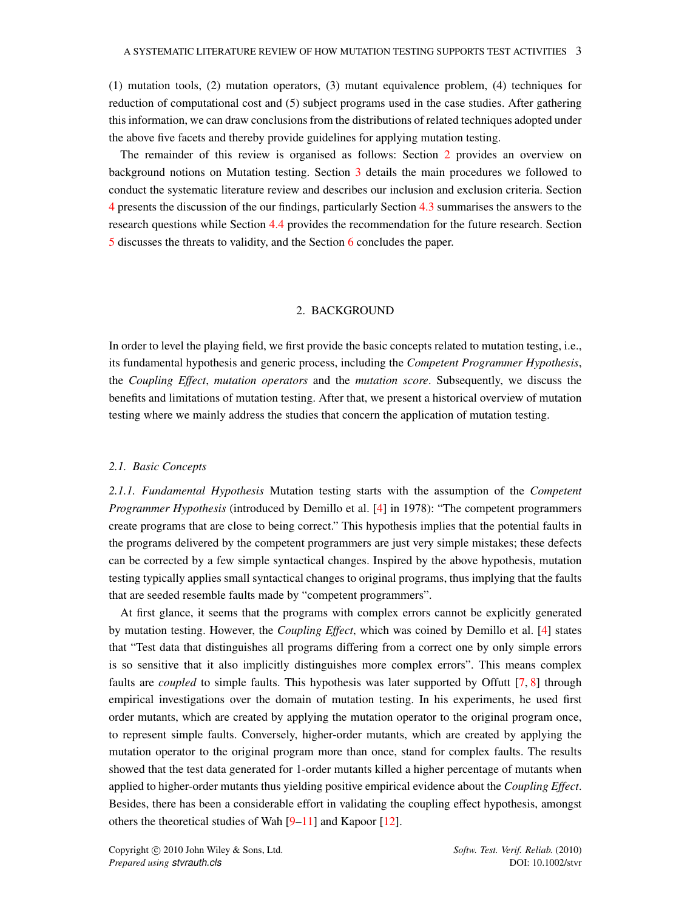(1) mutation tools, (2) mutation operators, (3) mutant equivalence problem, (4) techniques for reduction of computational cost and (5) subject programs used in the case studies. After gathering this information, we can draw conclusions from the distributions of related techniques adopted under the above five facets and thereby provide guidelines for applying mutation testing.

The remainder of this review is organised as follows: Section [2](#page-2-0) provides an overview on background notions on Mutation testing. Section [3](#page-6-0) details the main procedures we followed to conduct the systematic literature review and describes our inclusion and exclusion criteria. Section [4](#page-19-0) presents the discussion of the our findings, particularly Section [4.3](#page-38-0) summarises the answers to the research questions while Section [4.4](#page-39-0) provides the recommendation for the future research. Section [5](#page-41-0) discusses the threats to validity, and the Section [6](#page-43-0) concludes the paper.

### 2. BACKGROUND

<span id="page-2-0"></span>In order to level the playing field, we first provide the basic concepts related to mutation testing, i.e., its fundamental hypothesis and generic process, including the *Competent Programmer Hypothesis*, the *Coupling Effect*, *mutation operators* and the *mutation score*. Subsequently, we discuss the benefits and limitations of mutation testing. After that, we present a historical overview of mutation testing where we mainly address the studies that concern the application of mutation testing.

### *2.1. Basic Concepts*

*2.1.1. Fundamental Hypothesis* Mutation testing starts with the assumption of the *Competent Programmer Hypothesis* (introduced by Demillo et al. [\[4\]](#page-45-3) in 1978): "The competent programmers create programs that are close to being correct." This hypothesis implies that the potential faults in the programs delivered by the competent programmers are just very simple mistakes; these defects can be corrected by a few simple syntactical changes. Inspired by the above hypothesis, mutation testing typically applies small syntactical changes to original programs, thus implying that the faults that are seeded resemble faults made by "competent programmers".

At first glance, it seems that the programs with complex errors cannot be explicitly generated by mutation testing. However, the *Coupling Effect*, which was coined by Demillo et al. [\[4\]](#page-45-3) states that "Test data that distinguishes all programs differing from a correct one by only simple errors is so sensitive that it also implicitly distinguishes more complex errors". This means complex faults are *coupled* to simple faults. This hypothesis was later supported by Offutt [\[7,](#page-45-6) [8\]](#page-45-7) through empirical investigations over the domain of mutation testing. In his experiments, he used first order mutants, which are created by applying the mutation operator to the original program once, to represent simple faults. Conversely, higher-order mutants, which are created by applying the mutation operator to the original program more than once, stand for complex faults. The results showed that the test data generated for 1-order mutants killed a higher percentage of mutants when applied to higher-order mutants thus yielding positive empirical evidence about the *Coupling Effect*. Besides, there has been a considerable effort in validating the coupling effect hypothesis, amongst others the theoretical studies of Wah  $[9-11]$  $[9-11]$  and Kapoor [\[12\]](#page-45-10).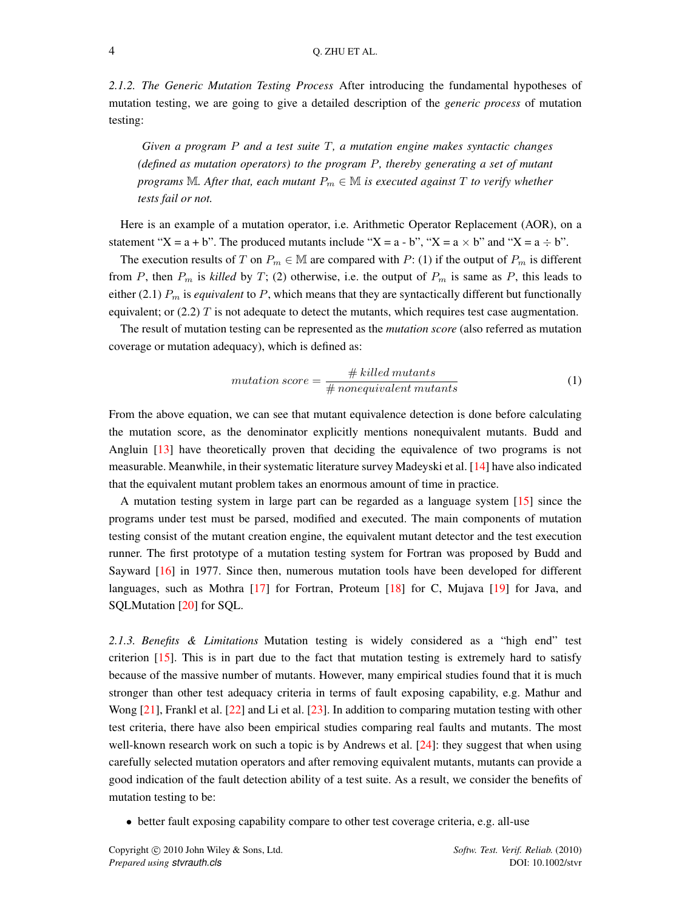*2.1.2. The Generic Mutation Testing Process* After introducing the fundamental hypotheses of mutation testing, we are going to give a detailed description of the *generic process* of mutation testing:

*Given a program P and a test suite T, a mutation engine makes syntactic changes (defined as mutation operators) to the program P, thereby generating a set of mutant programs*  $M$ *. After that, each mutant*  $P_m \in M$  *is executed against*  $T$  *to verify whether tests fail or not.*

Here is an example of a mutation operator, i.e. Arithmetic Operator Replacement (AOR), on a statement "X = a + b". The produced mutants include "X = a - b", "X = a  $\times$  b" and "X = a  $\div$  b".

The execution results of *T* on  $P_m \in \mathbb{M}$  are compared with *P*: (1) if the output of  $P_m$  is different from *P*, then  $P_m$  is *killed* by *T*; (2) otherwise, i.e. the output of  $P_m$  is same as *P*, this leads to either (2.1) *P<sup>m</sup>* is *equivalent* to *P*, which means that they are syntactically different but functionally equivalent; or  $(2.2)$  *T* is not adequate to detect the mutants, which requires test case augmentation.

The result of mutation testing can be represented as the *mutation score* (also referred as mutation coverage or mutation adequacy), which is defined as:

$$
mutation score = \frac{\# killed \, mutants}{\# nonequivalent \, mutants}
$$
\n<sup>(1)</sup>

From the above equation, we can see that mutant equivalence detection is done before calculating the mutation score, as the denominator explicitly mentions nonequivalent mutants. Budd and Angluin [\[13\]](#page-45-11) have theoretically proven that deciding the equivalence of two programs is not measurable. Meanwhile, in their systematic literature survey Madeyski et al. [\[14\]](#page-45-12) have also indicated that the equivalent mutant problem takes an enormous amount of time in practice.

A mutation testing system in large part can be regarded as a language system [\[15\]](#page-45-13) since the programs under test must be parsed, modified and executed. The main components of mutation testing consist of the mutant creation engine, the equivalent mutant detector and the test execution runner. The first prototype of a mutation testing system for Fortran was proposed by Budd and Sayward [\[16\]](#page-45-14) in 1977. Since then, numerous mutation tools have been developed for different languages, such as Mothra [\[17\]](#page-45-15) for Fortran, Proteum [\[18\]](#page-45-16) for C, Mujava [\[19\]](#page-45-17) for Java, and SQLMutation [\[20\]](#page-45-18) for SQL.

*2.1.3. Benefits & Limitations* Mutation testing is widely considered as a "high end" test criterion [\[15\]](#page-45-13). This is in part due to the fact that mutation testing is extremely hard to satisfy because of the massive number of mutants. However, many empirical studies found that it is much stronger than other test adequacy criteria in terms of fault exposing capability, e.g. Mathur and Wong [\[21\]](#page-45-19), Frankl et al. [\[22\]](#page-45-20) and Li et al. [\[23\]](#page-45-21). In addition to comparing mutation testing with other test criteria, there have also been empirical studies comparing real faults and mutants. The most well-known research work on such a topic is by Andrews et al. [\[24\]](#page-45-22): they suggest that when using carefully selected mutation operators and after removing equivalent mutants, mutants can provide a good indication of the fault detection ability of a test suite. As a result, we consider the benefits of mutation testing to be:

• better fault exposing capability compare to other test coverage criteria, e.g. all-use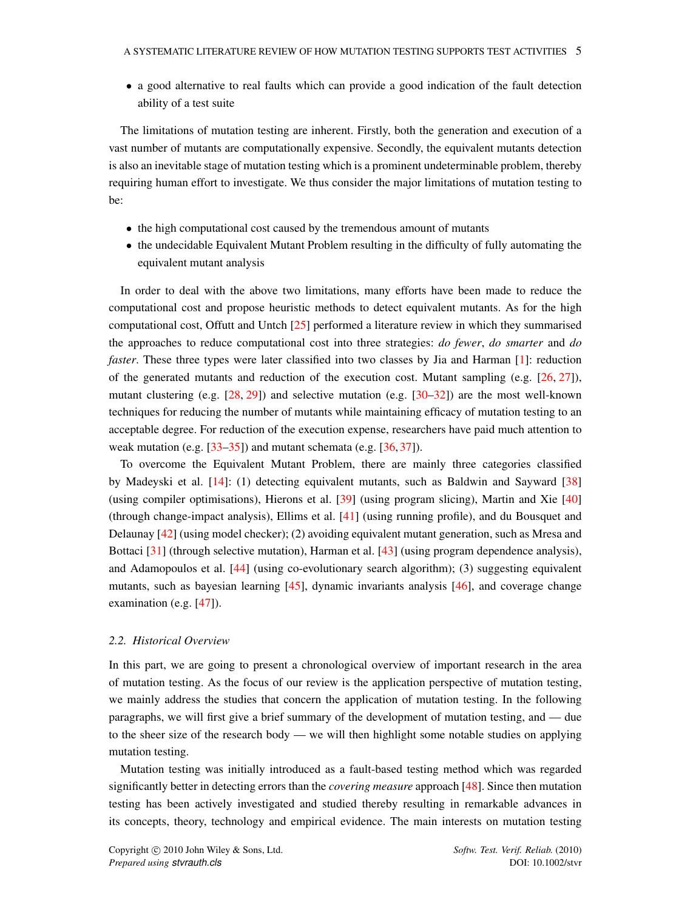• a good alternative to real faults which can provide a good indication of the fault detection ability of a test suite

The limitations of mutation testing are inherent. Firstly, both the generation and execution of a vast number of mutants are computationally expensive. Secondly, the equivalent mutants detection is also an inevitable stage of mutation testing which is a prominent undeterminable problem, thereby requiring human effort to investigate. We thus consider the major limitations of mutation testing to be:

- the high computational cost caused by the tremendous amount of mutants
- the undecidable Equivalent Mutant Problem resulting in the difficulty of fully automating the equivalent mutant analysis

In order to deal with the above two limitations, many efforts have been made to reduce the computational cost and propose heuristic methods to detect equivalent mutants. As for the high computational cost, Offutt and Untch [\[25\]](#page-45-23) performed a literature review in which they summarised the approaches to reduce computational cost into three strategies: *do fewer*, *do smarter* and *do faster*. These three types were later classified into two classes by Jia and Harman [\[1\]](#page-45-0): reduction of the generated mutants and reduction of the execution cost. Mutant sampling (e.g. [\[26,](#page-45-24) [27\]](#page-45-25)), mutant clustering (e.g.  $[28, 29]$  $[28, 29]$  $[28, 29]$ ) and selective mutation (e.g.  $[30-32]$  $[30-32]$ ) are the most well-known techniques for reducing the number of mutants while maintaining efficacy of mutation testing to an acceptable degree. For reduction of the execution expense, researchers have paid much attention to weak mutation (e.g. [\[33](#page-46-1)[–35\]](#page-46-2)) and mutant schemata (e.g. [\[36,](#page-46-3) [37\]](#page-46-4)).

To overcome the Equivalent Mutant Problem, there are mainly three categories classified by Madeyski et al. [\[14\]](#page-45-12): (1) detecting equivalent mutants, such as Baldwin and Sayward [\[38\]](#page-46-5) (using compiler optimisations), Hierons et al. [\[39\]](#page-46-6) (using program slicing), Martin and Xie [\[40\]](#page-46-7) (through change-impact analysis), Ellims et al. [\[41\]](#page-46-8) (using running profile), and du Bousquet and Delaunay [\[42\]](#page-46-9) (using model checker); (2) avoiding equivalent mutant generation, such as Mresa and Bottaci [\[31\]](#page-46-10) (through selective mutation), Harman et al. [\[43\]](#page-46-11) (using program dependence analysis), and Adamopoulos et al. [\[44\]](#page-46-12) (using co-evolutionary search algorithm); (3) suggesting equivalent mutants, such as bayesian learning [\[45\]](#page-46-13), dynamic invariants analysis [\[46\]](#page-46-14), and coverage change examination (e.g. [\[47\]](#page-46-15)).

### *2.2. Historical Overview*

In this part, we are going to present a chronological overview of important research in the area of mutation testing. As the focus of our review is the application perspective of mutation testing, we mainly address the studies that concern the application of mutation testing. In the following paragraphs, we will first give a brief summary of the development of mutation testing, and — due to the sheer size of the research body — we will then highlight some notable studies on applying mutation testing.

Mutation testing was initially introduced as a fault-based testing method which was regarded significantly better in detecting errors than the *covering measure* approach [\[48\]](#page-46-16). Since then mutation testing has been actively investigated and studied thereby resulting in remarkable advances in its concepts, theory, technology and empirical evidence. The main interests on mutation testing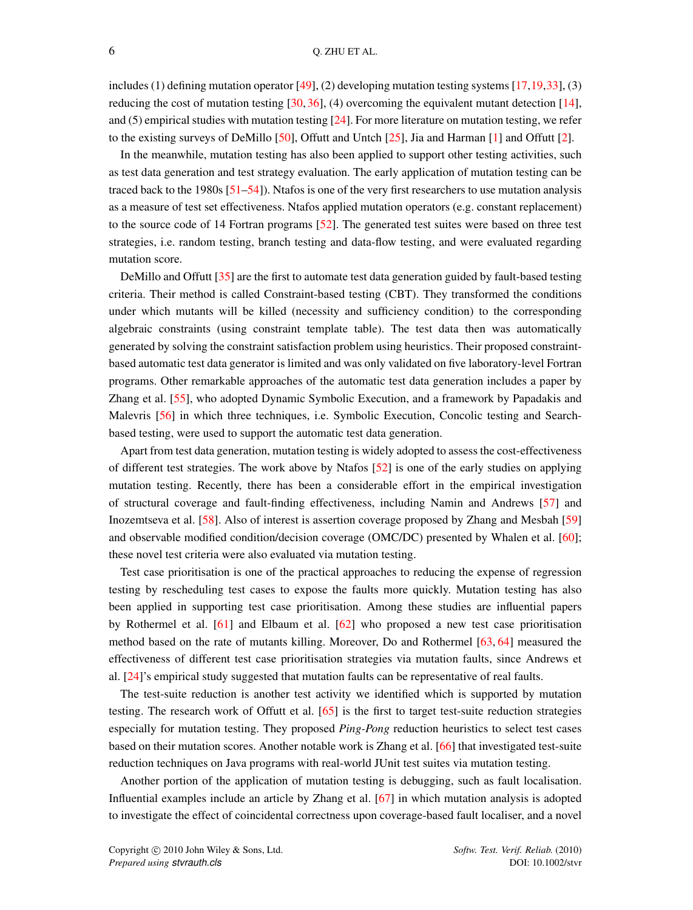includes (1) defining mutation operator [\[49\]](#page-46-17), (2) developing mutation testing systems [\[17](#page-45-15)[,19,](#page-45-17)[33\]](#page-46-1), (3) reducing the cost of mutation testing  $[30, 36]$  $[30, 36]$  $[30, 36]$ , (4) overcoming the equivalent mutant detection  $[14]$ , and (5) empirical studies with mutation testing [\[24\]](#page-45-22). For more literature on mutation testing, we refer to the existing surveys of DeMillo [\[50\]](#page-46-18), Offutt and Untch [\[25\]](#page-45-23), Jia and Harman [\[1\]](#page-45-0) and Offutt [\[2\]](#page-45-1).

In the meanwhile, mutation testing has also been applied to support other testing activities, such as test data generation and test strategy evaluation. The early application of mutation testing can be traced back to the 1980s [\[51–](#page-46-19)[54\]](#page-46-20)). Ntafos is one of the very first researchers to use mutation analysis as a measure of test set effectiveness. Ntafos applied mutation operators (e.g. constant replacement) to the source code of 14 Fortran programs [\[52\]](#page-46-21). The generated test suites were based on three test strategies, i.e. random testing, branch testing and data-flow testing, and were evaluated regarding mutation score.

DeMillo and Offutt [\[35\]](#page-46-2) are the first to automate test data generation guided by fault-based testing criteria. Their method is called Constraint-based testing (CBT). They transformed the conditions under which mutants will be killed (necessity and sufficiency condition) to the corresponding algebraic constraints (using constraint template table). The test data then was automatically generated by solving the constraint satisfaction problem using heuristics. Their proposed constraintbased automatic test data generator is limited and was only validated on five laboratory-level Fortran programs. Other remarkable approaches of the automatic test data generation includes a paper by Zhang et al. [\[55\]](#page-46-22), who adopted Dynamic Symbolic Execution, and a framework by Papadakis and Malevris [\[56\]](#page-46-23) in which three techniques, i.e. Symbolic Execution, Concolic testing and Searchbased testing, were used to support the automatic test data generation.

Apart from test data generation, mutation testing is widely adopted to assess the cost-effectiveness of different test strategies. The work above by Ntafos [\[52\]](#page-46-21) is one of the early studies on applying mutation testing. Recently, there has been a considerable effort in the empirical investigation of structural coverage and fault-finding effectiveness, including Namin and Andrews [\[57\]](#page-46-24) and Inozemtseva et al. [\[58\]](#page-46-25). Also of interest is assertion coverage proposed by Zhang and Mesbah [\[59\]](#page-47-0) and observable modified condition/decision coverage (OMC/DC) presented by Whalen et al. [\[60\]](#page-47-1); these novel test criteria were also evaluated via mutation testing.

Test case prioritisation is one of the practical approaches to reducing the expense of regression testing by rescheduling test cases to expose the faults more quickly. Mutation testing has also been applied in supporting test case prioritisation. Among these studies are influential papers by Rothermel et al. [\[61\]](#page-47-2) and Elbaum et al. [\[62\]](#page-47-3) who proposed a new test case prioritisation method based on the rate of mutants killing. Moreover, Do and Rothermel [\[63,](#page-47-4) [64\]](#page-47-5) measured the effectiveness of different test case prioritisation strategies via mutation faults, since Andrews et al. [\[24\]](#page-45-22)'s empirical study suggested that mutation faults can be representative of real faults.

The test-suite reduction is another test activity we identified which is supported by mutation testing. The research work of Offutt et al. [\[65\]](#page-47-6) is the first to target test-suite reduction strategies especially for mutation testing. They proposed *Ping-Pong* reduction heuristics to select test cases based on their mutation scores. Another notable work is Zhang et al. [\[66\]](#page-47-7) that investigated test-suite reduction techniques on Java programs with real-world JUnit test suites via mutation testing.

Another portion of the application of mutation testing is debugging, such as fault localisation. Influential examples include an article by Zhang et al. [\[67\]](#page-47-8) in which mutation analysis is adopted to investigate the effect of coincidental correctness upon coverage-based fault localiser, and a novel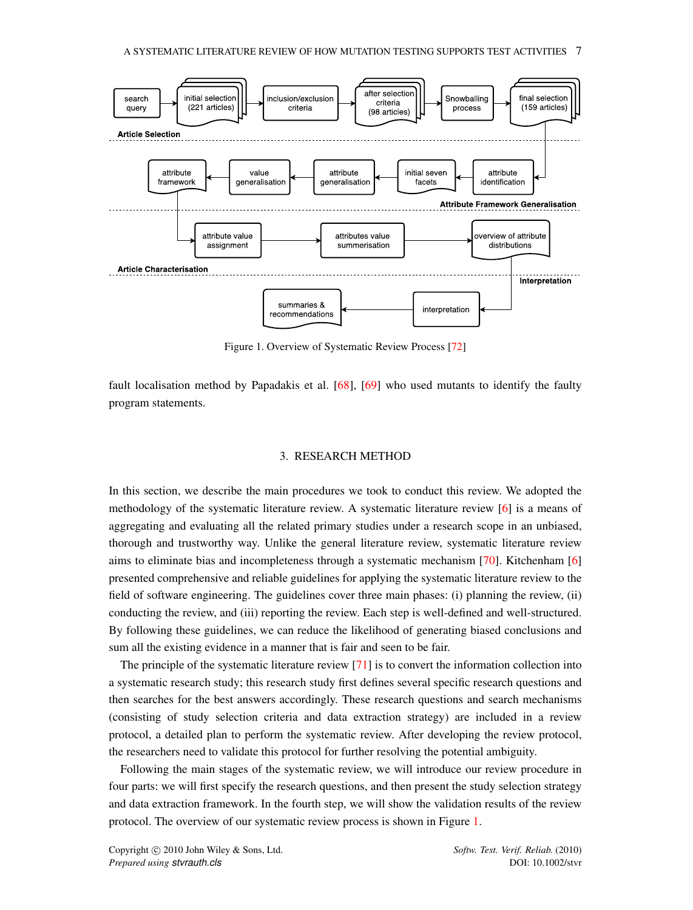<span id="page-6-1"></span>

Figure 1. Overview of Systematic Review Process [\[72\]](#page-47-9)

fault localisation method by Papadakis et al. [\[68\]](#page-47-10), [\[69\]](#page-47-11) who used mutants to identify the faulty program statements.

### 3. RESEARCH METHOD

<span id="page-6-0"></span>In this section, we describe the main procedures we took to conduct this review. We adopted the methodology of the systematic literature review. A systematic literature review [\[6\]](#page-45-5) is a means of aggregating and evaluating all the related primary studies under a research scope in an unbiased, thorough and trustworthy way. Unlike the general literature review, systematic literature review aims to eliminate bias and incompleteness through a systematic mechanism [\[70\]](#page-47-12). Kitchenham [\[6\]](#page-45-5) presented comprehensive and reliable guidelines for applying the systematic literature review to the field of software engineering. The guidelines cover three main phases: (i) planning the review, (ii) conducting the review, and (iii) reporting the review. Each step is well-defined and well-structured. By following these guidelines, we can reduce the likelihood of generating biased conclusions and sum all the existing evidence in a manner that is fair and seen to be fair.

The principle of the systematic literature review [\[71\]](#page-47-13) is to convert the information collection into a systematic research study; this research study first defines several specific research questions and then searches for the best answers accordingly. These research questions and search mechanisms (consisting of study selection criteria and data extraction strategy) are included in a review protocol, a detailed plan to perform the systematic review. After developing the review protocol, the researchers need to validate this protocol for further resolving the potential ambiguity.

Following the main stages of the systematic review, we will introduce our review procedure in four parts: we will first specify the research questions, and then present the study selection strategy and data extraction framework. In the fourth step, we will show the validation results of the review protocol. The overview of our systematic review process is shown in Figure [1.](#page-6-1)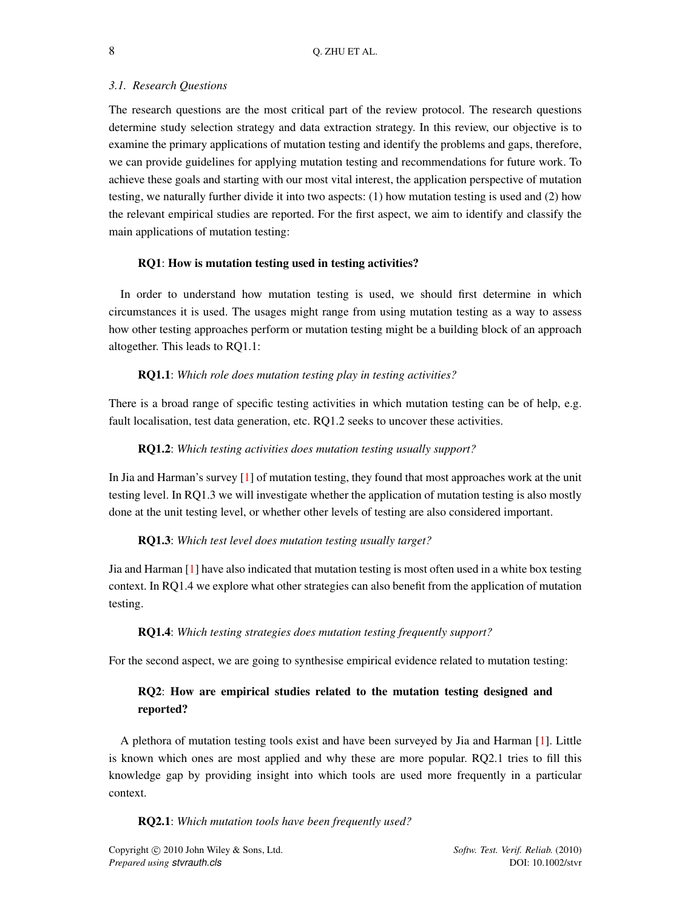### *3.1. Research Questions*

The research questions are the most critical part of the review protocol. The research questions determine study selection strategy and data extraction strategy. In this review, our objective is to examine the primary applications of mutation testing and identify the problems and gaps, therefore, we can provide guidelines for applying mutation testing and recommendations for future work. To achieve these goals and starting with our most vital interest, the application perspective of mutation testing, we naturally further divide it into two aspects: (1) how mutation testing is used and (2) how the relevant empirical studies are reported. For the first aspect, we aim to identify and classify the main applications of mutation testing:

### RQ1: How is mutation testing used in testing activities?

In order to understand how mutation testing is used, we should first determine in which circumstances it is used. The usages might range from using mutation testing as a way to assess how other testing approaches perform or mutation testing might be a building block of an approach altogether. This leads to RQ1.1:

### RQ1.1: *Which role does mutation testing play in testing activities?*

There is a broad range of specific testing activities in which mutation testing can be of help, e.g. fault localisation, test data generation, etc. RQ1.2 seeks to uncover these activities.

### RQ1.2: *Which testing activities does mutation testing usually support?*

In Jia and Harman's survey [\[1\]](#page-45-0) of mutation testing, they found that most approaches work at the unit testing level. In RQ1.3 we will investigate whether the application of mutation testing is also mostly done at the unit testing level, or whether other levels of testing are also considered important.

### RQ1.3: *Which test level does mutation testing usually target?*

Jia and Harman [\[1\]](#page-45-0) have also indicated that mutation testing is most often used in a white box testing context. In RQ1.4 we explore what other strategies can also benefit from the application of mutation testing.

#### RQ1.4: *Which testing strategies does mutation testing frequently support?*

For the second aspect, we are going to synthesise empirical evidence related to mutation testing:

# RQ2: How are empirical studies related to the mutation testing designed and reported?

A plethora of mutation testing tools exist and have been surveyed by Jia and Harman [\[1\]](#page-45-0). Little is known which ones are most applied and why these are more popular. RQ2.1 tries to fill this knowledge gap by providing insight into which tools are used more frequently in a particular context.

RQ2.1: *Which mutation tools have been frequently used?*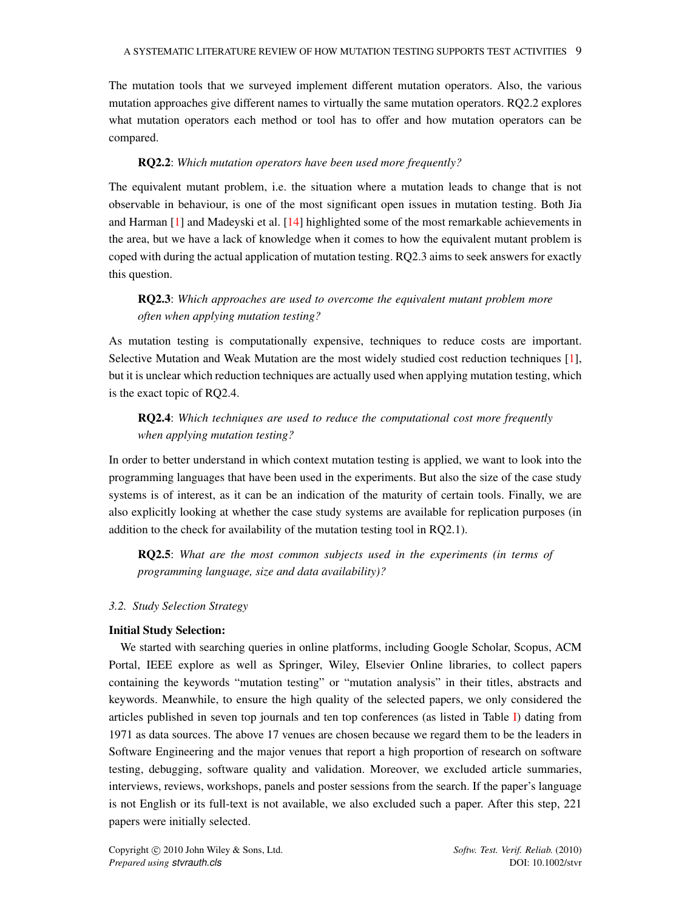The mutation tools that we surveyed implement different mutation operators. Also, the various mutation approaches give different names to virtually the same mutation operators. RQ2.2 explores what mutation operators each method or tool has to offer and how mutation operators can be compared.

### RQ2.2: *Which mutation operators have been used more frequently?*

The equivalent mutant problem, i.e. the situation where a mutation leads to change that is not observable in behaviour, is one of the most significant open issues in mutation testing. Both Jia and Harman [\[1\]](#page-45-0) and Madeyski et al. [\[14\]](#page-45-12) highlighted some of the most remarkable achievements in the area, but we have a lack of knowledge when it comes to how the equivalent mutant problem is coped with during the actual application of mutation testing. RQ2.3 aims to seek answers for exactly this question.

# RQ2.3: *Which approaches are used to overcome the equivalent mutant problem more often when applying mutation testing?*

As mutation testing is computationally expensive, techniques to reduce costs are important. Selective Mutation and Weak Mutation are the most widely studied cost reduction techniques [\[1\]](#page-45-0), but it is unclear which reduction techniques are actually used when applying mutation testing, which is the exact topic of RQ2.4.

# RQ2.4: *Which techniques are used to reduce the computational cost more frequently when applying mutation testing?*

In order to better understand in which context mutation testing is applied, we want to look into the programming languages that have been used in the experiments. But also the size of the case study systems is of interest, as it can be an indication of the maturity of certain tools. Finally, we are also explicitly looking at whether the case study systems are available for replication purposes (in addition to the check for availability of the mutation testing tool in RQ2.1).

RQ2.5: *What are the most common subjects used in the experiments (in terms of programming language, size and data availability)?*

### *3.2. Study Selection Strategy*

### Initial Study Selection:

We started with searching queries in online platforms, including Google Scholar, Scopus, ACM Portal, IEEE explore as well as Springer, Wiley, Elsevier Online libraries, to collect papers containing the keywords "mutation testing" or "mutation analysis" in their titles, abstracts and keywords. Meanwhile, to ensure the high quality of the selected papers, we only considered the articles published in seven top journals and ten top conferences (as listed in Table [I\)](#page-9-0) dating from 1971 as data sources. The above 17 venues are chosen because we regard them to be the leaders in Software Engineering and the major venues that report a high proportion of research on software testing, debugging, software quality and validation. Moreover, we excluded article summaries, interviews, reviews, workshops, panels and poster sessions from the search. If the paper's language is not English or its full-text is not available, we also excluded such a paper. After this step, 221 papers were initially selected.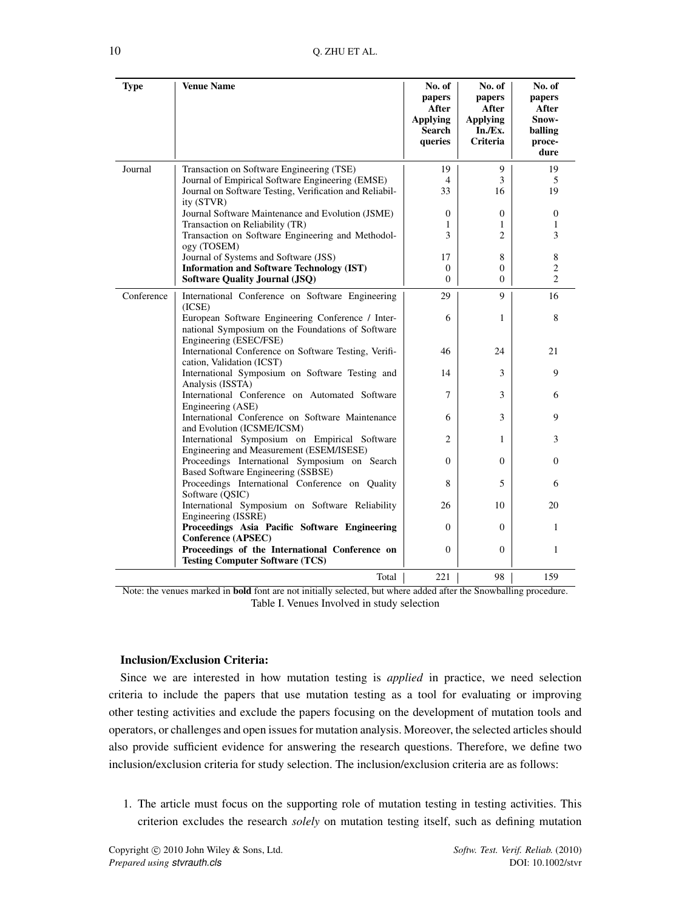<span id="page-9-0"></span>

| <b>Type</b> | <b>Venue Name</b>                                                                                                                | No. of<br>papers<br>After<br><b>Applying</b><br><b>Search</b><br>queries | No. of<br>papers<br>After<br><b>Applying</b><br>In./Ex.<br><b>Criteria</b> | No. of<br>papers<br>After<br>Snow-<br>balling<br>proce-<br>dure |
|-------------|----------------------------------------------------------------------------------------------------------------------------------|--------------------------------------------------------------------------|----------------------------------------------------------------------------|-----------------------------------------------------------------|
| Journal     | Transaction on Software Engineering (TSE)                                                                                        | 19                                                                       | 9                                                                          | 19                                                              |
|             | Journal of Empirical Software Engineering (EMSE)<br>Journal on Software Testing, Verification and Reliabil-<br>ity (STVR)        | 4<br>33                                                                  | 3<br>16                                                                    | 5<br>19                                                         |
|             | Journal Software Maintenance and Evolution (JSME)                                                                                | $\mathbf{0}$                                                             | 0                                                                          | $\theta$                                                        |
|             | Transaction on Reliability (TR)<br>Transaction on Software Engineering and Methodol-<br>ogy (TOSEM)                              | 1<br>3                                                                   | 1<br>2                                                                     | 1<br>3                                                          |
|             | Journal of Systems and Software (JSS)                                                                                            | 17                                                                       | 8                                                                          | 8                                                               |
|             | <b>Information and Software Technology (IST)</b>                                                                                 | $\mathbf{0}$                                                             | 0                                                                          | $\overline{c}$                                                  |
|             | <b>Software Quality Journal (JSQ)</b>                                                                                            | $\Omega$                                                                 | 0                                                                          | $\overline{2}$                                                  |
| Conference  | International Conference on Software Engineering<br>(ICSE)                                                                       | 29                                                                       | 9                                                                          | 16                                                              |
|             | European Software Engineering Conference / Inter-<br>national Symposium on the Foundations of Software<br>Engineering (ESEC/FSE) | 6                                                                        | 1                                                                          | 8                                                               |
|             | International Conference on Software Testing, Verifi-<br>cation, Validation (ICST)                                               | 46                                                                       | 24                                                                         | 21                                                              |
|             | International Symposium on Software Testing and<br>Analysis (ISSTA)                                                              | 14                                                                       | 3                                                                          | 9                                                               |
|             | International Conference on Automated Software<br>Engineering (ASE)                                                              | 7                                                                        | 3                                                                          | 6                                                               |
|             | International Conference on Software Maintenance<br>and Evolution (ICSME/ICSM)                                                   | 6                                                                        | 3                                                                          | 9                                                               |
|             | International Symposium on Empirical Software<br>Engineering and Measurement (ESEM/ISESE)                                        | 2                                                                        | 1                                                                          | 3                                                               |
|             | Proceedings International Symposium on Search<br>Based Software Engineering (SSBSE)                                              | $\Omega$                                                                 | $\Omega$                                                                   | $\Omega$                                                        |
|             | Proceedings International Conference on Quality<br>Software (QSIC)                                                               | 8                                                                        | 5                                                                          | 6                                                               |
|             | International Symposium on Software Reliability<br>Engineering (ISSRE)                                                           | 26                                                                       | 10                                                                         | 20                                                              |
|             | Proceedings Asia Pacific Software Engineering<br>Conference (APSEC)                                                              | $\mathbf{0}$                                                             | $\overline{0}$                                                             | $\mathbf{1}$                                                    |
|             | Proceedings of the International Conference on<br><b>Testing Computer Software (TCS)</b>                                         | $\mathbf{0}$                                                             | $\mathbf{0}$                                                               | $\mathbf{1}$                                                    |
|             | Total                                                                                                                            | 221                                                                      | 98                                                                         | 159                                                             |

Note: the venues marked in bold font are not initially selected, but where added after the Snowballing procedure. Table I. Venues Involved in study selection

### Inclusion/Exclusion Criteria:

Since we are interested in how mutation testing is *applied* in practice, we need selection criteria to include the papers that use mutation testing as a tool for evaluating or improving other testing activities and exclude the papers focusing on the development of mutation tools and operators, or challenges and open issues for mutation analysis. Moreover, the selected articles should also provide sufficient evidence for answering the research questions. Therefore, we define two inclusion/exclusion criteria for study selection. The inclusion/exclusion criteria are as follows:

1. The article must focus on the supporting role of mutation testing in testing activities. This criterion excludes the research *solely* on mutation testing itself, such as defining mutation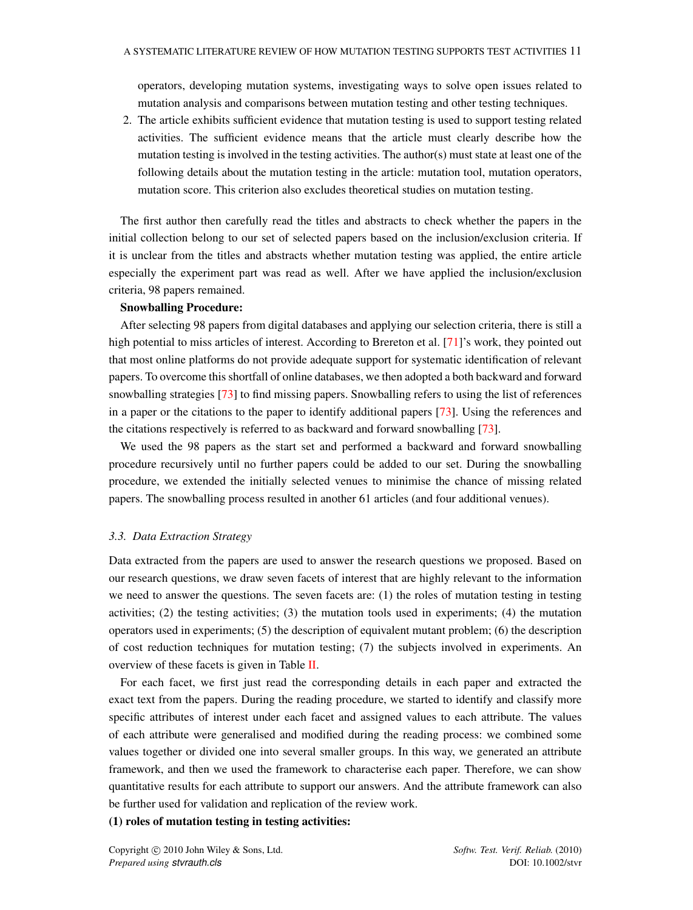operators, developing mutation systems, investigating ways to solve open issues related to mutation analysis and comparisons between mutation testing and other testing techniques.

2. The article exhibits sufficient evidence that mutation testing is used to support testing related activities. The sufficient evidence means that the article must clearly describe how the mutation testing is involved in the testing activities. The author(s) must state at least one of the following details about the mutation testing in the article: mutation tool, mutation operators, mutation score. This criterion also excludes theoretical studies on mutation testing.

The first author then carefully read the titles and abstracts to check whether the papers in the initial collection belong to our set of selected papers based on the inclusion/exclusion criteria. If it is unclear from the titles and abstracts whether mutation testing was applied, the entire article especially the experiment part was read as well. After we have applied the inclusion/exclusion criteria, 98 papers remained.

### Snowballing Procedure:

After selecting 98 papers from digital databases and applying our selection criteria, there is still a high potential to miss articles of interest. According to Brereton et al. [\[71\]](#page-47-13)'s work, they pointed out that most online platforms do not provide adequate support for systematic identification of relevant papers. To overcome this shortfall of online databases, we then adopted a both backward and forward snowballing strategies [\[73\]](#page-47-14) to find missing papers. Snowballing refers to using the list of references in a paper or the citations to the paper to identify additional papers [\[73\]](#page-47-14). Using the references and the citations respectively is referred to as backward and forward snowballing [\[73\]](#page-47-14).

We used the 98 papers as the start set and performed a backward and forward snowballing procedure recursively until no further papers could be added to our set. During the snowballing procedure, we extended the initially selected venues to minimise the chance of missing related papers. The snowballing process resulted in another 61 articles (and four additional venues).

### <span id="page-10-0"></span>*3.3. Data Extraction Strategy*

Data extracted from the papers are used to answer the research questions we proposed. Based on our research questions, we draw seven facets of interest that are highly relevant to the information we need to answer the questions. The seven facets are: (1) the roles of mutation testing in testing activities; (2) the testing activities; (3) the mutation tools used in experiments; (4) the mutation operators used in experiments; (5) the description of equivalent mutant problem; (6) the description of cost reduction techniques for mutation testing; (7) the subjects involved in experiments. An overview of these facets is given in Table [II.](#page-17-0)

For each facet, we first just read the corresponding details in each paper and extracted the exact text from the papers. During the reading procedure, we started to identify and classify more specific attributes of interest under each facet and assigned values to each attribute. The values of each attribute were generalised and modified during the reading process: we combined some values together or divided one into several smaller groups. In this way, we generated an attribute framework, and then we used the framework to characterise each paper. Therefore, we can show quantitative results for each attribute to support our answers. And the attribute framework can also be further used for validation and replication of the review work.

### (1) roles of mutation testing in testing activities: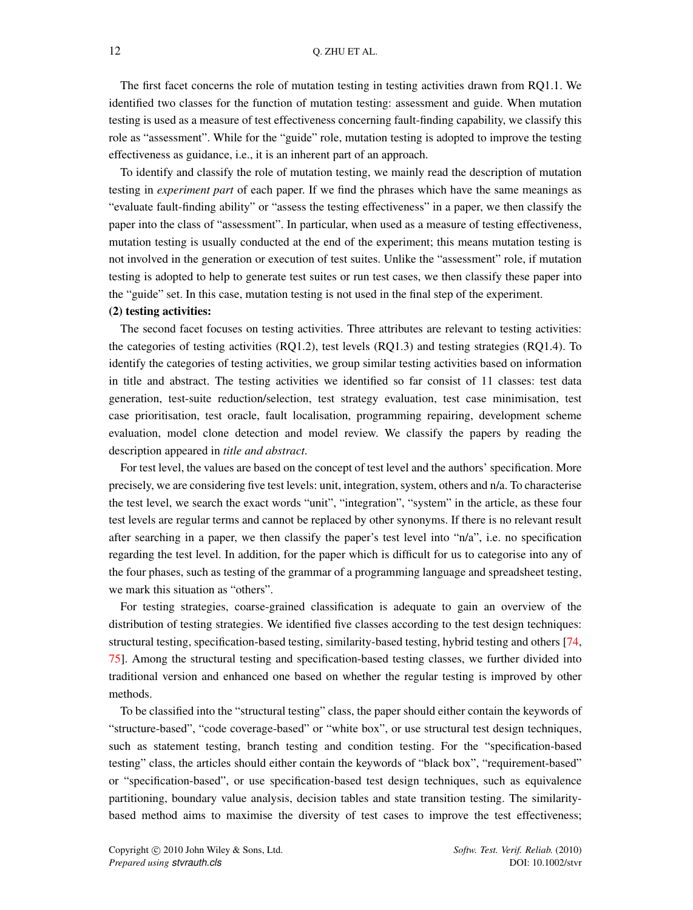The first facet concerns the role of mutation testing in testing activities drawn from RQ1.1. We identified two classes for the function of mutation testing: assessment and guide. When mutation testing is used as a measure of test effectiveness concerning fault-finding capability, we classify this role as "assessment". While for the "guide" role, mutation testing is adopted to improve the testing effectiveness as guidance, i.e., it is an inherent part of an approach.

To identify and classify the role of mutation testing, we mainly read the description of mutation testing in *experiment part* of each paper. If we find the phrases which have the same meanings as "evaluate fault-finding ability" or "assess the testing effectiveness" in a paper, we then classify the paper into the class of "assessment". In particular, when used as a measure of testing effectiveness, mutation testing is usually conducted at the end of the experiment; this means mutation testing is not involved in the generation or execution of test suites. Unlike the "assessment" role, if mutation testing is adopted to help to generate test suites or run test cases, we then classify these paper into the "guide" set. In this case, mutation testing is not used in the final step of the experiment.

### (2) testing activities:

The second facet focuses on testing activities. Three attributes are relevant to testing activities: the categories of testing activities (RQ1.2), test levels (RQ1.3) and testing strategies (RQ1.4). To identify the categories of testing activities, we group similar testing activities based on information in title and abstract. The testing activities we identified so far consist of 11 classes: test data generation, test-suite reduction/selection, test strategy evaluation, test case minimisation, test case prioritisation, test oracle, fault localisation, programming repairing, development scheme evaluation, model clone detection and model review. We classify the papers by reading the description appeared in *title and abstract*.

For test level, the values are based on the concept of test level and the authors' specification. More precisely, we are considering five test levels: unit, integration, system, others and n/a. To characterise the test level, we search the exact words "unit", "integration", "system" in the article, as these four test levels are regular terms and cannot be replaced by other synonyms. If there is no relevant result after searching in a paper, we then classify the paper's test level into "n/a", i.e. no specification regarding the test level. In addition, for the paper which is difficult for us to categorise into any of the four phases, such as testing of the grammar of a programming language and spreadsheet testing, we mark this situation as "others".

For testing strategies, coarse-grained classification is adequate to gain an overview of the distribution of testing strategies. We identified five classes according to the test design techniques: structural testing, specification-based testing, similarity-based testing, hybrid testing and others [\[74,](#page-47-15) [75\]](#page-47-16). Among the structural testing and specification-based testing classes, we further divided into traditional version and enhanced one based on whether the regular testing is improved by other methods.

To be classified into the "structural testing" class, the paper should either contain the keywords of "structure-based", "code coverage-based" or "white box", or use structural test design techniques, such as statement testing, branch testing and condition testing. For the "specification-based testing" class, the articles should either contain the keywords of "black box", "requirement-based" or "specification-based", or use specification-based test design techniques, such as equivalence partitioning, boundary value analysis, decision tables and state transition testing. The similaritybased method aims to maximise the diversity of test cases to improve the test effectiveness;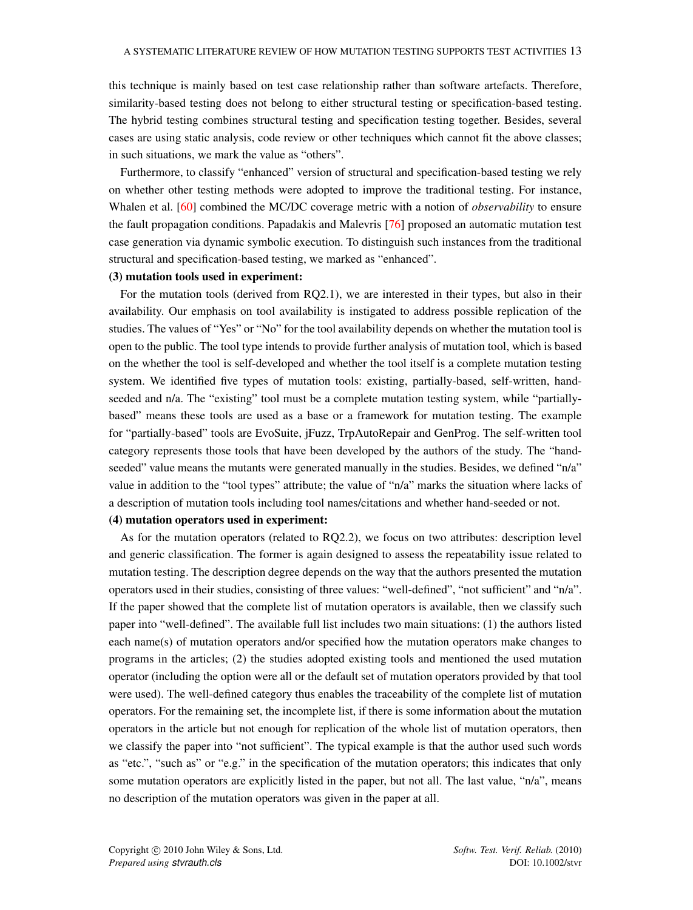this technique is mainly based on test case relationship rather than software artefacts. Therefore, similarity-based testing does not belong to either structural testing or specification-based testing. The hybrid testing combines structural testing and specification testing together. Besides, several cases are using static analysis, code review or other techniques which cannot fit the above classes; in such situations, we mark the value as "others".

Furthermore, to classify "enhanced" version of structural and specification-based testing we rely on whether other testing methods were adopted to improve the traditional testing. For instance, Whalen et al. [\[60\]](#page-47-1) combined the MC/DC coverage metric with a notion of *observability* to ensure the fault propagation conditions. Papadakis and Malevris [\[76\]](#page-47-17) proposed an automatic mutation test case generation via dynamic symbolic execution. To distinguish such instances from the traditional structural and specification-based testing, we marked as "enhanced".

#### (3) mutation tools used in experiment:

For the mutation tools (derived from RQ2.1), we are interested in their types, but also in their availability. Our emphasis on tool availability is instigated to address possible replication of the studies. The values of "Yes" or "No" for the tool availability depends on whether the mutation tool is open to the public. The tool type intends to provide further analysis of mutation tool, which is based on the whether the tool is self-developed and whether the tool itself is a complete mutation testing system. We identified five types of mutation tools: existing, partially-based, self-written, handseeded and n/a. The "existing" tool must be a complete mutation testing system, while "partiallybased" means these tools are used as a base or a framework for mutation testing. The example for "partially-based" tools are EvoSuite, jFuzz, TrpAutoRepair and GenProg. The self-written tool category represents those tools that have been developed by the authors of the study. The "handseeded" value means the mutants were generated manually in the studies. Besides, we defined "n/a" value in addition to the "tool types" attribute; the value of "n/a" marks the situation where lacks of a description of mutation tools including tool names/citations and whether hand-seeded or not.

#### (4) mutation operators used in experiment:

As for the mutation operators (related to RQ2.2), we focus on two attributes: description level and generic classification. The former is again designed to assess the repeatability issue related to mutation testing. The description degree depends on the way that the authors presented the mutation operators used in their studies, consisting of three values: "well-defined", "not sufficient" and "n/a". If the paper showed that the complete list of mutation operators is available, then we classify such paper into "well-defined". The available full list includes two main situations: (1) the authors listed each name(s) of mutation operators and/or specified how the mutation operators make changes to programs in the articles; (2) the studies adopted existing tools and mentioned the used mutation operator (including the option were all or the default set of mutation operators provided by that tool were used). The well-defined category thus enables the traceability of the complete list of mutation operators. For the remaining set, the incomplete list, if there is some information about the mutation operators in the article but not enough for replication of the whole list of mutation operators, then we classify the paper into "not sufficient". The typical example is that the author used such words as "etc.", "such as" or "e.g." in the specification of the mutation operators; this indicates that only some mutation operators are explicitly listed in the paper, but not all. The last value, "n/a", means no description of the mutation operators was given in the paper at all.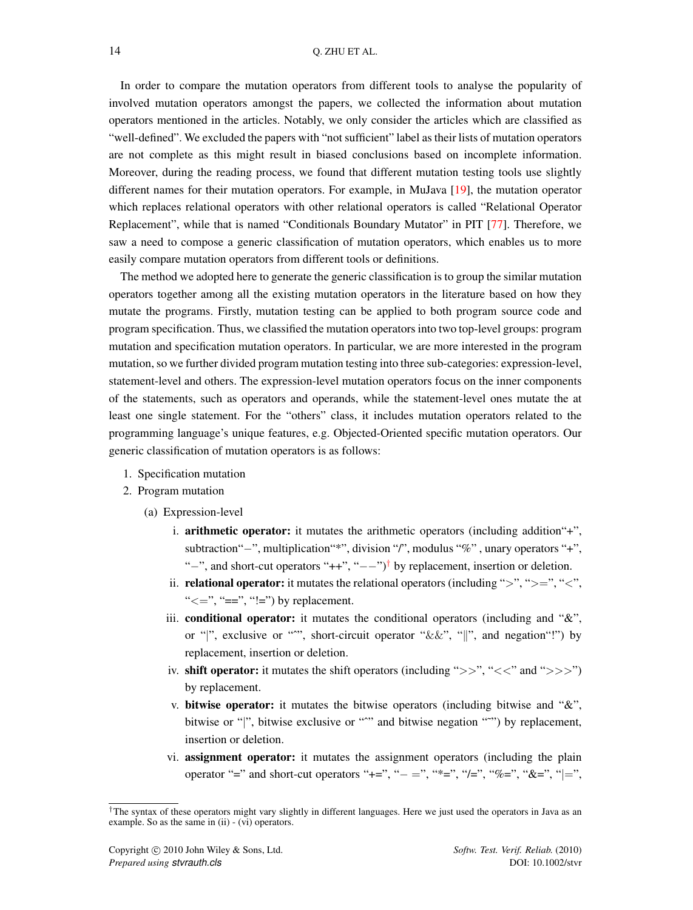In order to compare the mutation operators from different tools to analyse the popularity of involved mutation operators amongst the papers, we collected the information about mutation operators mentioned in the articles. Notably, we only consider the articles which are classified as "well-defined". We excluded the papers with "not sufficient" label as their lists of mutation operators are not complete as this might result in biased conclusions based on incomplete information. Moreover, during the reading process, we found that different mutation testing tools use slightly different names for their mutation operators. For example, in MuJava [\[19\]](#page-45-17), the mutation operator which replaces relational operators with other relational operators is called "Relational Operator Replacement", while that is named "Conditionals Boundary Mutator" in PIT [\[77\]](#page-47-18). Therefore, we saw a need to compose a generic classification of mutation operators, which enables us to more easily compare mutation operators from different tools or definitions.

The method we adopted here to generate the generic classification is to group the similar mutation operators together among all the existing mutation operators in the literature based on how they mutate the programs. Firstly, mutation testing can be applied to both program source code and program specification. Thus, we classified the mutation operators into two top-level groups: program mutation and specification mutation operators. In particular, we are more interested in the program mutation, so we further divided program mutation testing into three sub-categories: expression-level, statement-level and others. The expression-level mutation operators focus on the inner components of the statements, such as operators and operands, while the statement-level ones mutate the at least one single statement. For the "others" class, it includes mutation operators related to the programming language's unique features, e.g. Objected-Oriented specific mutation operators. Our generic classification of mutation operators is as follows:

- 1. Specification mutation
- 2. Program mutation
	- (a) Expression-level
		- i. arithmetic operator: it mutates the arithmetic operators (including addition"+", subtraction"-", multiplication"\*", division "/", modulus "%", unary operators "+", "-", and short-cut operators " $++$ ", " $---$ ")<sup>[†](#page-13-0)</sup> by replacement, insertion or deletion.
		- ii. relational operator: it mutates the relational operators (including "*>*", "*>*=", "*<*", " $\leq$ =", "==", "!=") by replacement.
		- iii. conditional operator: it mutates the conditional operators (including and "&", or "*|*", exclusive or "<sup>\*\*</sup>", short-circuit operator " $\&&\&\",\$  "*||*", and negation"!") by replacement, insertion or deletion.
		- iv. shift operator: it mutates the shift operators (including "*>>*", "*<<*" and "*>>>*") by replacement.
		- v. bitwise operator: it mutates the bitwise operators (including bitwise and "&", bitwise or "|", bitwise exclusive or "^" and bitwise negation "<sup>^"</sup>") by replacement, insertion or deletion.
		- vi. assignment operator: it mutates the assignment operators (including the plain operator "=" and short-cut operators "+=", " $-$  =", "\*=", "/=", "%=", "&=", "|=",

<span id="page-13-0"></span>*<sup>†</sup>*The syntax of these operators might vary slightly in different languages. Here we just used the operators in Java as an example. So as the same in (ii) - (vi) operators.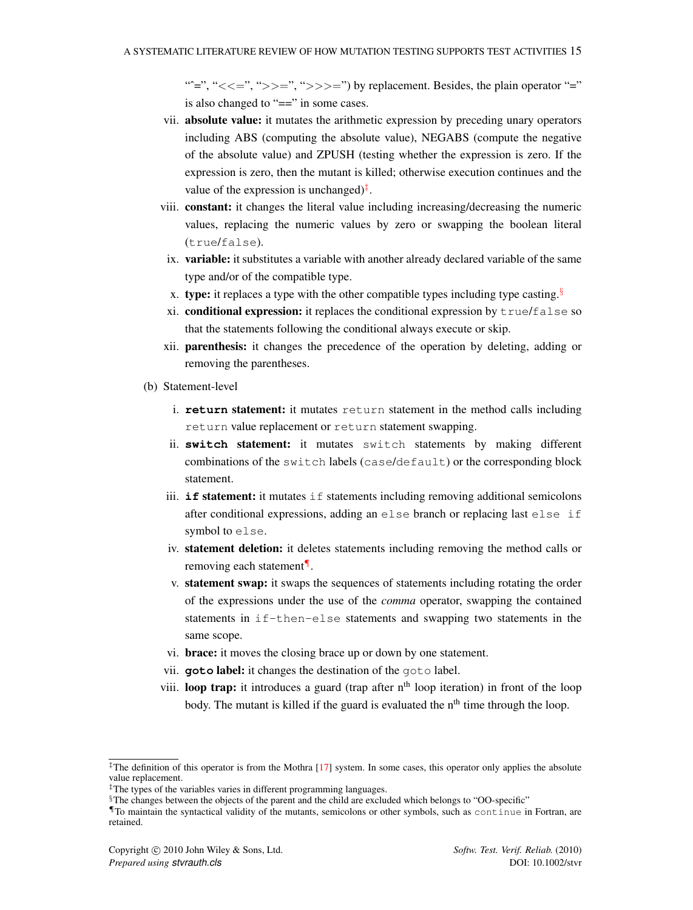"<sup>\*</sup>=", "<<=", ">>=", ">>>=") by replacement. Besides, the plain operator "=" is also changed to "==" in some cases.

- vii. absolute value: it mutates the arithmetic expression by preceding unary operators including ABS (computing the absolute value), NEGABS (compute the negative of the absolute value) and ZPUSH (testing whether the expression is zero. If the expression is zero, then the mutant is killed; otherwise execution continues and the value of the expression is unchanged)*[‡](#page-14-0)*.
- viii. constant: it changes the literal value including increasing/decreasing the numeric values, replacing the numeric values by zero or swapping the boolean literal (true/false).
- ix. variable: it substitutes a variable with another already declared variable of the same type and/or of the compatible type.
- x. type: it replaces a type with the other compatible types including type casting.*[§](#page-14-1)*
- xi. conditional expression: it replaces the conditional expression by  $true/false$  so that the statements following the conditional always execute or skip.
- xii. parenthesis: it changes the precedence of the operation by deleting, adding or removing the parentheses.
- (b) Statement-level
	- i. **return** statement: it mutates return statement in the method calls including return value replacement or return statement swapping.
	- ii. **switch** statement: it mutates switch statements by making different combinations of the switch labels (case/default) or the corresponding block statement.
	- iii. **if** statement: it mutates if statements including removing additional semicolons after conditional expressions, adding an else branch or replacing last else if symbol to else.
	- iv. statement deletion: it deletes statements including removing the method calls or removing each statement*[¶](#page-14-2)*.
	- v. statement swap: it swaps the sequences of statements including rotating the order of the expressions under the use of the *comma* operator, swapping the contained statements in if-then-else statements and swapping two statements in the same scope.
	- vi. brace: it moves the closing brace up or down by one statement.
	- vii. **goto** label: it changes the destination of the goto label.
	- viii. **loop trap:** it introduces a guard (trap after  $n<sup>th</sup>$  loop iteration) in front of the loop body. The mutant is killed if the guard is evaluated the  $n<sup>th</sup>$  time through the loop.

<span id="page-14-0"></span><sup>&</sup>lt;sup>‡</sup>The definition of this operator is from the Mothra [\[17\]](#page-45-15) system. In some cases, this operator only applies the absolute value replacement.

*<sup>‡</sup>*The types of the variables varies in different programming languages.

<span id="page-14-1"></span>*<sup>§</sup>*The changes between the objects of the parent and the child are excluded which belongs to "OO-specific"

<span id="page-14-2"></span>*<sup>¶</sup>*To maintain the syntactical validity of the mutants, semicolons or other symbols, such as continue in Fortran, are retained.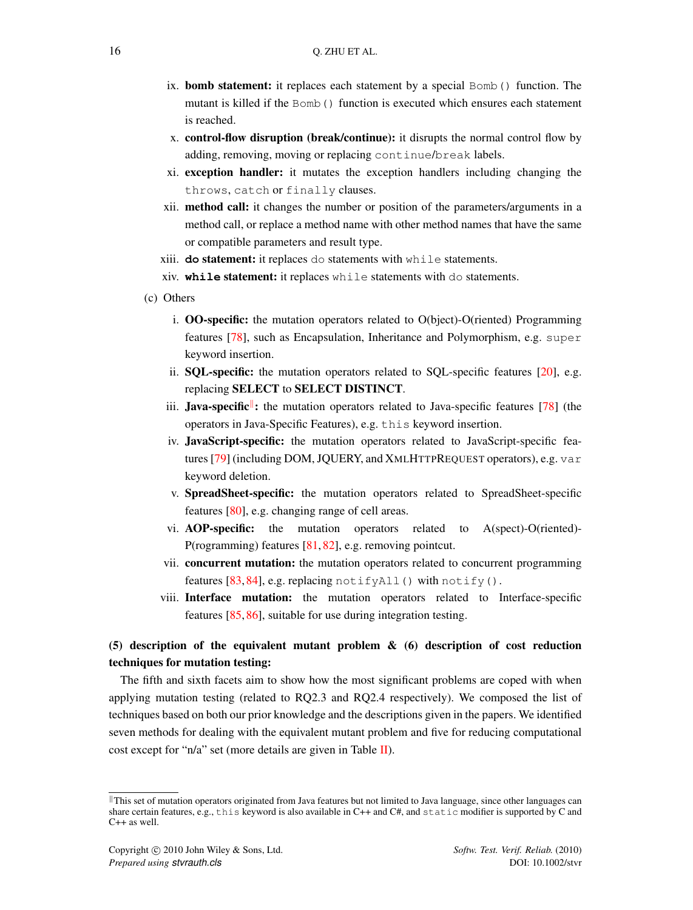- ix. **bomb statement:** it replaces each statement by a special Bomb() function. The mutant is killed if the Bomb() function is executed which ensures each statement is reached.
- x. control-flow disruption (break/continue): it disrupts the normal control flow by adding, removing, moving or replacing continue/break labels.
- xi. exception handler: it mutates the exception handlers including changing the throws, catch or finally clauses.
- xii. method call: it changes the number or position of the parameters/arguments in a method call, or replace a method name with other method names that have the same or compatible parameters and result type.
- xiii. **do** statement: it replaces do statements with while statements.
- xiv. **while** statement: it replaces while statements with do statements.
- (c) Others
	- i. OO-specific: the mutation operators related to O(bject)-O(riented) Programming features [\[78\]](#page-47-19), such as Encapsulation, Inheritance and Polymorphism, e.g. super keyword insertion.
	- ii. SQL-specific: the mutation operators related to SQL-specific features [\[20\]](#page-45-18), e.g. replacing SELECT to SELECT DISTINCT.
	- iii. **Java-specific**: the mutation operators related to Java-specific features [\[78\]](#page-47-19) (the operators in Java-Specific Features), e.g. this keyword insertion.
	- iv. JavaScript-specific: the mutation operators related to JavaScript-specific features [\[79\]](#page-47-20) (including DOM, JQUERY, and XMLHTTPREQUEST operators), e.g. var keyword deletion.
	- v. SpreadSheet-specific: the mutation operators related to SpreadSheet-specific features [\[80\]](#page-47-21), e.g. changing range of cell areas.
	- vi. AOP-specific: the mutation operators related to A(spect)-O(riented)- P(rogramming) features [\[81,](#page-47-22) [82\]](#page-47-23), e.g. removing pointcut.
	- vii. concurrent mutation: the mutation operators related to concurrent programming features [\[83,](#page-47-24) [84\]](#page-47-25), e.g. replacing notifyAll() with notify().
	- viii. Interface mutation: the mutation operators related to Interface-specific features [\[85,](#page-48-0) [86\]](#page-48-1), suitable for use during integration testing.

# (5) description of the equivalent mutant problem & (6) description of cost reduction techniques for mutation testing:

The fifth and sixth facets aim to show how the most significant problems are coped with when applying mutation testing (related to RQ2.3 and RQ2.4 respectively). We composed the list of techniques based on both our prior knowledge and the descriptions given in the papers. We identified seven methods for dealing with the equivalent mutant problem and five for reducing computational cost except for "n/a" set (more details are given in Table  $II$ ).

<span id="page-15-0"></span> $\parallel$ This set of mutation operators originated from Java features but not limited to Java language, since other languages can share certain features, e.g., this keyword is also available in C++ and C#, and static modifier is supported by C and C++ as well.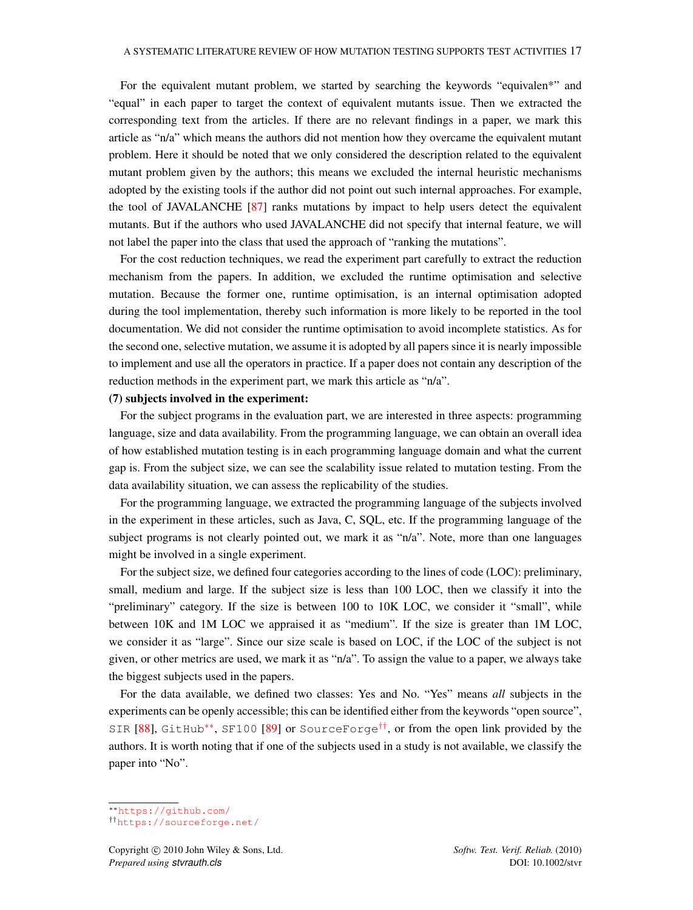For the equivalent mutant problem, we started by searching the keywords "equivalen\*" and "equal" in each paper to target the context of equivalent mutants issue. Then we extracted the corresponding text from the articles. If there are no relevant findings in a paper, we mark this article as "n/a" which means the authors did not mention how they overcame the equivalent mutant problem. Here it should be noted that we only considered the description related to the equivalent mutant problem given by the authors; this means we excluded the internal heuristic mechanisms adopted by the existing tools if the author did not point out such internal approaches. For example, the tool of JAVALANCHE [\[87\]](#page-48-2) ranks mutations by impact to help users detect the equivalent mutants. But if the authors who used JAVALANCHE did not specify that internal feature, we will not label the paper into the class that used the approach of "ranking the mutations".

For the cost reduction techniques, we read the experiment part carefully to extract the reduction mechanism from the papers. In addition, we excluded the runtime optimisation and selective mutation. Because the former one, runtime optimisation, is an internal optimisation adopted during the tool implementation, thereby such information is more likely to be reported in the tool documentation. We did not consider the runtime optimisation to avoid incomplete statistics. As for the second one, selective mutation, we assume it is adopted by all papers since it is nearly impossible to implement and use all the operators in practice. If a paper does not contain any description of the reduction methods in the experiment part, we mark this article as "n/a".

### (7) subjects involved in the experiment:

For the subject programs in the evaluation part, we are interested in three aspects: programming language, size and data availability. From the programming language, we can obtain an overall idea of how established mutation testing is in each programming language domain and what the current gap is. From the subject size, we can see the scalability issue related to mutation testing. From the data availability situation, we can assess the replicability of the studies.

For the programming language, we extracted the programming language of the subjects involved in the experiment in these articles, such as Java, C, SQL, etc. If the programming language of the subject programs is not clearly pointed out, we mark it as "n/a". Note, more than one languages might be involved in a single experiment.

For the subject size, we defined four categories according to the lines of code (LOC): preliminary, small, medium and large. If the subject size is less than 100 LOC, then we classify it into the "preliminary" category. If the size is between 100 to 10K LOC, we consider it "small", while between 10K and 1M LOC we appraised it as "medium". If the size is greater than 1M LOC, we consider it as "large". Since our size scale is based on LOC, if the LOC of the subject is not given, or other metrics are used, we mark it as "n/a". To assign the value to a paper, we always take the biggest subjects used in the papers.

For the data available, we defined two classes: Yes and No. "Yes" means *all* subjects in the experiments can be openly accessible; this can be identified either from the keywords "open source", SIR [\[88\]](#page-48-3), GitHub<sup>\*\*</sup>, SF100 [\[89\]](#page-48-4) or SourceForge<sup>[††](#page-16-1)</sup>, or from the open link provided by the authors. It is worth noting that if one of the subjects used in a study is not available, we classify the paper into "No".

<span id="page-16-0"></span><sup>⇤⇤</sup><https://github.com/>

<span id="page-16-1"></span>*<sup>††</sup>*<https://sourceforge.net/>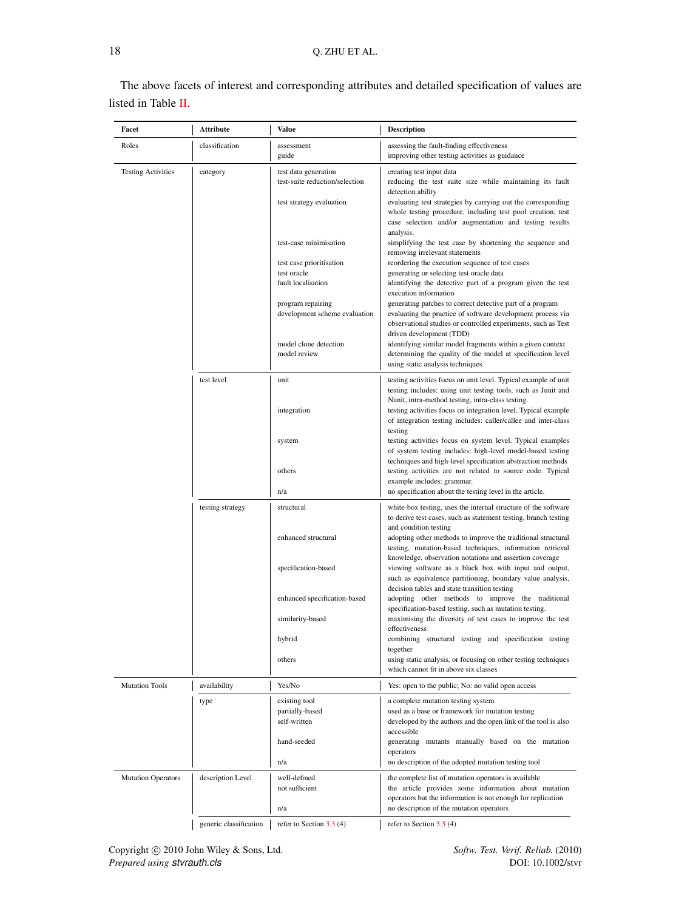| The above facets of interest and corresponding attributes and detailed specification of values are |  |  |
|----------------------------------------------------------------------------------------------------|--|--|
| listed in Table II.                                                                                |  |  |

<span id="page-17-0"></span>

| Facet                     | Attribute              | Value                                                         | <b>Description</b>                                                                                                                                                                        |
|---------------------------|------------------------|---------------------------------------------------------------|-------------------------------------------------------------------------------------------------------------------------------------------------------------------------------------------|
| Roles                     | classification         | assessment<br>guide                                           | assessing the fault-finding effectiveness<br>improving other testing activities as guidance                                                                                               |
| <b>Testing Activities</b> | category               | test data generation<br>test-suite reduction/selection        | creating test input data<br>reducing the test suite size while maintaining its fault<br>detection ability                                                                                 |
|                           |                        | test strategy evaluation                                      | evaluating test strategies by carrying out the corresponding<br>whole testing procedure, including test pool creation, test<br>case selection and/or augmentation and testing results     |
|                           |                        | test-case minimisation                                        | analysis.<br>simplifying the test case by shortening the sequence and<br>removing irrelevant statements                                                                                   |
|                           |                        | test case prioritisation<br>test oracle<br>fault localisation | reordering the execution sequence of test cases<br>generating or selecting test oracle data<br>identifying the detective part of a program given the test<br>execution information        |
|                           |                        | program repairing<br>development scheme evaluation            | generating patches to correct detective part of a program<br>evaluating the practice of software development process via<br>observational studies or controlled experiments, such as Test |
|                           |                        | model clone detection<br>model review                         | driven development (TDD)<br>identifying similar model fragments within a given context<br>determining the quality of the model at specification level<br>using static analysis techniques |
|                           | test level             | unit                                                          | testing activities focus on unit level. Typical example of unit<br>testing includes: using unit testing tools, such as Junit and<br>Nunit, intra-method testing, intra-class testing.     |
|                           |                        | integration                                                   | testing activities focus on integration level. Typical example<br>of integration testing includes: caller/callee and inter-class<br>testing                                               |
|                           |                        | system                                                        | testing activities focus on system level. Typical examples<br>of system testing includes: high-level model-based testing<br>techniques and high-level specification abstraction methods   |
|                           |                        | others<br>n/a                                                 | testing activities are not related to source code. Typical<br>example includes: grammar.<br>no specification about the testing level in the article.                                      |
|                           | testing strategy       | structural                                                    | white-box testing, uses the internal structure of the software<br>to derive test cases, such as statement testing, branch testing                                                         |
|                           |                        | enhanced structural                                           | and condition testing<br>adopting other methods to improve the traditional structural<br>testing, mutation-based techniques, information retrieval                                        |
|                           |                        | specification-based                                           | knowledge, observation notations and assertion coverage<br>viewing software as a black box with input and output,<br>such as equivalence partitioning, boundary value analysis,           |
|                           |                        | enhanced specification-based                                  | decision tables and state transition testing<br>adopting other methods to improve the traditional<br>specification-based testing, such as mutation testing.                               |
|                           |                        | similarity-based<br>hybrid                                    | maximising the diversity of test cases to improve the test<br>effectiveness<br>combining structural testing and specification testing                                                     |
|                           |                        | others                                                        | together<br>using static analysis, or focusing on other testing techniques<br>which cannot fit in above six classes                                                                       |
| <b>Mutation Tools</b>     | availability           | Yes/No                                                        | Yes: open to the public; No: no valid open access                                                                                                                                         |
|                           | type                   | existing tool                                                 | a complete mutation testing system                                                                                                                                                        |
|                           |                        | partially-based                                               | used as a base or framework for mutation testing                                                                                                                                          |
|                           |                        | self-written<br>hand-seeded                                   | developed by the authors and the open link of the tool is also<br>accessible<br>generating mutants manually based on the mutation<br>operators                                            |
|                           |                        | n/a                                                           | no description of the adopted mutation testing tool                                                                                                                                       |
| <b>Mutation Operators</b> | description Level      | well-defined<br>not sufficient                                | the complete list of mutation operators is available<br>the article provides some information about mutation<br>operators but the information is not enough for replication               |
|                           |                        | n/a                                                           | no description of the mutation operators                                                                                                                                                  |
|                           | generic classification | refer to Section $3.3(4)$                                     | refer to Section $3.3(4)$                                                                                                                                                                 |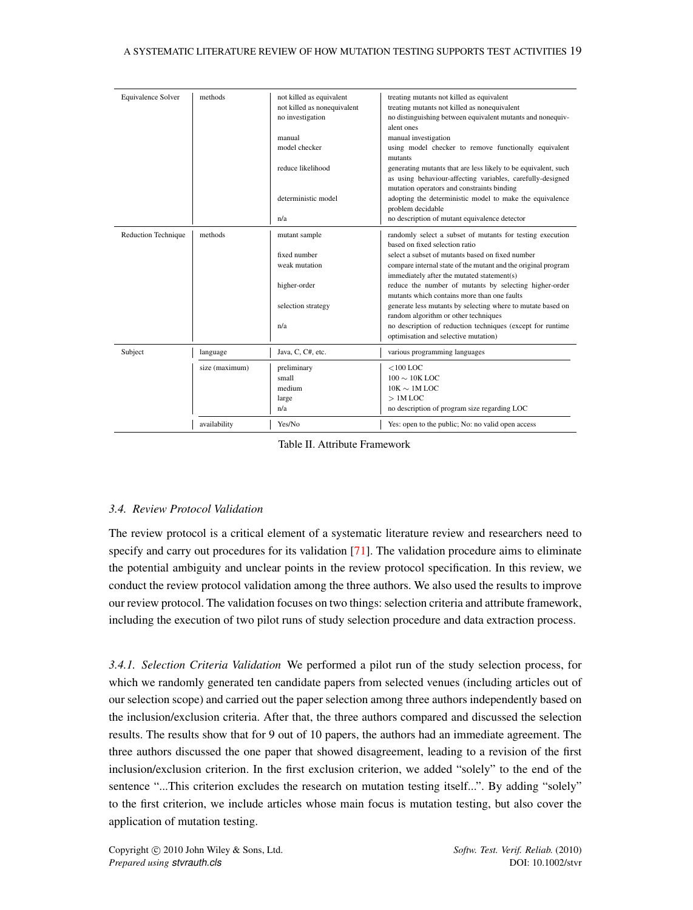| Equivalence Solver         | methods        | not killed as equivalent    | treating mutants not killed as equivalent                      |
|----------------------------|----------------|-----------------------------|----------------------------------------------------------------|
|                            |                | not killed as nonequivalent | treating mutants not killed as nonequivalent                   |
|                            |                | no investigation            | no distinguishing between equivalent mutants and nonequiv-     |
|                            |                |                             | alent ones                                                     |
|                            |                | manual                      | manual investigation                                           |
|                            |                | model checker               | using model checker to remove functionally equivalent          |
|                            |                |                             | mutants                                                        |
|                            |                | reduce likelihood           | generating mutants that are less likely to be equivalent, such |
|                            |                |                             | as using behaviour-affecting variables, carefully-designed     |
|                            |                |                             | mutation operators and constraints binding                     |
|                            |                | deterministic model         | adopting the deterministic model to make the equivalence       |
|                            |                |                             | problem decidable                                              |
|                            |                | n/a                         | no description of mutant equivalence detector                  |
| <b>Reduction Technique</b> | methods        | mutant sample               | randomly select a subset of mutants for testing execution      |
|                            |                |                             | based on fixed selection ratio                                 |
|                            |                | fixed number                | select a subset of mutants based on fixed number               |
|                            |                | weak mutation               | compare internal state of the mutant and the original program  |
|                            |                |                             | immediately after the mutated statement(s)                     |
|                            |                | higher-order                | reduce the number of mutants by selecting higher-order         |
|                            |                |                             | mutants which contains more than one faults                    |
|                            |                | selection strategy          | generate less mutants by selecting where to mutate based on    |
|                            |                |                             | random algorithm or other techniques                           |
|                            |                | n/a                         | no description of reduction techniques (except for runtime     |
|                            |                |                             | optimisation and selective mutation)                           |
| Subject                    | language       | Java, C, C#, etc.           | various programming languages                                  |
|                            | size (maximum) | preliminary                 | $<$ 100 LOC                                                    |
|                            |                | small                       | $100 \sim 10K$ LOC                                             |
|                            |                | medium                      | $10K \sim 1M$ LOC                                              |
|                            |                | large                       | $>1M$ LOC                                                      |
|                            |                | n/a                         | no description of program size regarding LOC                   |
|                            | availability   | Yes/No                      | Yes: open to the public; No: no valid open access              |

Table II. Attribute Framework

### *3.4. Review Protocol Validation*

The review protocol is a critical element of a systematic literature review and researchers need to specify and carry out procedures for its validation [\[71\]](#page-47-13). The validation procedure aims to eliminate the potential ambiguity and unclear points in the review protocol specification. In this review, we conduct the review protocol validation among the three authors. We also used the results to improve our review protocol. The validation focuses on two things: selection criteria and attribute framework, including the execution of two pilot runs of study selection procedure and data extraction process.

*3.4.1. Selection Criteria Validation* We performed a pilot run of the study selection process, for which we randomly generated ten candidate papers from selected venues (including articles out of our selection scope) and carried out the paper selection among three authors independently based on the inclusion/exclusion criteria. After that, the three authors compared and discussed the selection results. The results show that for 9 out of 10 papers, the authors had an immediate agreement. The three authors discussed the one paper that showed disagreement, leading to a revision of the first inclusion/exclusion criterion. In the first exclusion criterion, we added "solely" to the end of the sentence "...This criterion excludes the research on mutation testing itself...". By adding "solely" to the first criterion, we include articles whose main focus is mutation testing, but also cover the application of mutation testing.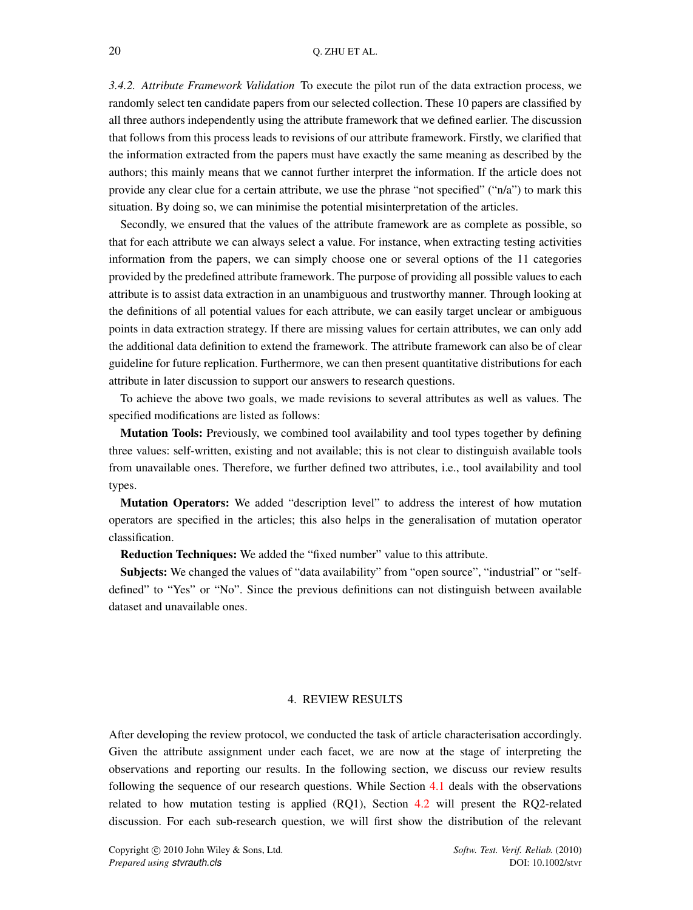*3.4.2. Attribute Framework Validation* To execute the pilot run of the data extraction process, we randomly select ten candidate papers from our selected collection. These 10 papers are classified by all three authors independently using the attribute framework that we defined earlier. The discussion that follows from this process leads to revisions of our attribute framework. Firstly, we clarified that the information extracted from the papers must have exactly the same meaning as described by the authors; this mainly means that we cannot further interpret the information. If the article does not provide any clear clue for a certain attribute, we use the phrase "not specified" ("n/a") to mark this situation. By doing so, we can minimise the potential misinterpretation of the articles.

Secondly, we ensured that the values of the attribute framework are as complete as possible, so that for each attribute we can always select a value. For instance, when extracting testing activities information from the papers, we can simply choose one or several options of the 11 categories provided by the predefined attribute framework. The purpose of providing all possible values to each attribute is to assist data extraction in an unambiguous and trustworthy manner. Through looking at the definitions of all potential values for each attribute, we can easily target unclear or ambiguous points in data extraction strategy. If there are missing values for certain attributes, we can only add the additional data definition to extend the framework. The attribute framework can also be of clear guideline for future replication. Furthermore, we can then present quantitative distributions for each attribute in later discussion to support our answers to research questions.

To achieve the above two goals, we made revisions to several attributes as well as values. The specified modifications are listed as follows:

Mutation Tools: Previously, we combined tool availability and tool types together by defining three values: self-written, existing and not available; this is not clear to distinguish available tools from unavailable ones. Therefore, we further defined two attributes, i.e., tool availability and tool types.

Mutation Operators: We added "description level" to address the interest of how mutation operators are specified in the articles; this also helps in the generalisation of mutation operator classification.

Reduction Techniques: We added the "fixed number" value to this attribute.

Subjects: We changed the values of "data availability" from "open source", "industrial" or "selfdefined" to "Yes" or "No". Since the previous definitions can not distinguish between available dataset and unavailable ones.

### 4. REVIEW RESULTS

<span id="page-19-0"></span>After developing the review protocol, we conducted the task of article characterisation accordingly. Given the attribute assignment under each facet, we are now at the stage of interpreting the observations and reporting our results. In the following section, we discuss our review results following the sequence of our research questions. While Section [4.1](#page-20-0) deals with the observations related to how mutation testing is applied (RQ1), Section [4.2](#page-26-0) will present the RQ2-related discussion. For each sub-research question, we will first show the distribution of the relevant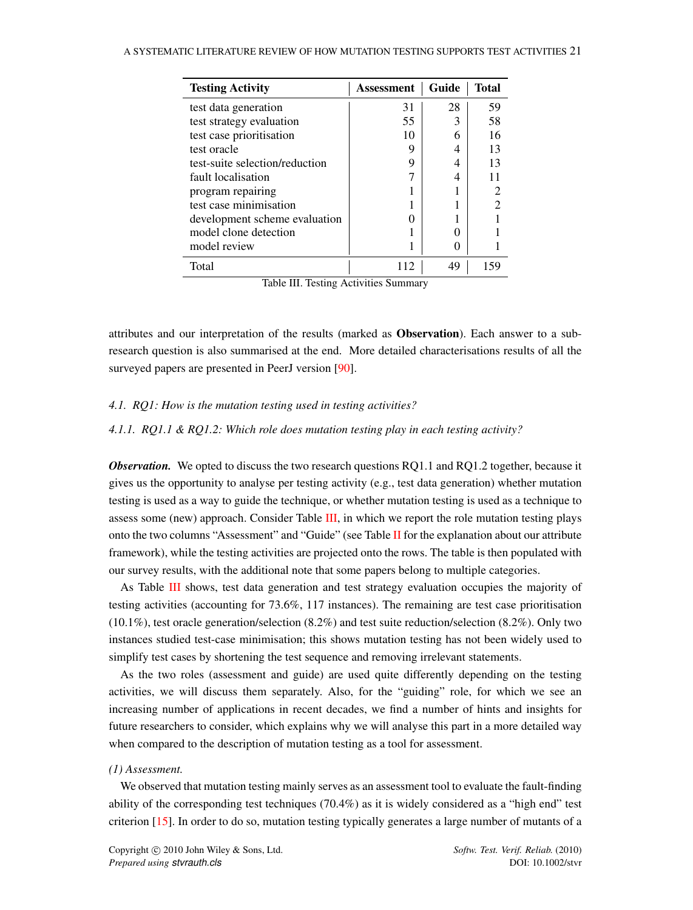<span id="page-20-1"></span>

| <b>Testing Activity</b>        | Assessment | Guide | Total |
|--------------------------------|------------|-------|-------|
| test data generation           | 31         | 28    | 59    |
| test strategy evaluation       | 55         | 3     | 58    |
| test case prioritisation       | 10         | 6     | 16    |
| test oracle                    | 9          |       | 13    |
| test-suite selection/reduction | 9          |       | 13    |
| fault localisation             | 7          |       |       |
| program repairing              |            |       |       |
| test case minimisation         |            |       |       |
| development scheme evaluation  |            |       |       |
| model clone detection          |            |       |       |
| model review                   |            |       |       |
| Total                          | 112        | 49    |       |

Table III. Testing Activities Summary

attributes and our interpretation of the results (marked as Observation). Each answer to a subresearch question is also summarised at the end. More detailed characterisations results of all the surveyed papers are presented in PeerJ version [\[90\]](#page-48-5).

### <span id="page-20-0"></span>*4.1. RQ1: How is the mutation testing used in testing activities?*

### <span id="page-20-2"></span>*4.1.1. RQ1.1 & RQ1.2: Which role does mutation testing play in each testing activity?*

*Observation.* We opted to discuss the two research questions RQ1.1 and RQ1.2 together, because it gives us the opportunity to analyse per testing activity (e.g., test data generation) whether mutation testing is used as a way to guide the technique, or whether mutation testing is used as a technique to assess some (new) approach. Consider Table [III,](#page-20-1) in which we report the role mutation testing plays onto the two columns "Assessment" and "Guide" (see Table [II](#page-17-0) for the explanation about our attribute framework), while the testing activities are projected onto the rows. The table is then populated with our survey results, with the additional note that some papers belong to multiple categories.

As Table [III](#page-20-1) shows, test data generation and test strategy evaluation occupies the majority of testing activities (accounting for 73.6%, 117 instances). The remaining are test case prioritisation  $(10.1\%)$ , test oracle generation/selection  $(8.2\%)$  and test suite reduction/selection  $(8.2\%)$ . Only two instances studied test-case minimisation; this shows mutation testing has not been widely used to simplify test cases by shortening the test sequence and removing irrelevant statements.

As the two roles (assessment and guide) are used quite differently depending on the testing activities, we will discuss them separately. Also, for the "guiding" role, for which we see an increasing number of applications in recent decades, we find a number of hints and insights for future researchers to consider, which explains why we will analyse this part in a more detailed way when compared to the description of mutation testing as a tool for assessment.

#### *(1) Assessment.*

We observed that mutation testing mainly serves as an assessment tool to evaluate the fault-finding ability of the corresponding test techniques (70.4%) as it is widely considered as a "high end" test criterion [\[15\]](#page-45-13). In order to do so, mutation testing typically generates a large number of mutants of a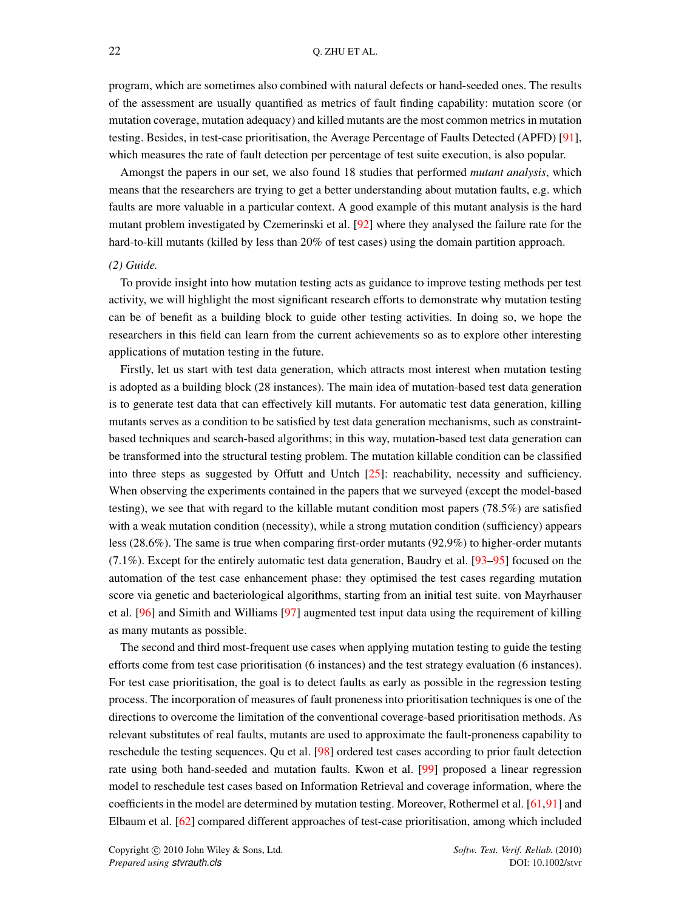program, which are sometimes also combined with natural defects or hand-seeded ones. The results of the assessment are usually quantified as metrics of fault finding capability: mutation score (or mutation coverage, mutation adequacy) and killed mutants are the most common metrics in mutation testing. Besides, in test-case prioritisation, the Average Percentage of Faults Detected (APFD) [\[91\]](#page-48-6), which measures the rate of fault detection per percentage of test suite execution, is also popular.

Amongst the papers in our set, we also found 18 studies that performed *mutant analysis*, which means that the researchers are trying to get a better understanding about mutation faults, e.g. which faults are more valuable in a particular context. A good example of this mutant analysis is the hard mutant problem investigated by Czemerinski et al. [\[92\]](#page-48-7) where they analysed the failure rate for the hard-to-kill mutants (killed by less than 20% of test cases) using the domain partition approach.

#### *(2) Guide.*

To provide insight into how mutation testing acts as guidance to improve testing methods per test activity, we will highlight the most significant research efforts to demonstrate why mutation testing can be of benefit as a building block to guide other testing activities. In doing so, we hope the researchers in this field can learn from the current achievements so as to explore other interesting applications of mutation testing in the future.

Firstly, let us start with test data generation, which attracts most interest when mutation testing is adopted as a building block (28 instances). The main idea of mutation-based test data generation is to generate test data that can effectively kill mutants. For automatic test data generation, killing mutants serves as a condition to be satisfied by test data generation mechanisms, such as constraintbased techniques and search-based algorithms; in this way, mutation-based test data generation can be transformed into the structural testing problem. The mutation killable condition can be classified into three steps as suggested by Offutt and Untch [\[25\]](#page-45-23): reachability, necessity and sufficiency. When observing the experiments contained in the papers that we surveyed (except the model-based testing), we see that with regard to the killable mutant condition most papers (78.5%) are satisfied with a weak mutation condition (necessity), while a strong mutation condition (sufficiency) appears less (28.6%). The same is true when comparing first-order mutants (92.9%) to higher-order mutants (7.1%). Except for the entirely automatic test data generation, Baudry et al. [\[93–](#page-48-8)[95\]](#page-48-9) focused on the automation of the test case enhancement phase: they optimised the test cases regarding mutation score via genetic and bacteriological algorithms, starting from an initial test suite. von Mayrhauser et al. [\[96\]](#page-48-10) and Simith and Williams [\[97\]](#page-48-11) augmented test input data using the requirement of killing as many mutants as possible.

The second and third most-frequent use cases when applying mutation testing to guide the testing efforts come from test case prioritisation (6 instances) and the test strategy evaluation (6 instances). For test case prioritisation, the goal is to detect faults as early as possible in the regression testing process. The incorporation of measures of fault proneness into prioritisation techniques is one of the directions to overcome the limitation of the conventional coverage-based prioritisation methods. As relevant substitutes of real faults, mutants are used to approximate the fault-proneness capability to reschedule the testing sequences. Qu et al. [\[98\]](#page-48-12) ordered test cases according to prior fault detection rate using both hand-seeded and mutation faults. Kwon et al. [\[99\]](#page-48-13) proposed a linear regression model to reschedule test cases based on Information Retrieval and coverage information, where the coefficients in the model are determined by mutation testing. Moreover, Rothermel et al. [\[61](#page-47-2)[,91\]](#page-48-6) and Elbaum et al. [\[62\]](#page-47-3) compared different approaches of test-case prioritisation, among which included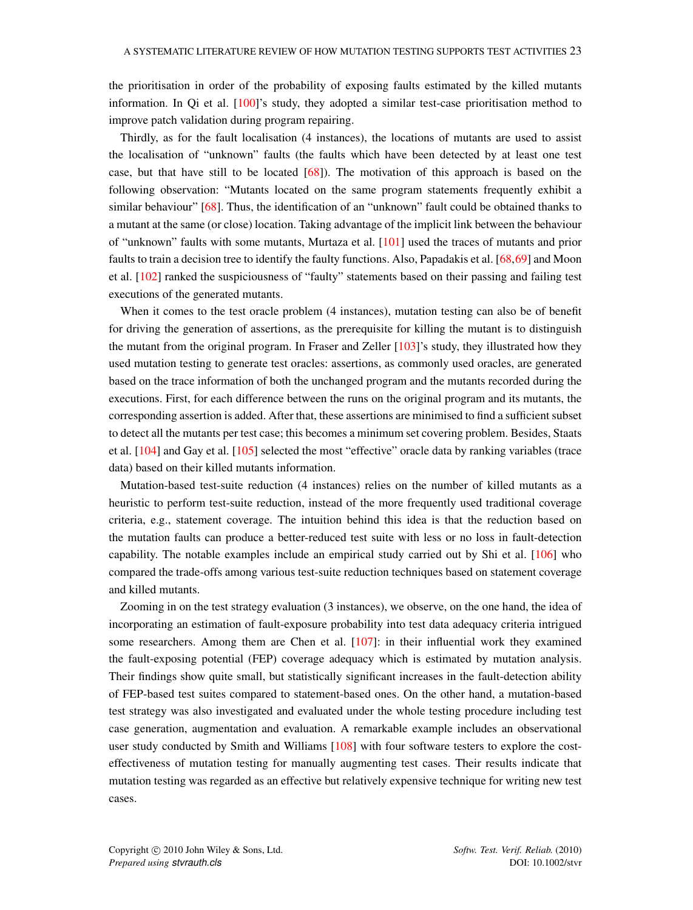the prioritisation in order of the probability of exposing faults estimated by the killed mutants information. In Qi et al. [\[100\]](#page-48-14)'s study, they adopted a similar test-case prioritisation method to improve patch validation during program repairing.

Thirdly, as for the fault localisation (4 instances), the locations of mutants are used to assist the localisation of "unknown" faults (the faults which have been detected by at least one test case, but that have still to be located [\[68\]](#page-47-10)). The motivation of this approach is based on the following observation: "Mutants located on the same program statements frequently exhibit a similar behaviour" [\[68\]](#page-47-10). Thus, the identification of an "unknown" fault could be obtained thanks to a mutant at the same (or close) location. Taking advantage of the implicit link between the behaviour of "unknown" faults with some mutants, Murtaza et al. [\[101\]](#page-48-15) used the traces of mutants and prior faults to train a decision tree to identify the faulty functions. Also, Papadakis et al. [\[68,](#page-47-10)[69\]](#page-47-11) and Moon et al. [\[102\]](#page-48-16) ranked the suspiciousness of "faulty" statements based on their passing and failing test executions of the generated mutants.

When it comes to the test oracle problem (4 instances), mutation testing can also be of benefit for driving the generation of assertions, as the prerequisite for killing the mutant is to distinguish the mutant from the original program. In Fraser and Zeller [\[103\]](#page-48-17)'s study, they illustrated how they used mutation testing to generate test oracles: assertions, as commonly used oracles, are generated based on the trace information of both the unchanged program and the mutants recorded during the executions. First, for each difference between the runs on the original program and its mutants, the corresponding assertion is added. After that, these assertions are minimised to find a sufficient subset to detect all the mutants per test case; this becomes a minimum set covering problem. Besides, Staats et al. [\[104\]](#page-48-18) and Gay et al. [\[105\]](#page-48-19) selected the most "effective" oracle data by ranking variables (trace data) based on their killed mutants information.

Mutation-based test-suite reduction (4 instances) relies on the number of killed mutants as a heuristic to perform test-suite reduction, instead of the more frequently used traditional coverage criteria, e.g., statement coverage. The intuition behind this idea is that the reduction based on the mutation faults can produce a better-reduced test suite with less or no loss in fault-detection capability. The notable examples include an empirical study carried out by Shi et al. [\[106\]](#page-48-20) who compared the trade-offs among various test-suite reduction techniques based on statement coverage and killed mutants.

Zooming in on the test strategy evaluation (3 instances), we observe, on the one hand, the idea of incorporating an estimation of fault-exposure probability into test data adequacy criteria intrigued some researchers. Among them are Chen et al. [\[107\]](#page-48-21): in their influential work they examined the fault-exposing potential (FEP) coverage adequacy which is estimated by mutation analysis. Their findings show quite small, but statistically significant increases in the fault-detection ability of FEP-based test suites compared to statement-based ones. On the other hand, a mutation-based test strategy was also investigated and evaluated under the whole testing procedure including test case generation, augmentation and evaluation. A remarkable example includes an observational user study conducted by Smith and Williams [\[108\]](#page-48-22) with four software testers to explore the costeffectiveness of mutation testing for manually augmenting test cases. Their results indicate that mutation testing was regarded as an effective but relatively expensive technique for writing new test cases.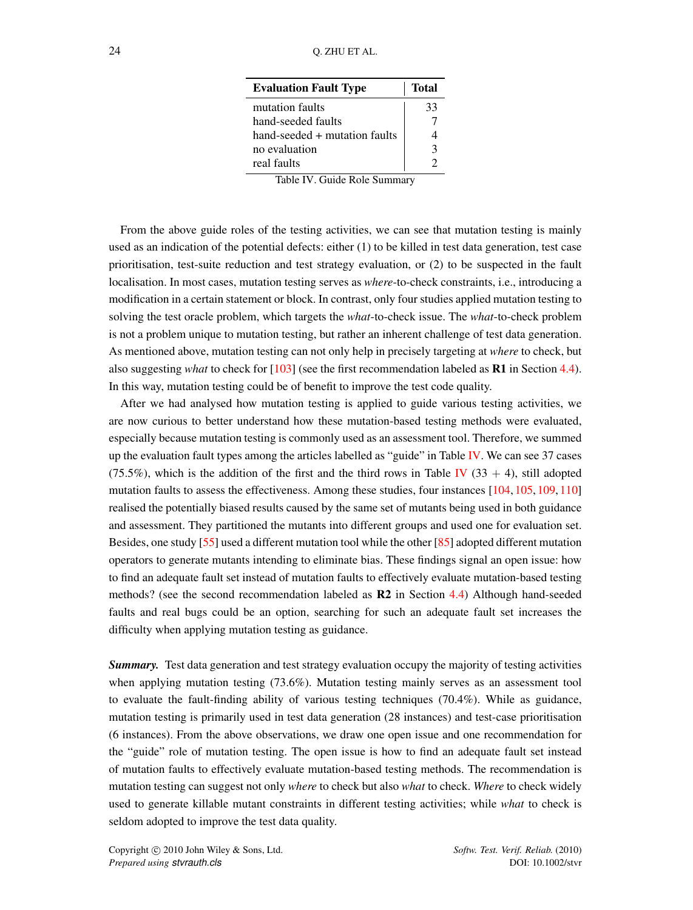<span id="page-23-0"></span>

| <b>Evaluation Fault Type</b>  | <b>Total</b> |
|-------------------------------|--------------|
| mutation faults               | 33           |
| hand-seeded faults            |              |
| hand-seeded + mutation faults |              |
| no evaluation                 | ζ            |
| real faults                   |              |

Table IV. Guide Role Summary

From the above guide roles of the testing activities, we can see that mutation testing is mainly used as an indication of the potential defects: either (1) to be killed in test data generation, test case prioritisation, test-suite reduction and test strategy evaluation, or (2) to be suspected in the fault localisation. In most cases, mutation testing serves as *where*-to-check constraints, i.e., introducing a modification in a certain statement or block. In contrast, only four studies applied mutation testing to solving the test oracle problem, which targets the *what*-to-check issue. The *what*-to-check problem is not a problem unique to mutation testing, but rather an inherent challenge of test data generation. As mentioned above, mutation testing can not only help in precisely targeting at *where* to check, but also suggesting *what* to check for [\[103\]](#page-48-17) (see the first recommendation labeled as R1 in Section [4.4\)](#page-39-0). In this way, mutation testing could be of benefit to improve the test code quality.

After we had analysed how mutation testing is applied to guide various testing activities, we are now curious to better understand how these mutation-based testing methods were evaluated, especially because mutation testing is commonly used as an assessment tool. Therefore, we summed up the evaluation fault types among the articles labelled as "guide" in Table [IV.](#page-23-0) We can see 37 cases (75.5%), which is the addition of the first and the third rows in Table [IV](#page-23-0) (33 + 4), still adopted mutation faults to assess the effectiveness. Among these studies, four instances [\[104,](#page-48-18) [105,](#page-48-19) [109,](#page-48-23) [110\]](#page-49-0) realised the potentially biased results caused by the same set of mutants being used in both guidance and assessment. They partitioned the mutants into different groups and used one for evaluation set. Besides, one study [\[55\]](#page-46-22) used a different mutation tool while the other [\[85\]](#page-48-0) adopted different mutation operators to generate mutants intending to eliminate bias. These findings signal an open issue: how to find an adequate fault set instead of mutation faults to effectively evaluate mutation-based testing methods? (see the second recommendation labeled as R2 in Section [4.4\)](#page-39-0) Although hand-seeded faults and real bugs could be an option, searching for such an adequate fault set increases the difficulty when applying mutation testing as guidance.

*Summary.* Test data generation and test strategy evaluation occupy the majority of testing activities when applying mutation testing (73.6%). Mutation testing mainly serves as an assessment tool to evaluate the fault-finding ability of various testing techniques (70.4%). While as guidance, mutation testing is primarily used in test data generation (28 instances) and test-case prioritisation (6 instances). From the above observations, we draw one open issue and one recommendation for the "guide" role of mutation testing. The open issue is how to find an adequate fault set instead of mutation faults to effectively evaluate mutation-based testing methods. The recommendation is mutation testing can suggest not only *where* to check but also *what* to check. *Where* to check widely used to generate killable mutant constraints in different testing activities; while *what* to check is seldom adopted to improve the test data quality.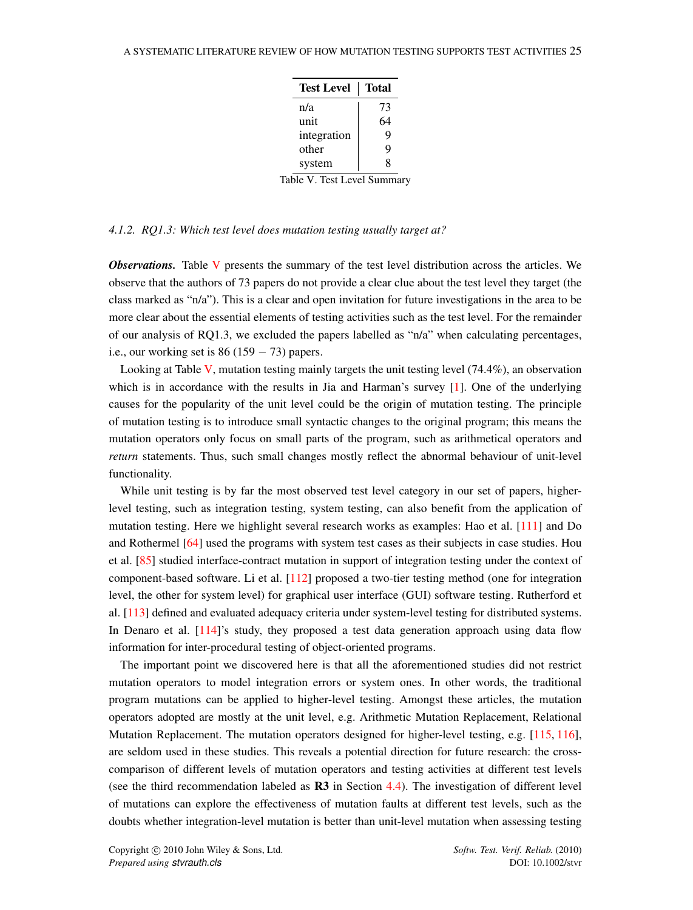| <b>Test Level</b> | <b>Total</b> |
|-------------------|--------------|
| n/a               | 73           |
| unit              | 64           |
| integration       | 9            |
| other             | q            |
| system            | 8            |

Table V. Test Level Summary

### <span id="page-24-1"></span><span id="page-24-0"></span>*4.1.2. RQ1.3: Which test level does mutation testing usually target at?*

*Observations.* Table [V](#page-24-0) presents the summary of the test level distribution across the articles. We observe that the authors of 73 papers do not provide a clear clue about the test level they target (the class marked as "n/a"). This is a clear and open invitation for future investigations in the area to be more clear about the essential elements of testing activities such as the test level. For the remainder of our analysis of RQ1.3, we excluded the papers labelled as "n/a" when calculating percentages, i.e., our working set is  $86 (159 - 73)$  papers.

Looking at Table [V,](#page-24-0) mutation testing mainly targets the unit testing level (74.4%), an observation which is in accordance with the results in Jia and Harman's survey [\[1\]](#page-45-0). One of the underlying causes for the popularity of the unit level could be the origin of mutation testing. The principle of mutation testing is to introduce small syntactic changes to the original program; this means the mutation operators only focus on small parts of the program, such as arithmetical operators and *return* statements. Thus, such small changes mostly reflect the abnormal behaviour of unit-level functionality.

While unit testing is by far the most observed test level category in our set of papers, higherlevel testing, such as integration testing, system testing, can also benefit from the application of mutation testing. Here we highlight several research works as examples: Hao et al. [\[111\]](#page-49-1) and Do and Rothermel [\[64\]](#page-47-5) used the programs with system test cases as their subjects in case studies. Hou et al. [\[85\]](#page-48-0) studied interface-contract mutation in support of integration testing under the context of component-based software. Li et al. [\[112\]](#page-49-2) proposed a two-tier testing method (one for integration level, the other for system level) for graphical user interface (GUI) software testing. Rutherford et al. [\[113\]](#page-49-3) defined and evaluated adequacy criteria under system-level testing for distributed systems. In Denaro et al. [\[114\]](#page-49-4)'s study, they proposed a test data generation approach using data flow information for inter-procedural testing of object-oriented programs.

The important point we discovered here is that all the aforementioned studies did not restrict mutation operators to model integration errors or system ones. In other words, the traditional program mutations can be applied to higher-level testing. Amongst these articles, the mutation operators adopted are mostly at the unit level, e.g. Arithmetic Mutation Replacement, Relational Mutation Replacement. The mutation operators designed for higher-level testing, e.g. [\[115,](#page-49-5) [116\]](#page-49-6), are seldom used in these studies. This reveals a potential direction for future research: the crosscomparison of different levels of mutation operators and testing activities at different test levels (see the third recommendation labeled as  $\bf R3$  in Section [4.4\)](#page-39-0). The investigation of different level of mutations can explore the effectiveness of mutation faults at different test levels, such as the doubts whether integration-level mutation is better than unit-level mutation when assessing testing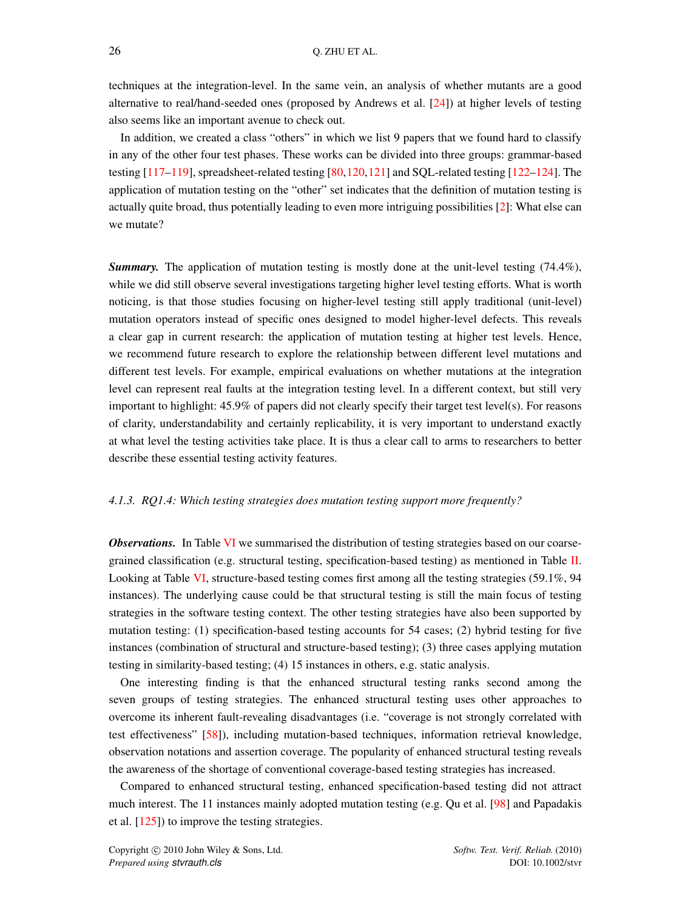techniques at the integration-level. In the same vein, an analysis of whether mutants are a good alternative to real/hand-seeded ones (proposed by Andrews et al. [\[24\]](#page-45-22)) at higher levels of testing also seems like an important avenue to check out.

In addition, we created a class "others" in which we list 9 papers that we found hard to classify in any of the other four test phases. These works can be divided into three groups: grammar-based testing [\[117–](#page-49-7)[119\]](#page-49-8), spreadsheet-related testing [\[80,](#page-47-21)[120,](#page-49-9)[121\]](#page-49-10) and SQL-related testing [\[122](#page-49-11)[–124\]](#page-49-12). The application of mutation testing on the "other" set indicates that the definition of mutation testing is actually quite broad, thus potentially leading to even more intriguing possibilities [\[2\]](#page-45-1): What else can we mutate?

**Summary.** The application of mutation testing is mostly done at the unit-level testing (74.4%), while we did still observe several investigations targeting higher level testing efforts. What is worth noticing, is that those studies focusing on higher-level testing still apply traditional (unit-level) mutation operators instead of specific ones designed to model higher-level defects. This reveals a clear gap in current research: the application of mutation testing at higher test levels. Hence, we recommend future research to explore the relationship between different level mutations and different test levels. For example, empirical evaluations on whether mutations at the integration level can represent real faults at the integration testing level. In a different context, but still very important to highlight: 45.9% of papers did not clearly specify their target test level(s). For reasons of clarity, understandability and certainly replicability, it is very important to understand exactly at what level the testing activities take place. It is thus a clear call to arms to researchers to better describe these essential testing activity features.

### *4.1.3. RQ1.4: Which testing strategies does mutation testing support more frequently?*

*Observations.* In Table [VI](#page-26-1) we summarised the distribution of testing strategies based on our coarsegrained classification (e.g. structural testing, specification-based testing) as mentioned in Table [II.](#page-17-0) Looking at Table [VI,](#page-26-1) structure-based testing comes first among all the testing strategies (59.1%, 94 instances). The underlying cause could be that structural testing is still the main focus of testing strategies in the software testing context. The other testing strategies have also been supported by mutation testing: (1) specification-based testing accounts for 54 cases; (2) hybrid testing for five instances (combination of structural and structure-based testing); (3) three cases applying mutation testing in similarity-based testing; (4) 15 instances in others, e.g. static analysis.

One interesting finding is that the enhanced structural testing ranks second among the seven groups of testing strategies. The enhanced structural testing uses other approaches to overcome its inherent fault-revealing disadvantages (i.e. "coverage is not strongly correlated with test effectiveness" [\[58\]](#page-46-25)), including mutation-based techniques, information retrieval knowledge, observation notations and assertion coverage. The popularity of enhanced structural testing reveals the awareness of the shortage of conventional coverage-based testing strategies has increased.

Compared to enhanced structural testing, enhanced specification-based testing did not attract much interest. The 11 instances mainly adopted mutation testing (e.g. Qu et al. [\[98\]](#page-48-12) and Papadakis et al. [\[125\]](#page-49-13)) to improve the testing strategies.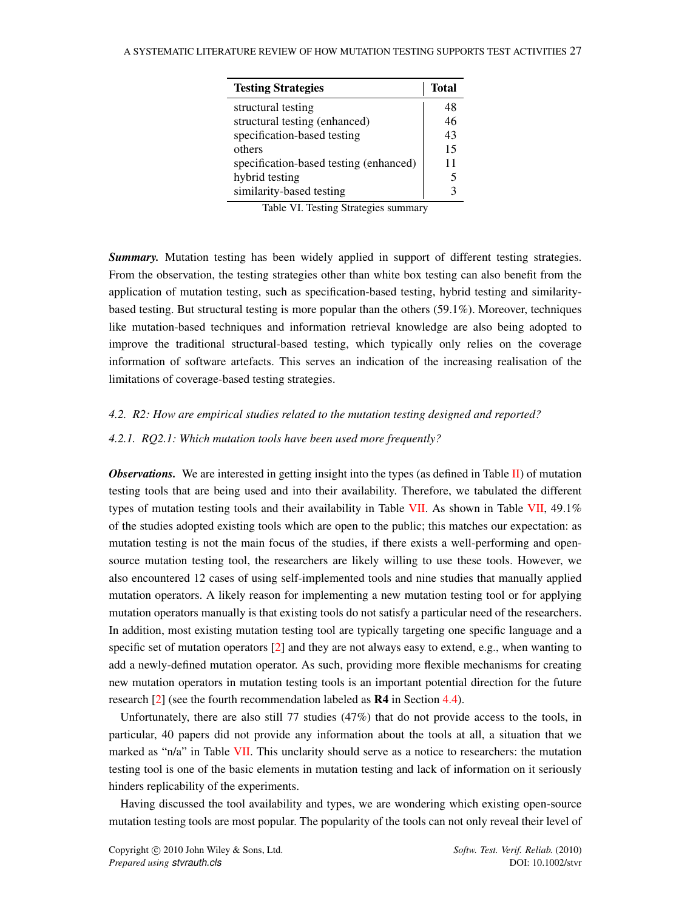<span id="page-26-1"></span>

| <b>Testing Strategies</b>              | <b>Total</b> |
|----------------------------------------|--------------|
| structural testing                     | 48           |
| structural testing (enhanced)          | 46           |
| specification-based testing            | 43           |
| others                                 | 15           |
| specification-based testing (enhanced) | 11           |
| hybrid testing                         |              |
| similarity-based testing               |              |

Table VI. Testing Strategies summary

**Summary.** Mutation testing has been widely applied in support of different testing strategies. From the observation, the testing strategies other than white box testing can also benefit from the application of mutation testing, such as specification-based testing, hybrid testing and similaritybased testing. But structural testing is more popular than the others (59.1%). Moreover, techniques like mutation-based techniques and information retrieval knowledge are also being adopted to improve the traditional structural-based testing, which typically only relies on the coverage information of software artefacts. This serves an indication of the increasing realisation of the limitations of coverage-based testing strategies.

#### <span id="page-26-0"></span>*4.2. R2: How are empirical studies related to the mutation testing designed and reported?*

### <span id="page-26-2"></span>*4.2.1. RQ2.1: Which mutation tools have been used more frequently?*

**Observations.** We are interested in getting insight into the types (as defined in Table [II\)](#page-17-0) of mutation testing tools that are being used and into their availability. Therefore, we tabulated the different types of mutation testing tools and their availability in Table [VII.](#page-27-0) As shown in Table [VII,](#page-27-0) 49.1% of the studies adopted existing tools which are open to the public; this matches our expectation: as mutation testing is not the main focus of the studies, if there exists a well-performing and opensource mutation testing tool, the researchers are likely willing to use these tools. However, we also encountered 12 cases of using self-implemented tools and nine studies that manually applied mutation operators. A likely reason for implementing a new mutation testing tool or for applying mutation operators manually is that existing tools do not satisfy a particular need of the researchers. In addition, most existing mutation testing tool are typically targeting one specific language and a specific set of mutation operators [\[2\]](#page-45-1) and they are not always easy to extend, e.g., when wanting to add a newly-defined mutation operator. As such, providing more flexible mechanisms for creating new mutation operators in mutation testing tools is an important potential direction for the future research [\[2\]](#page-45-1) (see the fourth recommendation labeled as R4 in Section [4.4\)](#page-39-0).

Unfortunately, there are also still 77 studies (47%) that do not provide access to the tools, in particular, 40 papers did not provide any information about the tools at all, a situation that we marked as "n/a" in Table [VII.](#page-27-0) This unclarity should serve as a notice to researchers: the mutation testing tool is one of the basic elements in mutation testing and lack of information on it seriously hinders replicability of the experiments.

Having discussed the tool availability and types, we are wondering which existing open-source mutation testing tools are most popular. The popularity of the tools can not only reveal their level of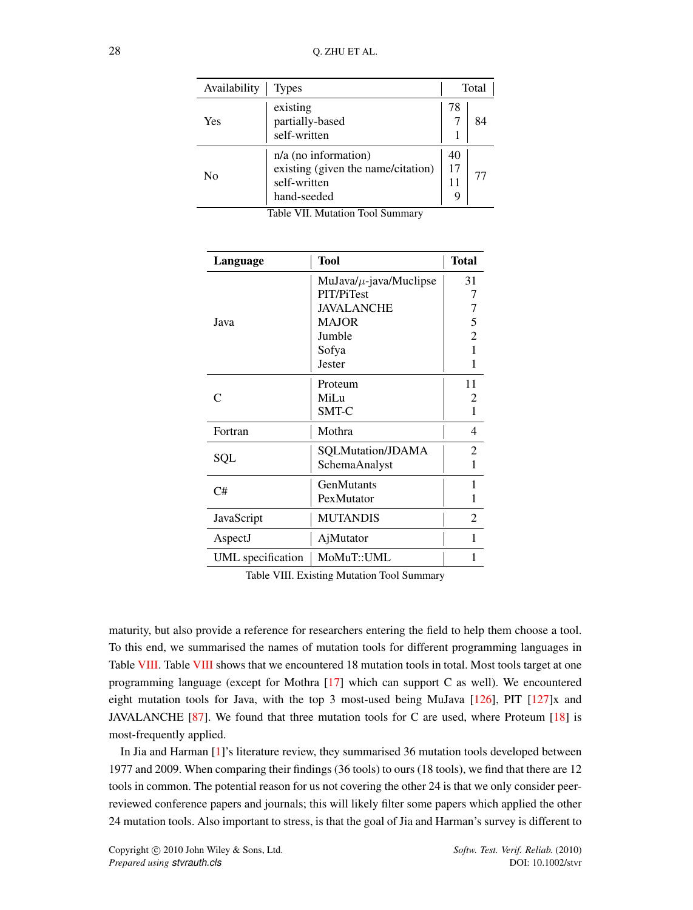<span id="page-27-0"></span>

| Availability<br><b>Types</b> |                                                                                             | Total   |    |
|------------------------------|---------------------------------------------------------------------------------------------|---------|----|
| Yes                          | existing<br>partially-based<br>self-written                                                 | 78      |    |
| Nο                           | $n/a$ (no information)<br>existing (given the name/citation)<br>self-written<br>hand-seeded | 40<br>9 | 77 |

Table VII. Mutation Tool Summary

<span id="page-27-1"></span>

| Language          | <b>Tool</b>                 | <b>Total</b>                |
|-------------------|-----------------------------|-----------------------------|
|                   | $MuJava/\mu$ -java/Muclipse | 31                          |
|                   | PIT/PiTest                  | 7                           |
|                   | <b>JAVALANCHE</b>           |                             |
| Java              | <b>MAJOR</b>                | 5                           |
|                   | Jumble                      | 2                           |
|                   | Sofya                       |                             |
|                   | Jester                      | 1                           |
|                   | Proteum                     | 11                          |
| $\mathsf{\Gamma}$ | MiLu                        | $\mathcal{D}_{\mathcal{L}}$ |
|                   | <b>SMT-C</b>                | 1                           |
| Fortran           | Mothra                      | 4                           |
|                   | SQLMutation/JDAMA           | 2                           |
| SQL               | SchemaAnalyst               | 1                           |
| C#                | GenMutants                  | 1                           |
|                   | PexMutator                  | 1                           |
| JavaScript        | <b>MUTANDIS</b>             | 2                           |
| AspectJ           | AjMutator                   | 1                           |
| UML specification | MoMuT::UML                  | 1                           |

Table VIII. Existing Mutation Tool Summary

maturity, but also provide a reference for researchers entering the field to help them choose a tool. To this end, we summarised the names of mutation tools for different programming languages in Table [VIII.](#page-27-1) Table [VIII](#page-27-1) shows that we encountered 18 mutation tools in total. Most tools target at one programming language (except for Mothra [\[17\]](#page-45-15) which can support C as well). We encountered eight mutation tools for Java, with the top 3 most-used being MuJava  $[126]$ , PIT  $[127]x$  $[127]x$  and JAVALANCHE [\[87\]](#page-48-2). We found that three mutation tools for C are used, where Proteum [\[18\]](#page-45-16) is most-frequently applied.

In Jia and Harman [\[1\]](#page-45-0)'s literature review, they summarised 36 mutation tools developed between 1977 and 2009. When comparing their findings (36 tools) to ours (18 tools), we find that there are 12 tools in common. The potential reason for us not covering the other 24 is that we only consider peerreviewed conference papers and journals; this will likely filter some papers which applied the other 24 mutation tools. Also important to stress, is that the goal of Jia and Harman's survey is different to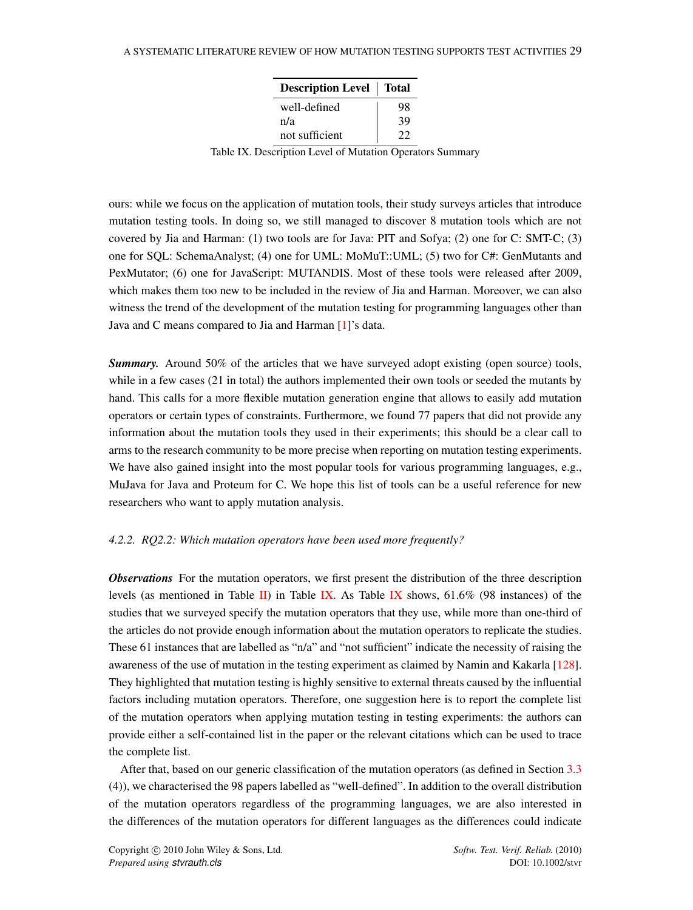| <b>Description Level</b> Total |    |
|--------------------------------|----|
| well-defined                   | 98 |
| n/a                            | 39 |
| not sufficient                 | 22 |

<span id="page-28-0"></span>Table IX. Description Level of Mutation Operators Summary

ours: while we focus on the application of mutation tools, their study surveys articles that introduce mutation testing tools. In doing so, we still managed to discover 8 mutation tools which are not covered by Jia and Harman: (1) two tools are for Java: PIT and Sofya; (2) one for C: SMT-C; (3) one for SQL: SchemaAnalyst; (4) one for UML: MoMuT::UML; (5) two for C#: GenMutants and PexMutator; (6) one for JavaScript: MUTANDIS. Most of these tools were released after 2009, which makes them too new to be included in the review of Jia and Harman. Moreover, we can also witness the trend of the development of the mutation testing for programming languages other than Java and C means compared to Jia and Harman [\[1\]](#page-45-0)'s data.

**Summary.** Around 50% of the articles that we have surveyed adopt existing (open source) tools, while in a few cases (21 in total) the authors implemented their own tools or seeded the mutants by hand. This calls for a more flexible mutation generation engine that allows to easily add mutation operators or certain types of constraints. Furthermore, we found 77 papers that did not provide any information about the mutation tools they used in their experiments; this should be a clear call to arms to the research community to be more precise when reporting on mutation testing experiments. We have also gained insight into the most popular tools for various programming languages, e.g., MuJava for Java and Proteum for C. We hope this list of tools can be a useful reference for new researchers who want to apply mutation analysis.

### *4.2.2. RQ2.2: Which mutation operators have been used more frequently?*

*Observations* For the mutation operators, we first present the distribution of the three description levels (as mentioned in Table [II\)](#page-17-0) in Table [IX.](#page-28-0) As Table [IX](#page-28-0) shows,  $61.6\%$  (98 instances) of the studies that we surveyed specify the mutation operators that they use, while more than one-third of the articles do not provide enough information about the mutation operators to replicate the studies. These 61 instances that are labelled as "n/a" and "not sufficient" indicate the necessity of raising the awareness of the use of mutation in the testing experiment as claimed by Namin and Kakarla [\[128\]](#page-49-16). They highlighted that mutation testing is highly sensitive to external threats caused by the influential factors including mutation operators. Therefore, one suggestion here is to report the complete list of the mutation operators when applying mutation testing in testing experiments: the authors can provide either a self-contained list in the paper or the relevant citations which can be used to trace the complete list.

After that, based on our generic classification of the mutation operators (as defined in Section [3.3](#page-10-0) (4)), we characterised the 98 papers labelled as "well-defined". In addition to the overall distribution of the mutation operators regardless of the programming languages, we are also interested in the differences of the mutation operators for different languages as the differences could indicate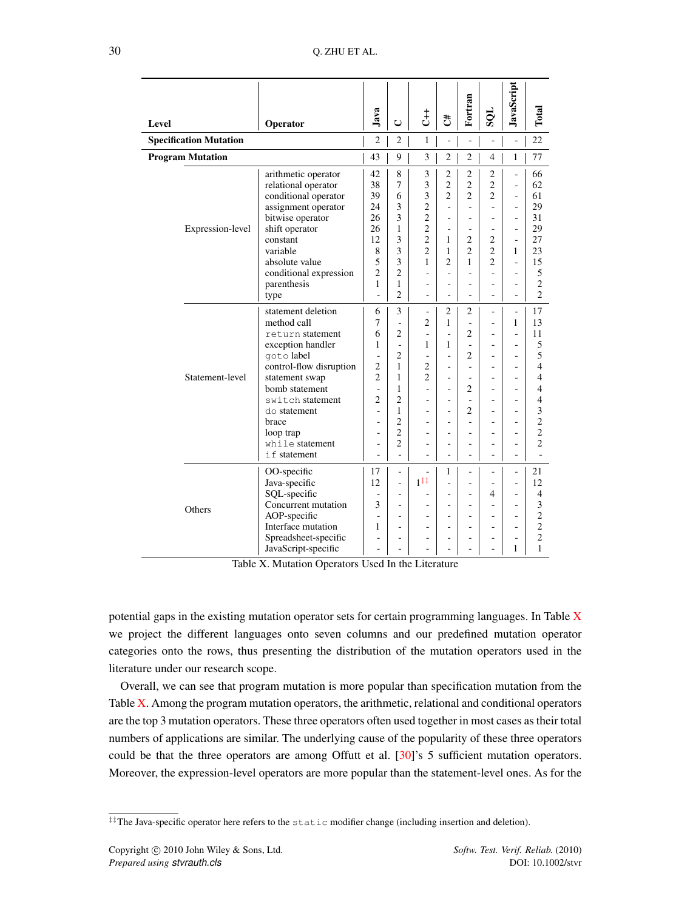<span id="page-29-1"></span>

|                               |                                                                                                                                                                                                                                                              |                                                                                                                                                                    |                                                                                                                                                                                                                                            |                                                                                                                                                                                                        |                                                                                                                                                                                                     | Fortran                                                                                                                                                                                        |                                                                                                                                                                          | JavaScript                                                                     |                                                                                                                                                                                     |
|-------------------------------|--------------------------------------------------------------------------------------------------------------------------------------------------------------------------------------------------------------------------------------------------------------|--------------------------------------------------------------------------------------------------------------------------------------------------------------------|--------------------------------------------------------------------------------------------------------------------------------------------------------------------------------------------------------------------------------------------|--------------------------------------------------------------------------------------------------------------------------------------------------------------------------------------------------------|-----------------------------------------------------------------------------------------------------------------------------------------------------------------------------------------------------|------------------------------------------------------------------------------------------------------------------------------------------------------------------------------------------------|--------------------------------------------------------------------------------------------------------------------------------------------------------------------------|--------------------------------------------------------------------------------|-------------------------------------------------------------------------------------------------------------------------------------------------------------------------------------|
| Level                         | Operator                                                                                                                                                                                                                                                     | Java                                                                                                                                                               | $\cup$                                                                                                                                                                                                                                     | さ                                                                                                                                                                                                      | đ,                                                                                                                                                                                                  |                                                                                                                                                                                                | 108                                                                                                                                                                      |                                                                                | Total                                                                                                                                                                               |
| <b>Specification Mutation</b> |                                                                                                                                                                                                                                                              | $\overline{2}$                                                                                                                                                     | $\overline{c}$                                                                                                                                                                                                                             | 1                                                                                                                                                                                                      | L,                                                                                                                                                                                                  | L                                                                                                                                                                                              | ÷,                                                                                                                                                                       | $\overline{a}$                                                                 | 22                                                                                                                                                                                  |
| <b>Program Mutation</b>       |                                                                                                                                                                                                                                                              | 43                                                                                                                                                                 | 9                                                                                                                                                                                                                                          | 3                                                                                                                                                                                                      | $\overline{2}$                                                                                                                                                                                      | $\overline{c}$                                                                                                                                                                                 | $\overline{4}$                                                                                                                                                           | 1                                                                              | 77                                                                                                                                                                                  |
| Expression-level              | arithmetic operator<br>relational operator<br>conditional operator<br>assignment operator<br>bitwise operator<br>shift operator<br>constant<br>variable<br>absolute value<br>conditional expression<br>parenthesis                                           | 42<br>38<br>39<br>24<br>26<br>26<br>12<br>8<br>5<br>$\overline{c}$<br>1                                                                                            | 8<br>$\overline{7}$<br>6<br>3<br>3<br>1<br>3<br>3<br>3<br>$\overline{2}$<br>1                                                                                                                                                              | 3<br>3<br>3<br>$\overline{c}$<br>$\overline{2}$<br>$\overline{2}$<br>$\overline{2}$<br>$\overline{c}$<br>1<br>$\overline{\phantom{a}}$<br>$\overline{a}$                                               | $\overline{2}$<br>$\overline{c}$<br>$\overline{2}$<br>ä,<br>÷,<br>ä,<br>1<br>$\mathbf{1}$<br>$\overline{2}$<br>$\overline{\phantom{a}}$<br>$\overline{a}$                                           | 2<br>$\overline{2}$<br>$\overline{2}$<br>÷,<br>$\overline{a}$<br>÷,<br>$\overline{2}$<br>$\overline{c}$<br>1<br>÷,<br>÷,                                                                       | $\overline{c}$<br>$\overline{2}$<br>$\overline{2}$<br>L,<br>÷,<br>ä,<br>$\overline{c}$<br>$\overline{c}$<br>$\overline{2}$<br>$\overline{\phantom{a}}$<br>$\overline{a}$ | ÷,<br>L,<br>ä,<br>÷,<br>÷,<br>÷,<br>÷<br>1<br>÷,<br>÷,<br>ä,                   | 66<br>62<br>61<br>29<br>31<br>29<br>27<br>23<br>15<br>5<br>$\overline{2}$                                                                                                           |
| Statement-level               | type<br>statement deletion<br>method call<br>return statement<br>exception handler<br>goto label<br>control-flow disruption<br>statement swap<br>bomb statement<br>switch statement<br>do statement<br>brace<br>loop trap<br>while statement<br>if statement | $\overline{a}$<br>6<br>7<br>6<br>$\mathbf{1}$<br>$\overline{\phantom{a}}$<br>$\overline{c}$<br>$\overline{2}$<br>L.<br>$\overline{c}$<br>÷,<br>÷,<br>ä,<br>-<br>L, | $\overline{2}$<br>3<br>$\overline{a}$<br>$\overline{2}$<br>$\overline{a}$<br>$\overline{2}$<br>$\mathbf{1}$<br>$\mathbf{1}$<br>$\mathbf{1}$<br>$\overline{2}$<br>1<br>$\overline{2}$<br>$\overline{2}$<br>$\overline{2}$<br>$\overline{a}$ | $\overline{a}$<br>÷,<br>$\overline{2}$<br>$\overline{\phantom{a}}$<br>1<br>÷<br>$\overline{2}$<br>$\overline{2}$<br>ä,<br>ä,<br>$\overline{a}$<br>$\overline{\phantom{a}}$<br>$\overline{\phantom{a}}$ | ÷,<br>$\overline{2}$<br>$\mathbf{1}$<br>÷,<br>1<br>ä,<br>$\overline{a}$<br>$\overline{\phantom{a}}$<br>÷<br>$\overline{\phantom{a}}$<br>÷<br>$\overline{a}$<br>÷,<br>$\overline{\phantom{a}}$<br>÷, | $\overline{a}$<br>2<br>$\overline{a}$<br>$\overline{c}$<br>÷,<br>$\overline{c}$<br>÷,<br>÷<br>$\overline{2}$<br>÷,<br>$\overline{c}$<br>L,<br>L,<br>$\overline{\phantom{0}}$<br>$\overline{a}$ | L,<br>÷,<br>ä,<br>$\overline{a}$<br>$\overline{a}$<br>٠<br>$\overline{a}$<br>$\overline{a}$<br>ä,<br>$\overline{a}$<br>ä,                                                | Ē,<br>÷<br>1<br>÷<br>ä,<br>÷<br>L<br>L,<br>L.<br>÷<br>L,<br>L,<br>ä,<br>٠<br>÷ | $\overline{c}$<br>17<br>13<br>11<br>5<br>5<br>$\overline{4}$<br>$\overline{4}$<br>$\overline{4}$<br>$\overline{4}$<br>3<br>$\overline{2}$<br>$\overline{2}$<br>$\overline{c}$<br>L. |
| Others                        | OO-specific<br>Java-specific<br>SQL-specific<br>Concurrent mutation<br>AOP-specific<br>Interface mutation<br>Spreadsheet-specific<br>JavaScript-specific                                                                                                     | 17<br>12<br>÷,<br>3<br>÷,<br>1<br>L,                                                                                                                               | ÷,<br>$\overline{a}$<br>-<br>L.<br>÷,<br>÷.<br>÷,<br>L,                                                                                                                                                                                    | ÷,<br>$1^{\ddagger \ddagger}$<br>$\overline{a}$<br>٠<br>$\overline{a}$<br>ä,<br>$\overline{\phantom{a}}$                                                                                               | 1<br>÷,<br>$\overline{\phantom{a}}$<br>$\overline{a}$<br>÷,<br>ä,<br>٠<br>ä,                                                                                                                        | ÷,<br>÷,<br>ä,<br>÷,<br>ä,<br>$\overline{a}$<br>L,                                                                                                                                             | ä,<br>$\overline{\phantom{a}}$<br>4<br>$\overline{a}$<br>$\overline{a}$<br>$\overline{\phantom{a}}$                                                                      | ÷,<br>÷<br>÷<br>÷<br>ä,<br>Ē,<br>1                                             | 21<br>12<br>4<br>3<br>$\overline{c}$<br>$\overline{2}$<br>$\overline{2}$<br>1                                                                                                       |

Table X. Mutation Operators Used In the Literature

potential gaps in the existing mutation operator sets for certain programming languages. In Table [X](#page-29-1) we project the different languages onto seven columns and our predefined mutation operator categories onto the rows, thus presenting the distribution of the mutation operators used in the literature under our research scope.

Overall, we can see that program mutation is more popular than specification mutation from the Table  $X$ . Among the program mutation operators, the arithmetic, relational and conditional operators are the top 3 mutation operators. These three operators often used together in most cases as their total numbers of applications are similar. The underlying cause of the popularity of these three operators could be that the three operators are among Offutt et al. [\[30\]](#page-45-28)'s 5 sufficient mutation operators. Moreover, the expression-level operators are more popular than the statement-level ones. As for the

<span id="page-29-0"></span>*<sup>‡‡</sup>*The Java-specific operator here refers to the static modifier change (including insertion and deletion).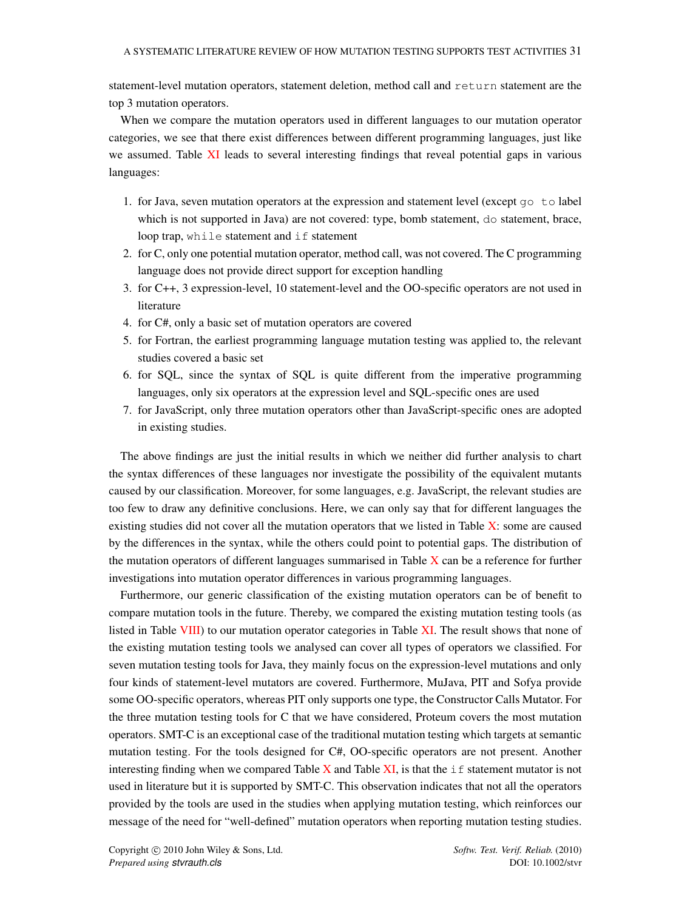statement-level mutation operators, statement deletion, method call and return statement are the top 3 mutation operators.

When we compare the mutation operators used in different languages to our mutation operator categories, we see that there exist differences between different programming languages, just like we assumed. Table [XI](#page-31-0) leads to several interesting findings that reveal potential gaps in various languages:

- 1. for Java, seven mutation operators at the expression and statement level (except  $q\circ \text{ to label}$ ) which is not supported in Java) are not covered: type, bomb statement, do statement, brace, loop trap, while statement and if statement
- 2. for C, only one potential mutation operator, method call, was not covered. The C programming language does not provide direct support for exception handling
- 3. for C++, 3 expression-level, 10 statement-level and the OO-specific operators are not used in literature
- 4. for C#, only a basic set of mutation operators are covered
- 5. for Fortran, the earliest programming language mutation testing was applied to, the relevant studies covered a basic set
- 6. for SQL, since the syntax of SQL is quite different from the imperative programming languages, only six operators at the expression level and SQL-specific ones are used
- 7. for JavaScript, only three mutation operators other than JavaScript-specific ones are adopted in existing studies.

The above findings are just the initial results in which we neither did further analysis to chart the syntax differences of these languages nor investigate the possibility of the equivalent mutants caused by our classification. Moreover, for some languages, e.g. JavaScript, the relevant studies are too few to draw any definitive conclusions. Here, we can only say that for different languages the existing studies did not cover all the mutation operators that we listed in Table [X:](#page-29-1) some are caused by the differences in the syntax, while the others could point to potential gaps. The distribution of the mutation operators of different languages summarised in Table  $X$  can be a reference for further investigations into mutation operator differences in various programming languages.

Furthermore, our generic classification of the existing mutation operators can be of benefit to compare mutation tools in the future. Thereby, we compared the existing mutation testing tools (as listed in Table [VIII\)](#page-27-1) to our mutation operator categories in Table [XI.](#page-31-0) The result shows that none of the existing mutation testing tools we analysed can cover all types of operators we classified. For seven mutation testing tools for Java, they mainly focus on the expression-level mutations and only four kinds of statement-level mutators are covered. Furthermore, MuJava, PIT and Sofya provide some OO-specific operators, whereas PIT only supports one type, the Constructor Calls Mutator. For the three mutation testing tools for C that we have considered, Proteum covers the most mutation operators. SMT-C is an exceptional case of the traditional mutation testing which targets at semantic mutation testing. For the tools designed for C#, OO-specific operators are not present. Another interesting finding when we compared Table [X](#page-29-1) and Table [XI,](#page-31-0) is that the  $\pm$  f statement mutator is not used in literature but it is supported by SMT-C. This observation indicates that not all the operators provided by the tools are used in the studies when applying mutation testing, which reinforces our message of the need for "well-defined" mutation operators when reporting mutation testing studies.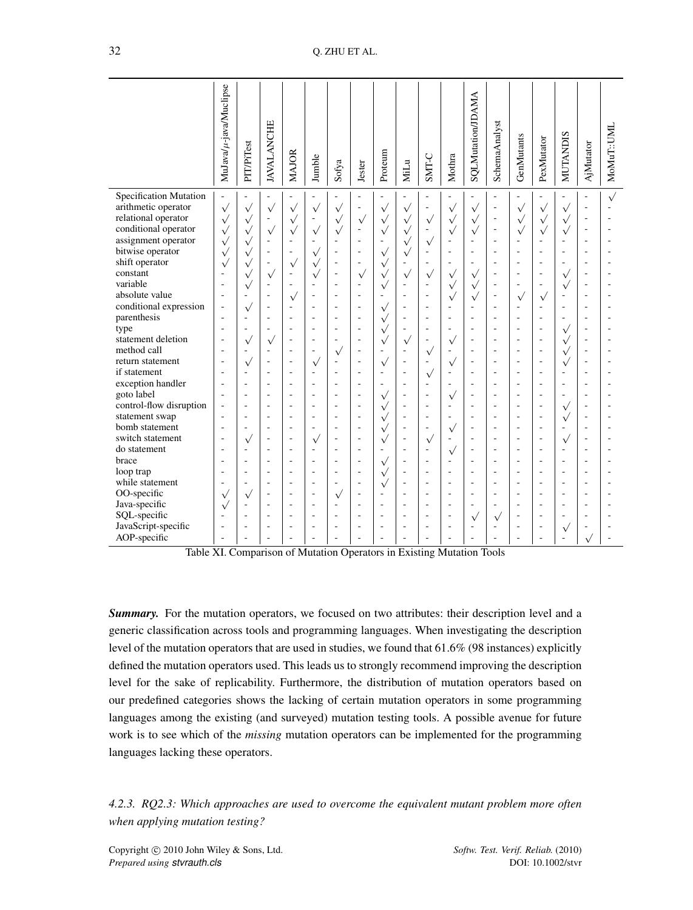<span id="page-31-0"></span>

|                                             | MuJava/µ-java/Muclipse             | PIT/PiTest               | <b>JAVALANCHE</b>        | <b>MAJOR</b>                                         | Jumble         | Sofya        | Jester                                               | Proteum                          | MiLu                     | SMT-C                                 | Mothra                   | <b>SQLMutation/JDAMA</b>         | SchemaAnalyst                                        | GenMutants                      | PexMutator   | <b>MUTANDIS</b>          | AjMutator      | MoMuT::UML |
|---------------------------------------------|------------------------------------|--------------------------|--------------------------|------------------------------------------------------|----------------|--------------|------------------------------------------------------|----------------------------------|--------------------------|---------------------------------------|--------------------------|----------------------------------|------------------------------------------------------|---------------------------------|--------------|--------------------------|----------------|------------|
| Specification Mutation                      | ÷.                                 |                          |                          |                                                      |                |              |                                                      |                                  |                          |                                       |                          |                                  | $\overline{\phantom{0}}$                             |                                 |              | ÷,                       |                | $\sqrt{ }$ |
| arithmetic operator                         | $\sqrt{}$                          | $\sqrt{}$                | $\sqrt{}$                | $\sqrt{}$                                            | $\sqrt{}$      | $\checkmark$ | $\overline{\phantom{a}}$                             | $\sqrt{}$                        | $\sqrt{}$                | ÷,                                    | $\sqrt{}$                | $\sqrt{}$                        | ä,                                                   | $\sqrt{ }$                      | $\checkmark$ | $\sqrt{}$                |                |            |
| relational operator                         | $\sqrt{}$                          | $\sqrt{}$                | $\overline{\phantom{a}}$ | $\sqrt{ }$                                           | ÷,             | $\sqrt{}$    | $\sqrt{}$                                            | $\sqrt{}$                        | $\sqrt{}$                | $\sqrt{}$                             | $\sqrt{}$                | $\sqrt{}$                        | ÷,                                                   | $\sqrt{ }$                      | $\sqrt{}$    | $\sqrt{}$                | ٠              |            |
| conditional operator<br>assignment operator | $\sqrt{}$                          | $\sqrt{}$                | $\sqrt{}$                | $\sqrt{}$<br>ä,                                      | $\sqrt{}$      | $\checkmark$ | $\overline{\phantom{a}}$<br>÷,                       | $\sqrt{}$<br>ä,                  | $\sqrt{}$<br>$\sqrt{ }$  | $\overline{\phantom{a}}$              | $\sqrt{}$                | $\sqrt{}$                        | ÷,<br>÷,                                             | $\sqrt{}$                       | $\sqrt{}$    | $\sqrt{}$<br>ä,          | ä,             |            |
| bitwise operator                            | $\sqrt{}$                          | $\sqrt{}$<br>$\sqrt{}$   |                          | $\overline{\phantom{a}}$                             | $\sqrt{}$      |              | $\overline{\phantom{m}}$                             | $\sqrt{}$                        |                          | $\sqrt{}$<br>$\overline{\phantom{a}}$ |                          |                                  | $\overline{\phantom{a}}$                             | $\overline{\phantom{a}}$        |              | ٠                        |                |            |
| shift operator                              | $\sqrt{}$<br>$\sqrt{}$             | $\sqrt{}$                | ÷                        |                                                      | $\sqrt{}$      |              | $\overline{\phantom{a}}$                             | $\sqrt{}$                        | $\sqrt{}$                | $\overline{\phantom{a}}$              | $\overline{\phantom{a}}$ | $\overline{\phantom{a}}$         | $\overline{\phantom{a}}$                             | ÷,                              | L,           | ÷,                       | ÷              |            |
| constant                                    | $\overline{a}$                     | $\sqrt{}$                | $\sqrt{}$                | $\checkmark$<br>٠                                    | $\sqrt{}$      |              | $\sqrt{}$                                            | $\sqrt{}$                        | $\sqrt{}$                | $\sqrt{}$                             | $\sqrt{}$                | $\sqrt{}$                        | $\overline{\phantom{a}}$                             | $\overline{\phantom{a}}$        |              | $\sqrt{}$                | ÷,             |            |
| variable                                    | $\overline{\phantom{a}}$           | $\sqrt{}$                | $\overline{a}$           | ٠                                                    | ÷              |              | $\overline{\phantom{a}}$                             | $\sqrt{}$                        | ÷,                       | $\overline{\phantom{a}}$              | $\sqrt{}$                | $\sqrt{}$                        | ÷,                                                   | ÷                               |              | $\sqrt{}$                |                |            |
| absolute value                              | $\sim$                             |                          |                          | $\sqrt{}$                                            | ä,             |              | ÷,                                                   | ä,                               |                          | ÷,                                    | $\sqrt{}$                | $\sqrt{}$                        | $\overline{\phantom{a}}$                             | $\sqrt{}$                       | $\sqrt{}$    | ÷,                       |                |            |
| conditional expression                      | $\overline{\phantom{a}}$           | $\sqrt{}$                | ÷                        | $\overline{\phantom{a}}$                             | ä,             | L,           | $\overline{\phantom{a}}$                             | $\sqrt{ }$                       | $\overline{\phantom{a}}$ | $\overline{\phantom{a}}$              | $\overline{\phantom{a}}$ | $\overline{\phantom{a}}$         | $\overline{\phantom{a}}$                             | ÷,                              |              | ÷,                       | ÷.             |            |
| parenthesis                                 | $\overline{\phantom{a}}$           | ÷,                       |                          | $\overline{\phantom{a}}$                             | ÷,             |              | $\overline{\phantom{a}}$                             | $\sqrt{}$                        |                          | $\overline{\phantom{a}}$              | ٠                        | $\overline{a}$                   | $\overline{\phantom{a}}$                             | $\overline{\phantom{a}}$        |              | ÷,                       | ä,             |            |
| type                                        | $\overline{\phantom{a}}$           |                          |                          | $\overline{\phantom{a}}$                             | ٠              |              | $\overline{\phantom{a}}$                             | $\sqrt{}$                        |                          | $\sim$                                |                          | L.                               | $\overline{\phantom{a}}$                             | ÷                               | L,           | $\sqrt{}$                |                |            |
| statement deletion                          | $\sim$                             | $\sqrt{}$                | $\checkmark$             | $\overline{\phantom{a}}$                             | ÷              |              | $\overline{\phantom{a}}$                             | $\sqrt{}$                        | $\sqrt{}$                | $\sim$                                | $\sqrt{}$                | ÷                                | $\overline{\phantom{a}}$                             | ÷                               | L.           | $\sqrt{}$                | ä,             |            |
| method call                                 | ÷.                                 | ÷.                       | ÷                        | ÷                                                    | ÷              | $\checkmark$ | ÷.                                                   | $\sim$                           | ÷.                       | $\sqrt{}$                             | ÷.                       | $\overline{a}$                   | $\overline{a}$                                       | ÷                               | ä,           | $\sqrt{}$                | ÷              |            |
| return statement                            | $\overline{\phantom{a}}$           | $\checkmark$             | ÷,                       | $\overline{\phantom{a}}$                             | $\sqrt{}$      |              | $\overline{\phantom{a}}$                             | $\sqrt{}$                        | $\overline{\phantom{a}}$ | $\overline{\phantom{a}}$              | $\checkmark$             | ٠                                | $\overline{\phantom{a}}$                             | $\overline{\phantom{a}}$        | ä,           | $\sqrt{}$                | ä,             |            |
| if statement<br>exception handler           | $\sim$<br>$\overline{\phantom{a}}$ |                          | ÷                        | $\overline{\phantom{a}}$<br>$\overline{\phantom{a}}$ | ÷,<br>÷,       |              | $\overline{\phantom{a}}$<br>$\overline{\phantom{a}}$ | $\overline{a}$<br>$\overline{a}$ |                          | $\sqrt{}$<br>$\overline{\phantom{a}}$ | ٠<br>$\overline{a}$      | $\overline{a}$<br>$\overline{a}$ | $\overline{\phantom{a}}$<br>$\overline{\phantom{a}}$ | $\rightarrow$<br>$\overline{a}$ |              | Ē,<br>÷,                 | ÷,             |            |
| goto label                                  | $\sim$                             | $\overline{\phantom{a}}$ | ÷                        | $\sim$                                               | $\overline{a}$ | ÷            | $\overline{\phantom{a}}$                             |                                  | ÷.                       | $\overline{\phantom{a}}$              |                          | ٠                                | $\overline{\phantom{a}}$                             | $\overline{a}$                  | ÷,           | $\overline{\phantom{a}}$ | $\overline{a}$ |            |
| control-flow disruption                     | $\sim$                             | $\overline{\phantom{a}}$ | ä,                       | ÷                                                    | ٠              | ÷,           | ÷,                                                   | $\sqrt{}$<br>$\sqrt{}$           |                          | $\sim$                                | $\sqrt{}$<br>÷           | $\overline{a}$                   | $\overline{a}$                                       | ÷                               | L.           |                          | ÷.             |            |
| statement swap                              | $\overline{\phantom{a}}$           |                          |                          | $\overline{\phantom{a}}$                             | ٠              |              | $\overline{\phantom{a}}$                             | $\sqrt{}$                        |                          | $\overline{\phantom{a}}$              |                          | L.                               | $\overline{\phantom{a}}$                             | $\rightarrow$                   | ä,           | $\sqrt{}$<br>$\sqrt{}$   |                |            |
| bomb statement                              | $\sim$                             |                          | ÷                        | $\overline{\phantom{a}}$                             | ä,             |              | $\overline{\phantom{a}}$                             | $\sqrt{}$                        | L,                       | $\sim$                                | $\sqrt{}$                | ٠                                | $\overline{\phantom{a}}$                             | $\overline{\phantom{a}}$        | ä,           | ä,                       | ÷,             |            |
| switch statement                            | $\overline{\phantom{a}}$           | $\checkmark$             | ٠                        | $\sim$                                               | $\sqrt{}$      | ÷            | $\overline{\phantom{a}}$                             | $\sqrt{ }$                       | $\sim$                   | $\sqrt{}$                             | $\sim$                   | ۰                                | $\overline{\phantom{a}}$                             | ٠                               | ٠            | $\sqrt{}$                | ۰.             |            |
| do statement                                | $\overline{a}$                     | $\overline{\phantom{a}}$ | ٠                        | ÷.                                                   | ٠              |              | $\overline{a}$                                       | ÷,                               |                          | ÷                                     | $\sqrt{}$                | ÷                                | $\overline{a}$                                       | ٠                               | ٠            | L.                       | ٠              |            |
| brace                                       | $\overline{a}$                     |                          |                          | ÷                                                    | ٠              |              | ÷                                                    | $\sqrt{}$                        |                          | $\sim$                                | $\overline{a}$           | ۰                                | ÷                                                    | $\overline{a}$                  |              | ä,                       |                |            |
| loop trap                                   | $\overline{\phantom{a}}$           |                          | ÷                        | $\overline{\phantom{a}}$                             | ÷,             |              | $\overline{\phantom{a}}$                             | $\sqrt{}$                        | ÷,                       | $\overline{\phantom{a}}$              | $\overline{a}$           | $\overline{a}$                   | $\overline{\phantom{a}}$                             | $\overline{a}$                  | ÷,           | ÷,                       | ÷              |            |
| while statement                             | $\overline{\phantom{a}}$           | $\overline{\phantom{a}}$ | ٠                        | $\sim$                                               | ٠              | ÷            | $\overline{\phantom{a}}$                             | $\sqrt{}$                        | ÷                        | $\sim$                                | $\overline{\phantom{a}}$ | ٠                                | $\sim$                                               | ٠                               | ٠            | $\overline{a}$           | ۰.             |            |
| OO-specific                                 | $\sqrt{}$                          | $\sqrt{}$                | ٠                        | ٠                                                    | ۰              | $\sqrt{ }$   | $\overline{\phantom{a}}$                             | ٠                                | ÷                        | $\overline{a}$                        | $\overline{\phantom{a}}$ | ٠                                | $\overline{a}$                                       | ٠                               | ٠            | ÷                        | ٠              |            |
| Java-specific                               | $\sqrt{}$                          | ٠                        | ÷                        | $\sim$                                               | ٠              | ÷            | $\overline{a}$                                       | ÷                                | $\overline{\phantom{a}}$ | ÷.                                    | ÷                        | ٠                                | $\overline{a}$                                       | ٠                               |              | $\overline{a}$           |                |            |
| SQL-specific                                | ÷                                  |                          | ÷                        | ÷,                                                   | ÷              | ä,           | ÷                                                    | $\overline{a}$                   | $\overline{a}$           | $\sim$                                | ÷.                       | $\sqrt{}$                        | $\sqrt{}$                                            | ÷                               | ä,           | ä,                       |                |            |
| JavaScript-specific                         | $\sim$                             | $\overline{a}$           | ÷                        | $\sim$                                               | ÷,             | ÷,           | $\overline{\phantom{a}}$                             | $\sim$                           | $\sim$                   | $\sim$                                | $\overline{a}$           | $\overline{a}$                   | $\sim$                                               | $\overline{a}$                  | Ē,           | $\sqrt{}$                | ÷,             |            |
| AOP-specific                                | $\overline{\phantom{a}}$           |                          |                          | ٠                                                    | ٠              |              | ٠                                                    | ÷                                |                          | ٠                                     |                          |                                  |                                                      |                                 |              | ÷,                       |                |            |

Table XI. Comparison of Mutation Operators in Existing Mutation Tools

**Summary.** For the mutation operators, we focused on two attributes: their description level and a generic classification across tools and programming languages. When investigating the description level of the mutation operators that are used in studies, we found that 61.6% (98 instances) explicitly defined the mutation operators used. This leads us to strongly recommend improving the description level for the sake of replicability. Furthermore, the distribution of mutation operators based on our predefined categories shows the lacking of certain mutation operators in some programming languages among the existing (and surveyed) mutation testing tools. A possible avenue for future work is to see which of the *missing* mutation operators can be implemented for the programming languages lacking these operators.

<span id="page-31-1"></span>*4.2.3. RQ2.3: Which approaches are used to overcome the equivalent mutant problem more often when applying mutation testing?*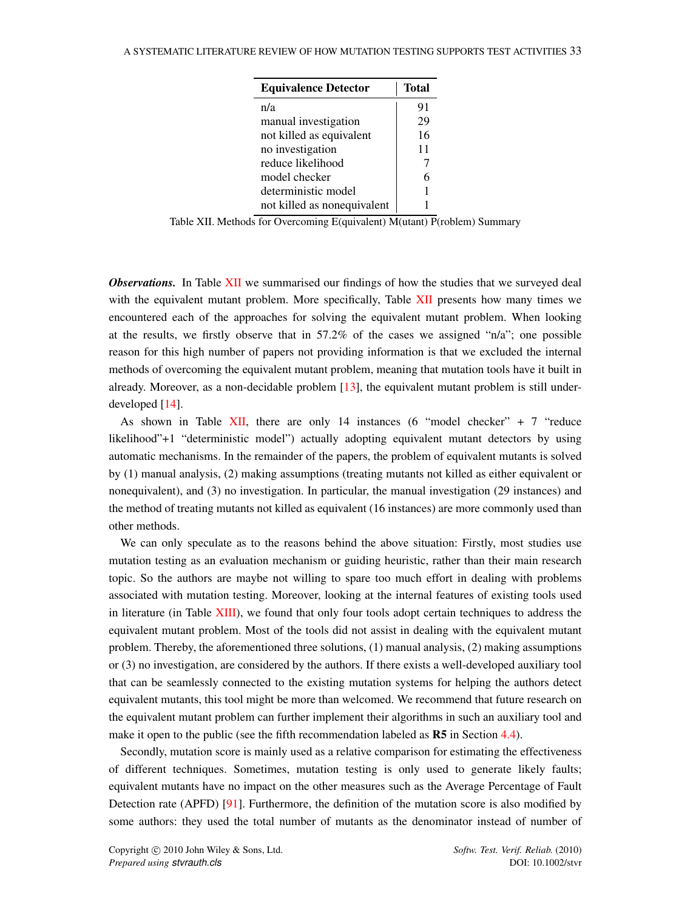<span id="page-32-0"></span>

| <b>Equivalence Detector</b> | <b>Total</b> |
|-----------------------------|--------------|
| n/a                         | 91           |
| manual investigation        | 29           |
| not killed as equivalent    | 16           |
| no investigation            | 11           |
| reduce likelihood           |              |
| model checker               | 6            |
| deterministic model         |              |
| not killed as nonequivalent |              |

Table XII. Methods for Overcoming E(quivalent) M(utant) P(roblem) Summary

*Observations.* In Table [XII](#page-32-0) we summarised our findings of how the studies that we surveyed deal with the equivalent mutant problem. More specifically, Table [XII](#page-32-0) presents how many times we encountered each of the approaches for solving the equivalent mutant problem. When looking at the results, we firstly observe that in 57.2% of the cases we assigned "n/a"; one possible reason for this high number of papers not providing information is that we excluded the internal methods of overcoming the equivalent mutant problem, meaning that mutation tools have it built in already. Moreover, as a non-decidable problem  $[13]$ , the equivalent mutant problem is still underdeveloped [\[14\]](#page-45-12).

As shown in Table  $XII$ , there are only 14 instances (6 "model checker" + 7 "reduce likelihood"+1 "deterministic model") actually adopting equivalent mutant detectors by using automatic mechanisms. In the remainder of the papers, the problem of equivalent mutants is solved by (1) manual analysis, (2) making assumptions (treating mutants not killed as either equivalent or nonequivalent), and (3) no investigation. In particular, the manual investigation (29 instances) and the method of treating mutants not killed as equivalent (16 instances) are more commonly used than other methods.

We can only speculate as to the reasons behind the above situation: Firstly, most studies use mutation testing as an evaluation mechanism or guiding heuristic, rather than their main research topic. So the authors are maybe not willing to spare too much effort in dealing with problems associated with mutation testing. Moreover, looking at the internal features of existing tools used in literature (in Table [XIII\)](#page-33-0), we found that only four tools adopt certain techniques to address the equivalent mutant problem. Most of the tools did not assist in dealing with the equivalent mutant problem. Thereby, the aforementioned three solutions, (1) manual analysis, (2) making assumptions or (3) no investigation, are considered by the authors. If there exists a well-developed auxiliary tool that can be seamlessly connected to the existing mutation systems for helping the authors detect equivalent mutants, this tool might be more than welcomed. We recommend that future research on the equivalent mutant problem can further implement their algorithms in such an auxiliary tool and make it open to the public (see the fifth recommendation labeled as **R5** in Section [4.4\)](#page-39-0).

Secondly, mutation score is mainly used as a relative comparison for estimating the effectiveness of different techniques. Sometimes, mutation testing is only used to generate likely faults; equivalent mutants have no impact on the other measures such as the Average Percentage of Fault Detection rate (APFD) [\[91\]](#page-48-6). Furthermore, the definition of the mutation score is also modified by some authors: they used the total number of mutants as the denominator instead of number of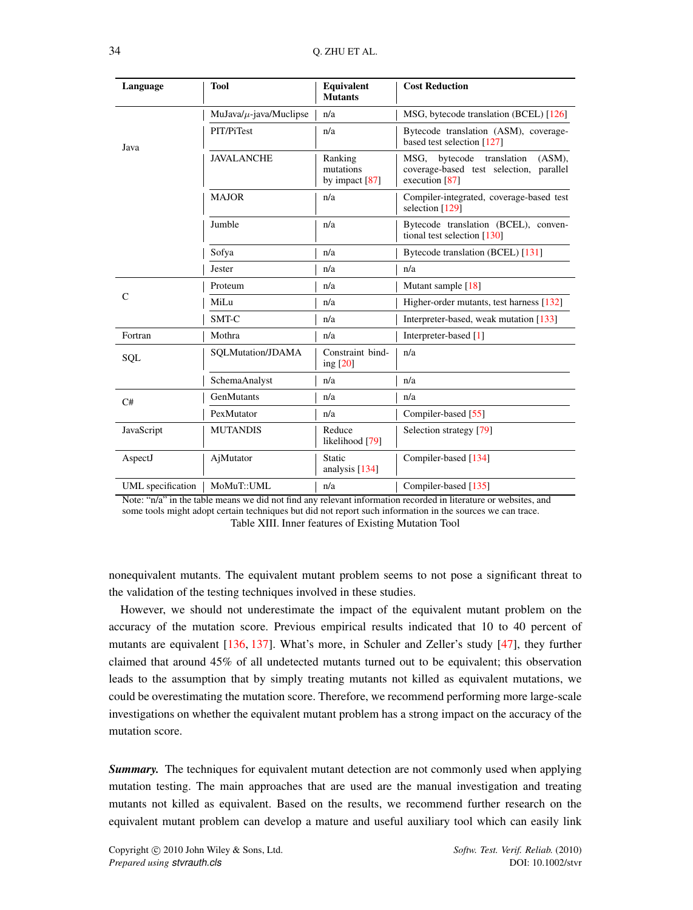<span id="page-33-0"></span>

| Language          | <b>Tool</b>                  | <b>Equivalent</b><br><b>Mutants</b>      | <b>Cost Reduction</b>                                                                                  |  |  |
|-------------------|------------------------------|------------------------------------------|--------------------------------------------------------------------------------------------------------|--|--|
|                   | MuJava/ $\mu$ -java/Muclipse | n/a                                      | MSG, bytecode translation (BCEL) [126]                                                                 |  |  |
| Java              | PIT/PiTest                   | n/a                                      | Bytecode translation (ASM), coverage-<br>based test selection [127]                                    |  |  |
|                   | <b>JAVALANCHE</b>            | Ranking<br>mutations<br>by impact $[87]$ | translation<br>MSG.<br>bytecode<br>(ASM).<br>coverage-based test selection, parallel<br>execution [87] |  |  |
|                   | <b>MAJOR</b>                 | n/a                                      | Compiler-integrated, coverage-based test<br>selection [129]                                            |  |  |
|                   | Jumble                       | n/a                                      | Bytecode translation (BCEL), conven-<br>tional test selection $[130]$                                  |  |  |
|                   | Sofya                        | n/a                                      | Bytecode translation (BCEL) [131]                                                                      |  |  |
|                   | Jester                       | n/a                                      | n/a                                                                                                    |  |  |
|                   | Proteum                      | n/a                                      | Mutant sample [18]                                                                                     |  |  |
| $\mathsf{C}$      | MiLu                         | n/a                                      | Higher-order mutants, test harness [132]                                                               |  |  |
|                   | SMT-C                        | n/a                                      | Interpreter-based, weak mutation [133]                                                                 |  |  |
| Fortran           | Mothra                       | n/a                                      | Interpreter-based [1]                                                                                  |  |  |
| SQL               | SQLMutation/JDAMA            | Constraint bind-<br>ing [20]             | n/a                                                                                                    |  |  |
|                   | SchemaAnalyst                | n/a                                      | n/a                                                                                                    |  |  |
| C#                | GenMutants                   | n/a                                      | n/a                                                                                                    |  |  |
|                   | PexMutator                   | n/a                                      | Compiler-based [55]                                                                                    |  |  |
| JavaScript        | <b>MUTANDIS</b>              | Reduce<br>likelihood [79]                | Selection strategy [79]                                                                                |  |  |
| AspectJ           | AjMutator                    | Static<br>analysis $[134]$               | Compiler-based [134]                                                                                   |  |  |
| UML specification | MoMuT::UML                   | n/a                                      | Compiler-based [135]                                                                                   |  |  |

Note: "n/a" in the table means we did not find any relevant information recorded in literature or websites, and some tools might adopt certain techniques but did not report such information in the sources we can trace. Table XIII. Inner features of Existing Mutation Tool

nonequivalent mutants. The equivalent mutant problem seems to not pose a significant threat to the validation of the testing techniques involved in these studies.

However, we should not underestimate the impact of the equivalent mutant problem on the accuracy of the mutation score. Previous empirical results indicated that 10 to 40 percent of mutants are equivalent [\[136,](#page-50-1) [137\]](#page-50-2). What's more, in Schuler and Zeller's study [\[47\]](#page-46-15), they further claimed that around 45% of all undetected mutants turned out to be equivalent; this observation leads to the assumption that by simply treating mutants not killed as equivalent mutations, we could be overestimating the mutation score. Therefore, we recommend performing more large-scale investigations on whether the equivalent mutant problem has a strong impact on the accuracy of the mutation score.

*Summary.* The techniques for equivalent mutant detection are not commonly used when applying mutation testing. The main approaches that are used are the manual investigation and treating mutants not killed as equivalent. Based on the results, we recommend further research on the equivalent mutant problem can develop a mature and useful auxiliary tool which can easily link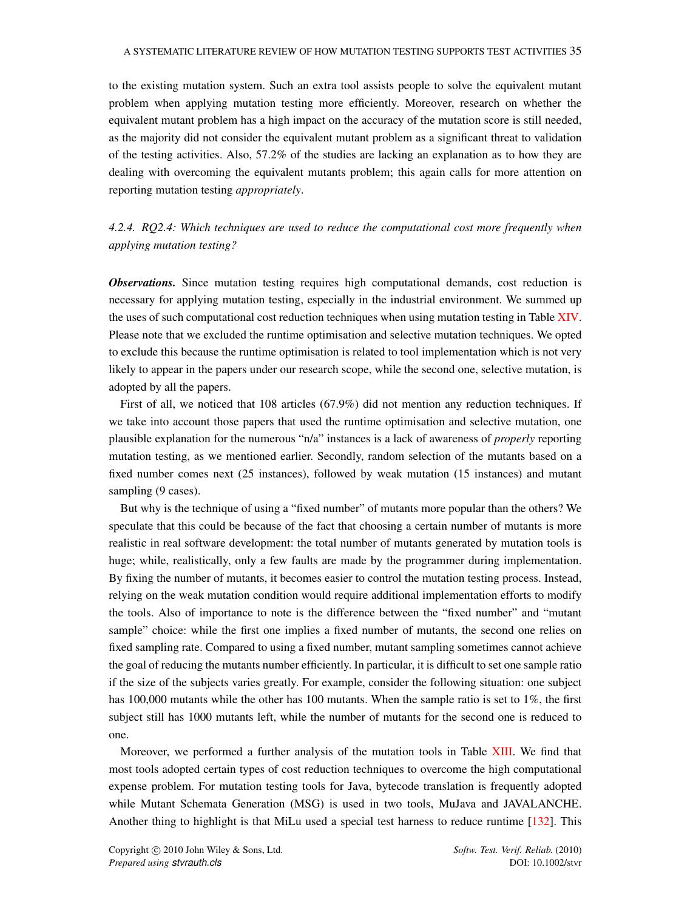### A SYSTEMATIC LITERATURE REVIEW OF HOW MUTATION TESTING SUPPORTS TEST ACTIVITIES 35

to the existing mutation system. Such an extra tool assists people to solve the equivalent mutant problem when applying mutation testing more efficiently. Moreover, research on whether the equivalent mutant problem has a high impact on the accuracy of the mutation score is still needed, as the majority did not consider the equivalent mutant problem as a significant threat to validation of the testing activities. Also, 57.2% of the studies are lacking an explanation as to how they are dealing with overcoming the equivalent mutants problem; this again calls for more attention on reporting mutation testing *appropriately*.

# <span id="page-34-0"></span>*4.2.4. RQ2.4: Which techniques are used to reduce the computational cost more frequently when applying mutation testing?*

*Observations.* Since mutation testing requires high computational demands, cost reduction is necessary for applying mutation testing, especially in the industrial environment. We summed up the uses of such computational cost reduction techniques when using mutation testing in Table [XIV.](#page-35-0) Please note that we excluded the runtime optimisation and selective mutation techniques. We opted to exclude this because the runtime optimisation is related to tool implementation which is not very likely to appear in the papers under our research scope, while the second one, selective mutation, is adopted by all the papers.

First of all, we noticed that 108 articles (67.9%) did not mention any reduction techniques. If we take into account those papers that used the runtime optimisation and selective mutation, one plausible explanation for the numerous "n/a" instances is a lack of awareness of *properly* reporting mutation testing, as we mentioned earlier. Secondly, random selection of the mutants based on a fixed number comes next (25 instances), followed by weak mutation (15 instances) and mutant sampling (9 cases).

But why is the technique of using a "fixed number" of mutants more popular than the others? We speculate that this could be because of the fact that choosing a certain number of mutants is more realistic in real software development: the total number of mutants generated by mutation tools is huge; while, realistically, only a few faults are made by the programmer during implementation. By fixing the number of mutants, it becomes easier to control the mutation testing process. Instead, relying on the weak mutation condition would require additional implementation efforts to modify the tools. Also of importance to note is the difference between the "fixed number" and "mutant sample" choice: while the first one implies a fixed number of mutants, the second one relies on fixed sampling rate. Compared to using a fixed number, mutant sampling sometimes cannot achieve the goal of reducing the mutants number efficiently. In particular, it is difficult to set one sample ratio if the size of the subjects varies greatly. For example, consider the following situation: one subject has 100,000 mutants while the other has 100 mutants. When the sample ratio is set to 1%, the first subject still has 1000 mutants left, while the number of mutants for the second one is reduced to one.

Moreover, we performed a further analysis of the mutation tools in Table [XIII.](#page-33-0) We find that most tools adopted certain types of cost reduction techniques to overcome the high computational expense problem. For mutation testing tools for Java, bytecode translation is frequently adopted while Mutant Schemata Generation (MSG) is used in two tools, MuJava and JAVALANCHE. Another thing to highlight is that MiLu used a special test harness to reduce runtime [\[132\]](#page-49-20). This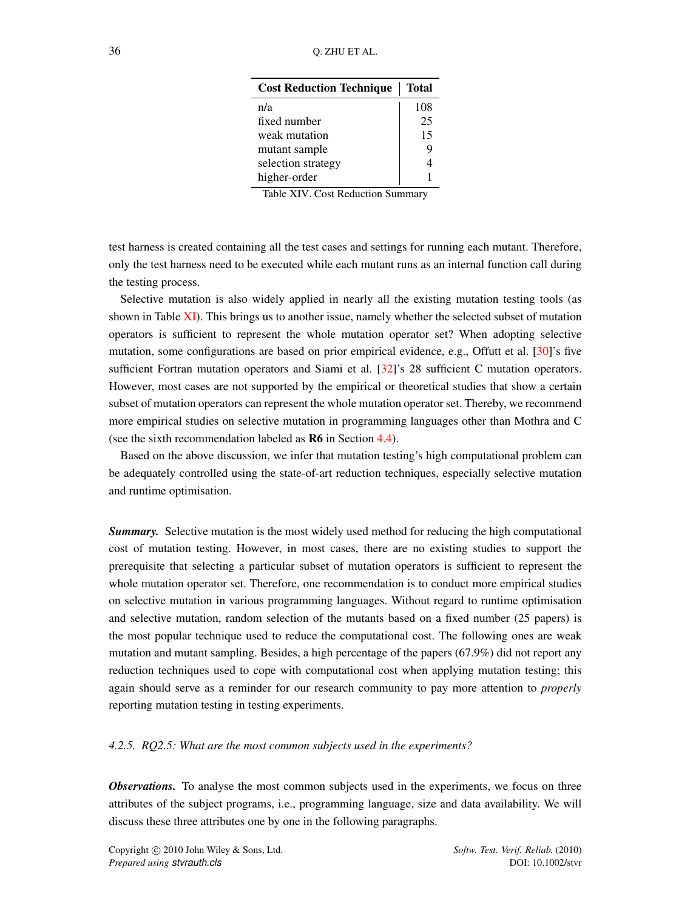<span id="page-35-0"></span>

| <b>Cost Reduction Technique</b> | Total |
|---------------------------------|-------|
| n/a                             | 108   |
| fixed number                    | 25    |
| weak mutation                   | 15    |
| mutant sample                   | 9     |
| selection strategy              |       |
| higher-order                    |       |

Table XIV. Cost Reduction Summary

test harness is created containing all the test cases and settings for running each mutant. Therefore, only the test harness need to be executed while each mutant runs as an internal function call during the testing process.

Selective mutation is also widely applied in nearly all the existing mutation testing tools (as shown in Table [XI\)](#page-31-0). This brings us to another issue, namely whether the selected subset of mutation operators is sufficient to represent the whole mutation operator set? When adopting selective mutation, some configurations are based on prior empirical evidence, e.g., Offutt et al. [\[30\]](#page-45-28)'s five sufficient Fortran mutation operators and Siami et al. [\[32\]](#page-46-0)'s 28 sufficient C mutation operators. However, most cases are not supported by the empirical or theoretical studies that show a certain subset of mutation operators can represent the whole mutation operator set. Thereby, we recommend more empirical studies on selective mutation in programming languages other than Mothra and C (see the sixth recommendation labeled as R6 in Section [4.4\)](#page-39-0).

Based on the above discussion, we infer that mutation testing's high computational problem can be adequately controlled using the state-of-art reduction techniques, especially selective mutation and runtime optimisation.

*Summary.* Selective mutation is the most widely used method for reducing the high computational cost of mutation testing. However, in most cases, there are no existing studies to support the prerequisite that selecting a particular subset of mutation operators is sufficient to represent the whole mutation operator set. Therefore, one recommendation is to conduct more empirical studies on selective mutation in various programming languages. Without regard to runtime optimisation and selective mutation, random selection of the mutants based on a fixed number (25 papers) is the most popular technique used to reduce the computational cost. The following ones are weak mutation and mutant sampling. Besides, a high percentage of the papers (67.9%) did not report any reduction techniques used to cope with computational cost when applying mutation testing; this again should serve as a reminder for our research community to pay more attention to *properly* reporting mutation testing in testing experiments.

### <span id="page-35-1"></span>*4.2.5. RQ2.5: What are the most common subjects used in the experiments?*

**Observations.** To analyse the most common subjects used in the experiments, we focus on three attributes of the subject programs, i.e., programming language, size and data availability. We will discuss these three attributes one by one in the following paragraphs.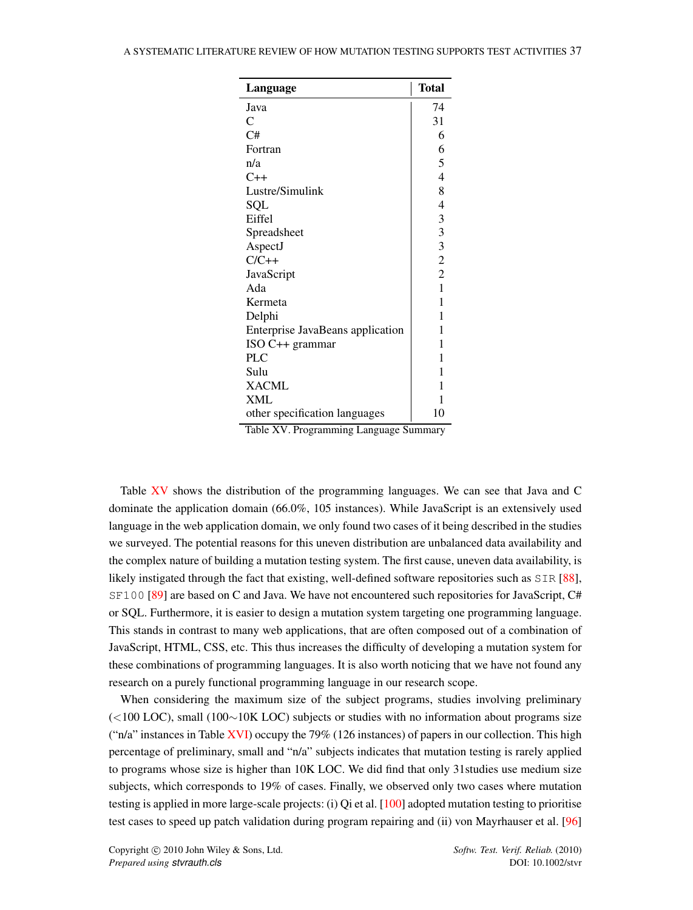<span id="page-36-0"></span>

| Language                         | <b>Total</b>            |
|----------------------------------|-------------------------|
| Java                             | 74                      |
| C                                | 31                      |
| C#                               | 6                       |
| Fortran                          | 6                       |
| n/a                              | 5                       |
| $C++$                            | $\overline{4}$          |
| Lustre/Simulink                  | 8                       |
| SQL                              | $\overline{4}$          |
| Eiffel                           | 3                       |
| Spreadsheet                      | $\overline{\mathbf{3}}$ |
| AspectJ                          | $\overline{\mathbf{3}}$ |
| $C/C++$                          | $\overline{c}$          |
| JavaScript                       | $\overline{2}$          |
| Ada                              | $\mathbf{1}$            |
| Kermeta                          | 1                       |
| Delphi                           | 1                       |
| Enterprise JavaBeans application | 1                       |
| $ISO C++ grammar$                | 1                       |
| PLC                              | 1                       |
| Sulu                             | 1                       |
| <b>XACML</b>                     | 1                       |
| XML                              | 1                       |
| other specification languages    | 10                      |

Table XV. Programming Language Summary

Table [XV](#page-36-0) shows the distribution of the programming languages. We can see that Java and C dominate the application domain (66.0%, 105 instances). While JavaScript is an extensively used language in the web application domain, we only found two cases of it being described in the studies we surveyed. The potential reasons for this uneven distribution are unbalanced data availability and the complex nature of building a mutation testing system. The first cause, uneven data availability, is likely instigated through the fact that existing, well-defined software repositories such as SIR [\[88\]](#page-48-3), SF100 [\[89\]](#page-48-4) are based on C and Java. We have not encountered such repositories for JavaScript, C# or SQL. Furthermore, it is easier to design a mutation system targeting one programming language. This stands in contrast to many web applications, that are often composed out of a combination of JavaScript, HTML, CSS, etc. This thus increases the difficulty of developing a mutation system for these combinations of programming languages. It is also worth noticing that we have not found any research on a purely functional programming language in our research scope.

When considering the maximum size of the subject programs, studies involving preliminary  $(<100$  LOC), small  $(100~10K$  LOC) subjects or studies with no information about programs size ("n/a" instances in Table [XVI\)](#page-37-0) occupy the 79% (126 instances) of papers in our collection. This high percentage of preliminary, small and "n/a" subjects indicates that mutation testing is rarely applied to programs whose size is higher than 10K LOC. We did find that only 31studies use medium size subjects, which corresponds to 19% of cases. Finally, we observed only two cases where mutation testing is applied in more large-scale projects: (i) Qi et al. [\[100\]](#page-48-14) adopted mutation testing to prioritise test cases to speed up patch validation during program repairing and (ii) von Mayrhauser et al. [\[96\]](#page-48-10)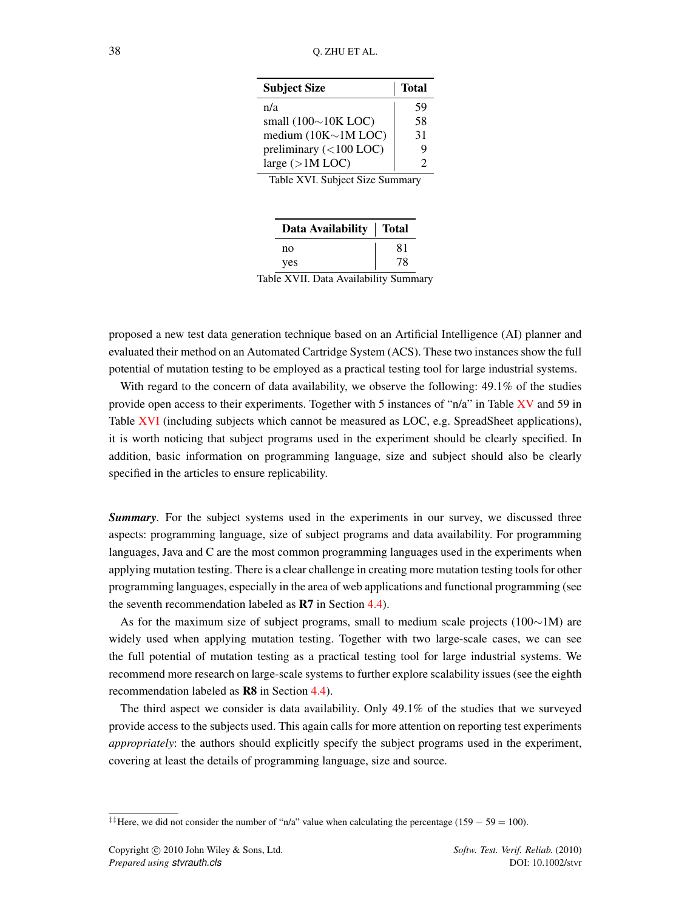<span id="page-37-0"></span>

| <b>Subject Size</b>        | Total |  |  |
|----------------------------|-------|--|--|
| n/a                        | 59    |  |  |
| small $(100\sim)10K$ LOC)  | 58    |  |  |
| medium $(10K \sim 1M$ LOC) | 31    |  |  |
| preliminary (<100 LOC)     | Q     |  |  |
| large $(>1M$ LOC)          | っ     |  |  |

Table XVI. Subject Size Summary

| Data Availability   Total |    |
|---------------------------|----|
| no                        | 81 |
| yes                       | 78 |

Table XVII. Data Availability Summary

proposed a new test data generation technique based on an Artificial Intelligence (AI) planner and evaluated their method on an Automated Cartridge System (ACS). These two instances show the full potential of mutation testing to be employed as a practical testing tool for large industrial systems.

With regard to the concern of data availability, we observe the following: 49.1% of the studies provide open access to their experiments. Together with 5 instances of "n/a" in Table [XV](#page-36-0) and 59 in Table [XVI](#page-37-0) (including subjects which cannot be measured as LOC, e.g. SpreadSheet applications), it is worth noticing that subject programs used in the experiment should be clearly specified. In addition, basic information on programming language, size and subject should also be clearly specified in the articles to ensure replicability.

*Summary.* For the subject systems used in the experiments in our survey, we discussed three aspects: programming language, size of subject programs and data availability. For programming languages, Java and C are the most common programming languages used in the experiments when applying mutation testing. There is a clear challenge in creating more mutation testing tools for other programming languages, especially in the area of web applications and functional programming (see the seventh recommendation labeled as R7 in Section [4.4\)](#page-39-0).

As for the maximum size of subject programs, small to medium scale projects ( $100~1M$ ) are widely used when applying mutation testing. Together with two large-scale cases, we can see the full potential of mutation testing as a practical testing tool for large industrial systems. We recommend more research on large-scale systems to further explore scalability issues (see the eighth recommendation labeled as R8 in Section [4.4\)](#page-39-0).

The third aspect we consider is data availability. Only 49.1% of the studies that we surveyed provide access to the subjects used. This again calls for more attention on reporting test experiments *appropriately*: the authors should explicitly specify the subject programs used in the experiment, covering at least the details of programming language, size and source.

<sup>&</sup>lt;sup>‡‡</sup>Here, we did not consider the number of "n/a" value when calculating the percentage (159 – 59 = 100).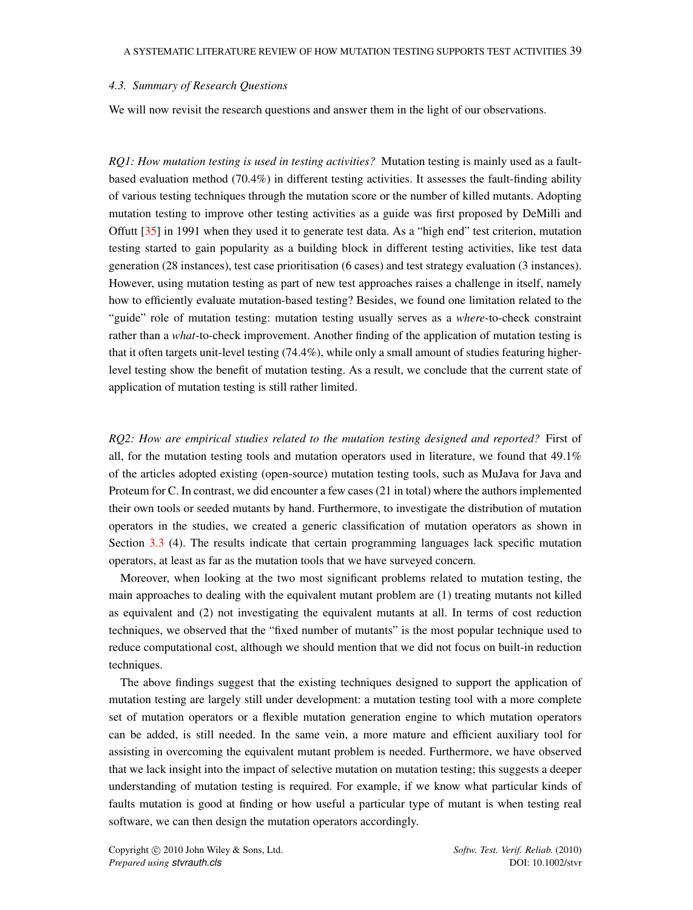### <span id="page-38-0"></span>*4.3. Summary of Research Questions*

We will now revisit the research questions and answer them in the light of our observations.

*RQ1: How mutation testing is used in testing activities?* Mutation testing is mainly used as a faultbased evaluation method (70.4%) in different testing activities. It assesses the fault-finding ability of various testing techniques through the mutation score or the number of killed mutants. Adopting mutation testing to improve other testing activities as a guide was first proposed by DeMilli and Offutt [\[35\]](#page-46-2) in 1991 when they used it to generate test data. As a "high end" test criterion, mutation testing started to gain popularity as a building block in different testing activities, like test data generation (28 instances), test case prioritisation (6 cases) and test strategy evaluation (3 instances). However, using mutation testing as part of new test approaches raises a challenge in itself, namely how to efficiently evaluate mutation-based testing? Besides, we found one limitation related to the "guide" role of mutation testing: mutation testing usually serves as a *where*-to-check constraint rather than a *what*-to-check improvement. Another finding of the application of mutation testing is that it often targets unit-level testing (74.4%), while only a small amount of studies featuring higherlevel testing show the benefit of mutation testing. As a result, we conclude that the current state of application of mutation testing is still rather limited.

*RQ2: How are empirical studies related to the mutation testing designed and reported?* First of all, for the mutation testing tools and mutation operators used in literature, we found that 49.1% of the articles adopted existing (open-source) mutation testing tools, such as MuJava for Java and Proteum for C. In contrast, we did encounter a few cases (21 in total) where the authors implemented their own tools or seeded mutants by hand. Furthermore, to investigate the distribution of mutation operators in the studies, we created a generic classification of mutation operators as shown in Section [3.3](#page-10-0) (4). The results indicate that certain programming languages lack specific mutation operators, at least as far as the mutation tools that we have surveyed concern.

Moreover, when looking at the two most significant problems related to mutation testing, the main approaches to dealing with the equivalent mutant problem are (1) treating mutants not killed as equivalent and (2) not investigating the equivalent mutants at all. In terms of cost reduction techniques, we observed that the "fixed number of mutants" is the most popular technique used to reduce computational cost, although we should mention that we did not focus on built-in reduction techniques.

The above findings suggest that the existing techniques designed to support the application of mutation testing are largely still under development: a mutation testing tool with a more complete set of mutation operators or a flexible mutation generation engine to which mutation operators can be added, is still needed. In the same vein, a more mature and efficient auxiliary tool for assisting in overcoming the equivalent mutant problem is needed. Furthermore, we have observed that we lack insight into the impact of selective mutation on mutation testing; this suggests a deeper understanding of mutation testing is required. For example, if we know what particular kinds of faults mutation is good at finding or how useful a particular type of mutant is when testing real software, we can then design the mutation operators accordingly.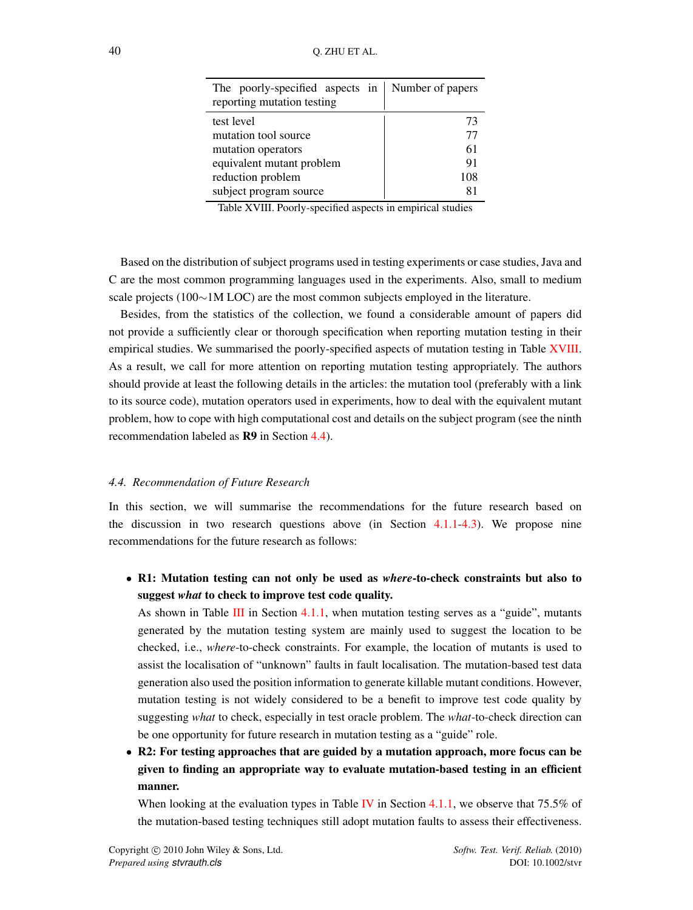<span id="page-39-1"></span>

| The poorly-specified aspects in   Number of papers<br>reporting mutation testing |     |
|----------------------------------------------------------------------------------|-----|
| test level                                                                       | 73  |
| mutation tool source                                                             | 77  |
| mutation operators                                                               | 61  |
| equivalent mutant problem                                                        | 91  |
| reduction problem                                                                | 108 |
| subject program source                                                           |     |

Table XVIII. Poorly-specified aspects in empirical studies

Based on the distribution of subject programs used in testing experiments or case studies, Java and C are the most common programming languages used in the experiments. Also, small to medium scale projects ( $100~1$ M LOC) are the most common subjects employed in the literature.

Besides, from the statistics of the collection, we found a considerable amount of papers did not provide a sufficiently clear or thorough specification when reporting mutation testing in their empirical studies. We summarised the poorly-specified aspects of mutation testing in Table [XVIII.](#page-39-1) As a result, we call for more attention on reporting mutation testing appropriately. The authors should provide at least the following details in the articles: the mutation tool (preferably with a link to its source code), mutation operators used in experiments, how to deal with the equivalent mutant problem, how to cope with high computational cost and details on the subject program (see the ninth recommendation labeled as R9 in Section [4.4\)](#page-39-0).

#### <span id="page-39-0"></span>*4.4. Recommendation of Future Research*

In this section, we will summarise the recommendations for the future research based on the discussion in two research questions above (in Section  $4.1.1-4.3$  $4.1.1-4.3$ ). We propose nine recommendations for the future research as follows:

*•* R1: Mutation testing can not only be used as *where*-to-check constraints but also to suggest *what* to check to improve test code quality.

As shown in Table [III](#page-20-1) in Section [4.1.1,](#page-20-2) when mutation testing serves as a "guide", mutants generated by the mutation testing system are mainly used to suggest the location to be checked, i.e., *where*-to-check constraints. For example, the location of mutants is used to assist the localisation of "unknown" faults in fault localisation. The mutation-based test data generation also used the position information to generate killable mutant conditions. However, mutation testing is not widely considered to be a benefit to improve test code quality by suggesting *what* to check, especially in test oracle problem. The *what*-to-check direction can be one opportunity for future research in mutation testing as a "guide" role.

*•* R2: For testing approaches that are guided by a mutation approach, more focus can be given to finding an appropriate way to evaluate mutation-based testing in an efficient manner.

When looking at the evaluation types in Table [IV](#page-23-0) in Section [4.1.1,](#page-20-2) we observe that 75.5% of the mutation-based testing techniques still adopt mutation faults to assess their effectiveness.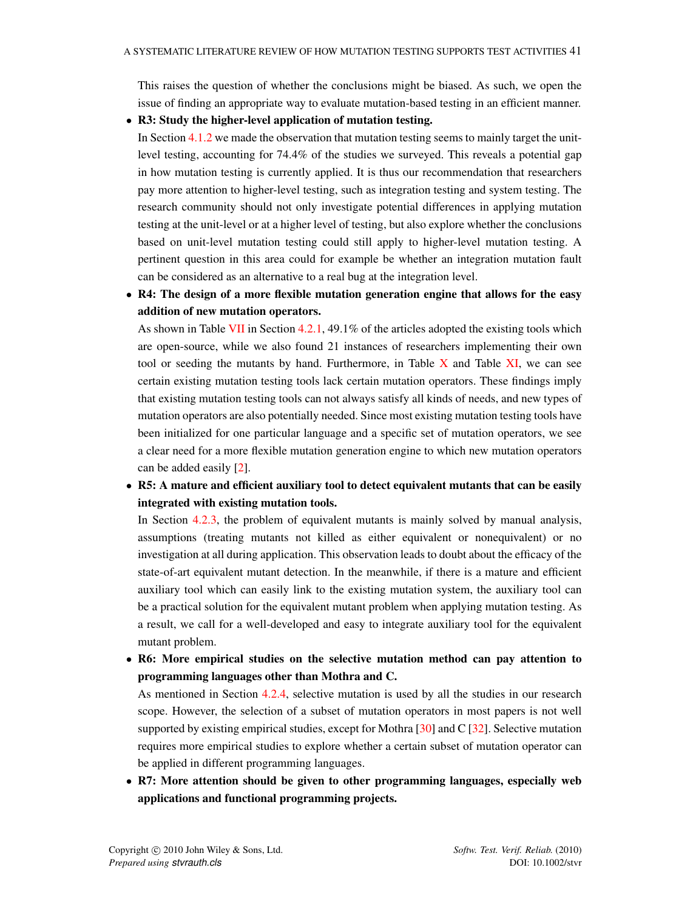This raises the question of whether the conclusions might be biased. As such, we open the issue of finding an appropriate way to evaluate mutation-based testing in an efficient manner.

### *•* R3: Study the higher-level application of mutation testing.

In Section [4.1.2](#page-24-1) we made the observation that mutation testing seems to mainly target the unitlevel testing, accounting for 74.4% of the studies we surveyed. This reveals a potential gap in how mutation testing is currently applied. It is thus our recommendation that researchers pay more attention to higher-level testing, such as integration testing and system testing. The research community should not only investigate potential differences in applying mutation testing at the unit-level or at a higher level of testing, but also explore whether the conclusions based on unit-level mutation testing could still apply to higher-level mutation testing. A pertinent question in this area could for example be whether an integration mutation fault can be considered as an alternative to a real bug at the integration level.

*•* R4: The design of a more flexible mutation generation engine that allows for the easy addition of new mutation operators.

As shown in Table [VII](#page-27-0) in Section [4.2.1,](#page-26-2) 49.1% of the articles adopted the existing tools which are open-source, while we also found 21 instances of researchers implementing their own tool or seeding the mutants by hand. Furthermore, in Table  $X$  and Table  $X$ I, we can see certain existing mutation testing tools lack certain mutation operators. These findings imply that existing mutation testing tools can not always satisfy all kinds of needs, and new types of mutation operators are also potentially needed. Since most existing mutation testing tools have been initialized for one particular language and a specific set of mutation operators, we see a clear need for a more flexible mutation generation engine to which new mutation operators can be added easily [\[2\]](#page-45-1).

*•* R5: A mature and efficient auxiliary tool to detect equivalent mutants that can be easily integrated with existing mutation tools.

In Section [4.2.3,](#page-31-1) the problem of equivalent mutants is mainly solved by manual analysis, assumptions (treating mutants not killed as either equivalent or nonequivalent) or no investigation at all during application. This observation leads to doubt about the efficacy of the state-of-art equivalent mutant detection. In the meanwhile, if there is a mature and efficient auxiliary tool which can easily link to the existing mutation system, the auxiliary tool can be a practical solution for the equivalent mutant problem when applying mutation testing. As a result, we call for a well-developed and easy to integrate auxiliary tool for the equivalent mutant problem.

*•* R6: More empirical studies on the selective mutation method can pay attention to programming languages other than Mothra and C.

As mentioned in Section [4.2.4,](#page-34-0) selective mutation is used by all the studies in our research scope. However, the selection of a subset of mutation operators in most papers is not well supported by existing empirical studies, except for Mothra [\[30\]](#page-45-28) and C [\[32\]](#page-46-0). Selective mutation requires more empirical studies to explore whether a certain subset of mutation operator can be applied in different programming languages.

*•* R7: More attention should be given to other programming languages, especially web applications and functional programming projects.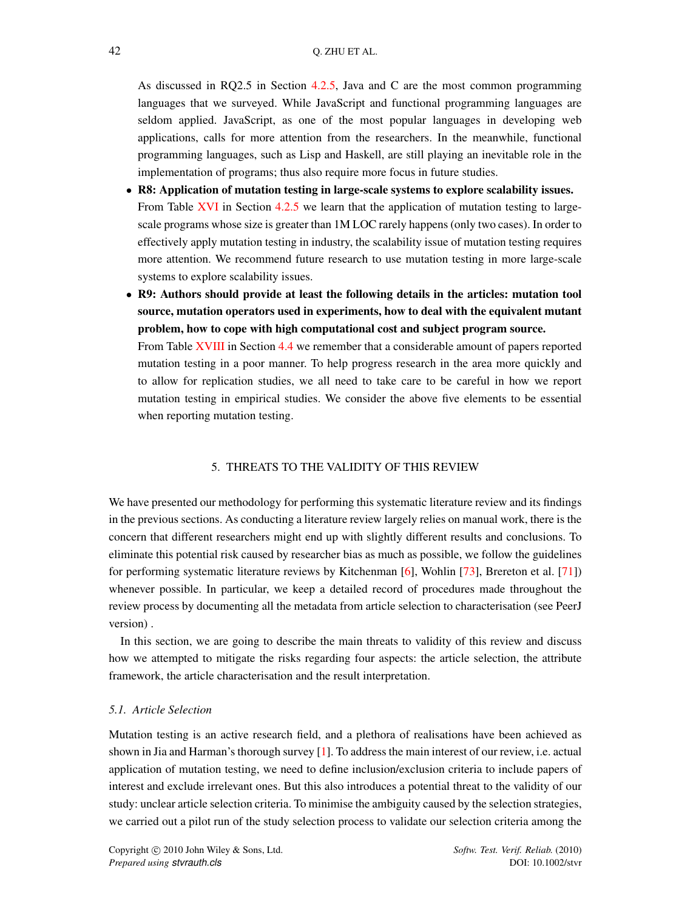As discussed in RQ2.5 in Section [4.2.5,](#page-35-1) Java and C are the most common programming languages that we surveyed. While JavaScript and functional programming languages are seldom applied. JavaScript, as one of the most popular languages in developing web applications, calls for more attention from the researchers. In the meanwhile, functional programming languages, such as Lisp and Haskell, are still playing an inevitable role in the implementation of programs; thus also require more focus in future studies.

- R8: Application of mutation testing in large-scale systems to explore scalability issues. From Table [XVI](#page-37-0) in Section [4.2.5](#page-35-1) we learn that the application of mutation testing to largescale programs whose size is greater than 1M LOC rarely happens (only two cases). In order to effectively apply mutation testing in industry, the scalability issue of mutation testing requires more attention. We recommend future research to use mutation testing in more large-scale systems to explore scalability issues.
- *•* R9: Authors should provide at least the following details in the articles: mutation tool source, mutation operators used in experiments, how to deal with the equivalent mutant problem, how to cope with high computational cost and subject program source.

From Table [XVIII](#page-39-1) in Section [4.4](#page-39-0) we remember that a considerable amount of papers reported mutation testing in a poor manner. To help progress research in the area more quickly and to allow for replication studies, we all need to take care to be careful in how we report mutation testing in empirical studies. We consider the above five elements to be essential when reporting mutation testing.

### 5. THREATS TO THE VALIDITY OF THIS REVIEW

<span id="page-41-0"></span>We have presented our methodology for performing this systematic literature review and its findings in the previous sections. As conducting a literature review largely relies on manual work, there is the concern that different researchers might end up with slightly different results and conclusions. To eliminate this potential risk caused by researcher bias as much as possible, we follow the guidelines for performing systematic literature reviews by Kitchenman [\[6\]](#page-45-5), Wohlin [\[73\]](#page-47-14), Brereton et al. [\[71\]](#page-47-13)) whenever possible. In particular, we keep a detailed record of procedures made throughout the review process by documenting all the metadata from article selection to characterisation (see PeerJ version) .

In this section, we are going to describe the main threats to validity of this review and discuss how we attempted to mitigate the risks regarding four aspects: the article selection, the attribute framework, the article characterisation and the result interpretation.

### *5.1. Article Selection*

Mutation testing is an active research field, and a plethora of realisations have been achieved as shown in Jia and Harman's thorough survey [\[1\]](#page-45-0). To address the main interest of our review, i.e. actual application of mutation testing, we need to define inclusion/exclusion criteria to include papers of interest and exclude irrelevant ones. But this also introduces a potential threat to the validity of our study: unclear article selection criteria. To minimise the ambiguity caused by the selection strategies, we carried out a pilot run of the study selection process to validate our selection criteria among the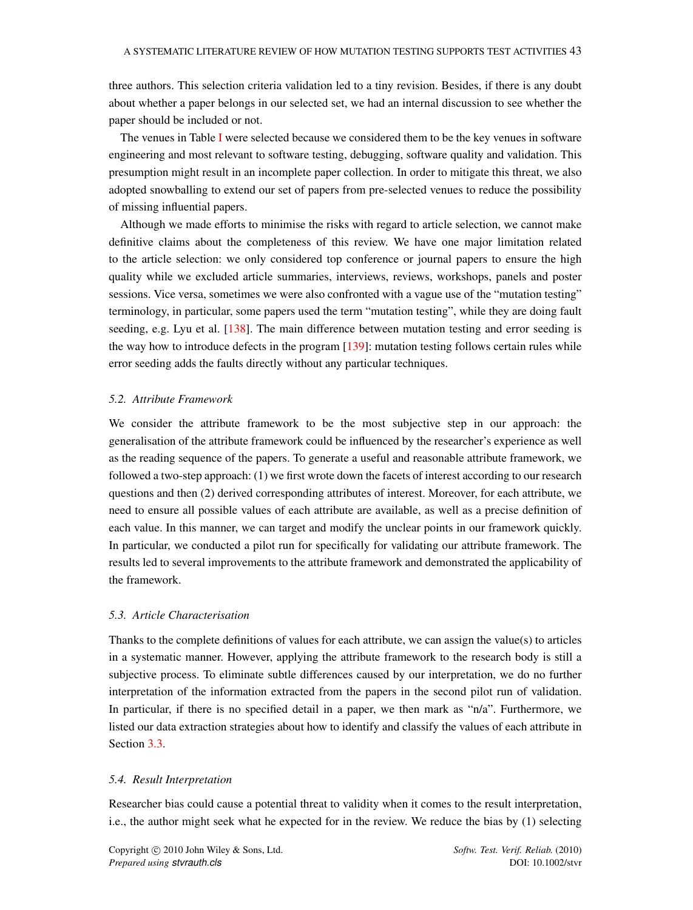three authors. This selection criteria validation led to a tiny revision. Besides, if there is any doubt about whether a paper belongs in our selected set, we had an internal discussion to see whether the paper should be included or not.

The venues in Table [I](#page-9-0) were selected because we considered them to be the key venues in software engineering and most relevant to software testing, debugging, software quality and validation. This presumption might result in an incomplete paper collection. In order to mitigate this threat, we also adopted snowballing to extend our set of papers from pre-selected venues to reduce the possibility of missing influential papers.

Although we made efforts to minimise the risks with regard to article selection, we cannot make definitive claims about the completeness of this review. We have one major limitation related to the article selection: we only considered top conference or journal papers to ensure the high quality while we excluded article summaries, interviews, reviews, workshops, panels and poster sessions. Vice versa, sometimes we were also confronted with a vague use of the "mutation testing" terminology, in particular, some papers used the term "mutation testing", while they are doing fault seeding, e.g. Lyu et al. [\[138\]](#page-50-3). The main difference between mutation testing and error seeding is the way how to introduce defects in the program [\[139\]](#page-50-4): mutation testing follows certain rules while error seeding adds the faults directly without any particular techniques.

### *5.2. Attribute Framework*

We consider the attribute framework to be the most subjective step in our approach: the generalisation of the attribute framework could be influenced by the researcher's experience as well as the reading sequence of the papers. To generate a useful and reasonable attribute framework, we followed a two-step approach: (1) we first wrote down the facets of interest according to our research questions and then (2) derived corresponding attributes of interest. Moreover, for each attribute, we need to ensure all possible values of each attribute are available, as well as a precise definition of each value. In this manner, we can target and modify the unclear points in our framework quickly. In particular, we conducted a pilot run for specifically for validating our attribute framework. The results led to several improvements to the attribute framework and demonstrated the applicability of the framework.

### *5.3. Article Characterisation*

Thanks to the complete definitions of values for each attribute, we can assign the value(s) to articles in a systematic manner. However, applying the attribute framework to the research body is still a subjective process. To eliminate subtle differences caused by our interpretation, we do no further interpretation of the information extracted from the papers in the second pilot run of validation. In particular, if there is no specified detail in a paper, we then mark as " $n/a$ ". Furthermore, we listed our data extraction strategies about how to identify and classify the values of each attribute in Section [3.3.](#page-10-0)

#### *5.4. Result Interpretation*

Researcher bias could cause a potential threat to validity when it comes to the result interpretation, i.e., the author might seek what he expected for in the review. We reduce the bias by (1) selecting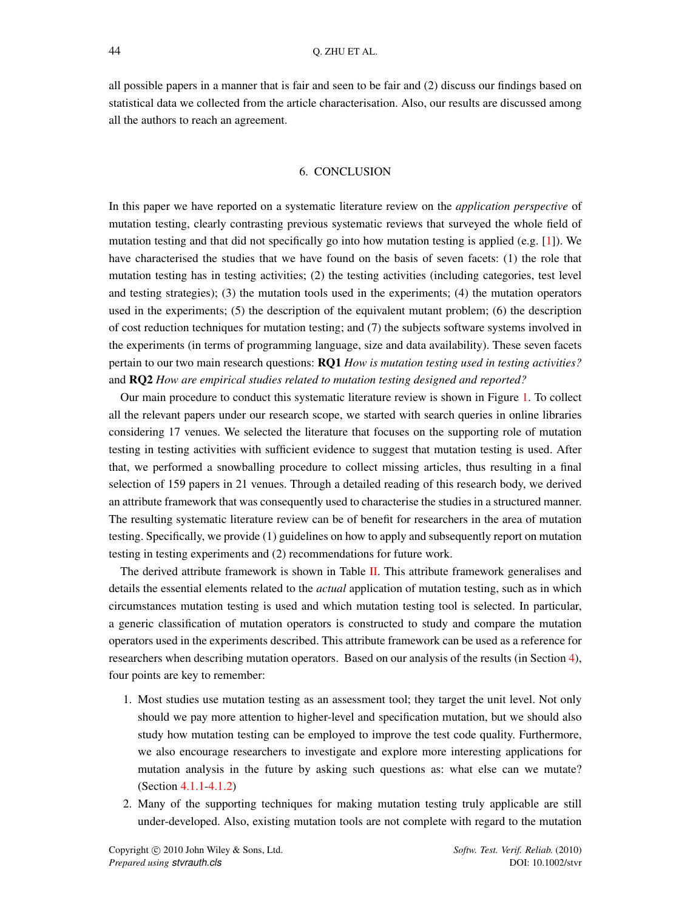all possible papers in a manner that is fair and seen to be fair and (2) discuss our findings based on statistical data we collected from the article characterisation. Also, our results are discussed among all the authors to reach an agreement.

### 6. CONCLUSION

<span id="page-43-0"></span>In this paper we have reported on a systematic literature review on the *application perspective* of mutation testing, clearly contrasting previous systematic reviews that surveyed the whole field of mutation testing and that did not specifically go into how mutation testing is applied (e.g. [\[1\]](#page-45-0)). We have characterised the studies that we have found on the basis of seven facets: (1) the role that mutation testing has in testing activities; (2) the testing activities (including categories, test level and testing strategies); (3) the mutation tools used in the experiments; (4) the mutation operators used in the experiments; (5) the description of the equivalent mutant problem; (6) the description of cost reduction techniques for mutation testing; and (7) the subjects software systems involved in the experiments (in terms of programming language, size and data availability). These seven facets pertain to our two main research questions: RQ1 *How is mutation testing used in testing activities?* and RQ2 *How are empirical studies related to mutation testing designed and reported?*

Our main procedure to conduct this systematic literature review is shown in Figure [1.](#page-6-1) To collect all the relevant papers under our research scope, we started with search queries in online libraries considering 17 venues. We selected the literature that focuses on the supporting role of mutation testing in testing activities with sufficient evidence to suggest that mutation testing is used. After that, we performed a snowballing procedure to collect missing articles, thus resulting in a final selection of 159 papers in 21 venues. Through a detailed reading of this research body, we derived an attribute framework that was consequently used to characterise the studies in a structured manner. The resulting systematic literature review can be of benefit for researchers in the area of mutation testing. Specifically, we provide (1) guidelines on how to apply and subsequently report on mutation testing in testing experiments and (2) recommendations for future work.

The derived attribute framework is shown in Table [II.](#page-17-0) This attribute framework generalises and details the essential elements related to the *actual* application of mutation testing, such as in which circumstances mutation testing is used and which mutation testing tool is selected. In particular, a generic classification of mutation operators is constructed to study and compare the mutation operators used in the experiments described. This attribute framework can be used as a reference for researchers when describing mutation operators. Based on our analysis of the results (in Section [4\)](#page-19-0), four points are key to remember:

- 1. Most studies use mutation testing as an assessment tool; they target the unit level. Not only should we pay more attention to higher-level and specification mutation, but we should also study how mutation testing can be employed to improve the test code quality. Furthermore, we also encourage researchers to investigate and explore more interesting applications for mutation analysis in the future by asking such questions as: what else can we mutate? (Section [4.1.1-](#page-20-2)[4.1.2\)](#page-24-1)
- 2. Many of the supporting techniques for making mutation testing truly applicable are still under-developed. Also, existing mutation tools are not complete with regard to the mutation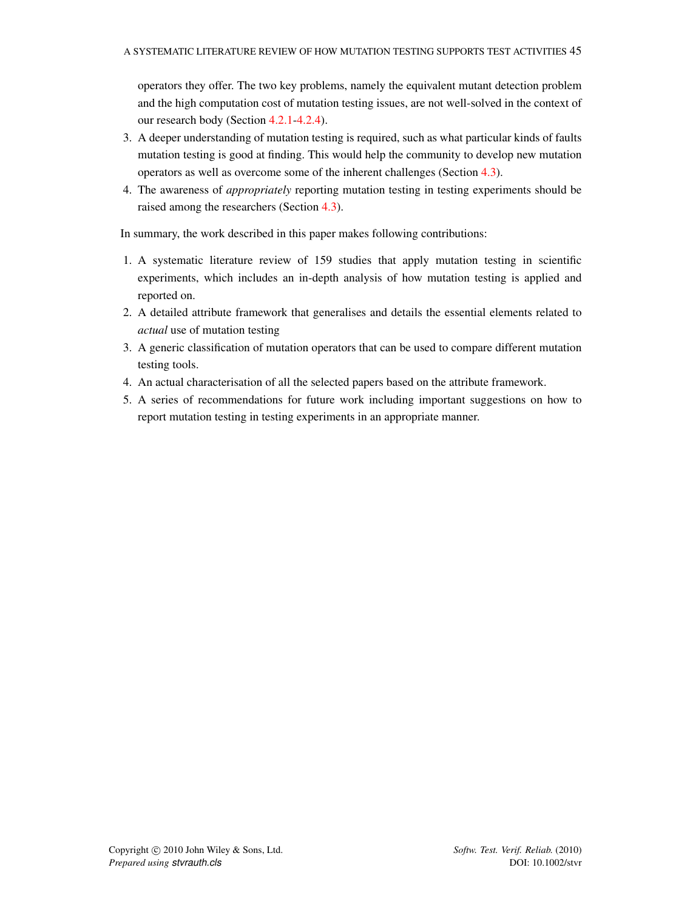operators they offer. The two key problems, namely the equivalent mutant detection problem and the high computation cost of mutation testing issues, are not well-solved in the context of our research body (Section [4.2.1](#page-26-2)[-4.2.4\)](#page-34-0).

- 3. A deeper understanding of mutation testing is required, such as what particular kinds of faults mutation testing is good at finding. This would help the community to develop new mutation operators as well as overcome some of the inherent challenges (Section [4.3\)](#page-38-0).
- 4. The awareness of *appropriately* reporting mutation testing in testing experiments should be raised among the researchers (Section [4.3\)](#page-38-0).

In summary, the work described in this paper makes following contributions:

- 1. A systematic literature review of 159 studies that apply mutation testing in scientific experiments, which includes an in-depth analysis of how mutation testing is applied and reported on.
- 2. A detailed attribute framework that generalises and details the essential elements related to *actual* use of mutation testing
- 3. A generic classification of mutation operators that can be used to compare different mutation testing tools.
- 4. An actual characterisation of all the selected papers based on the attribute framework.
- <span id="page-44-0"></span>5. A series of recommendations for future work including important suggestions on how to report mutation testing in testing experiments in an appropriate manner.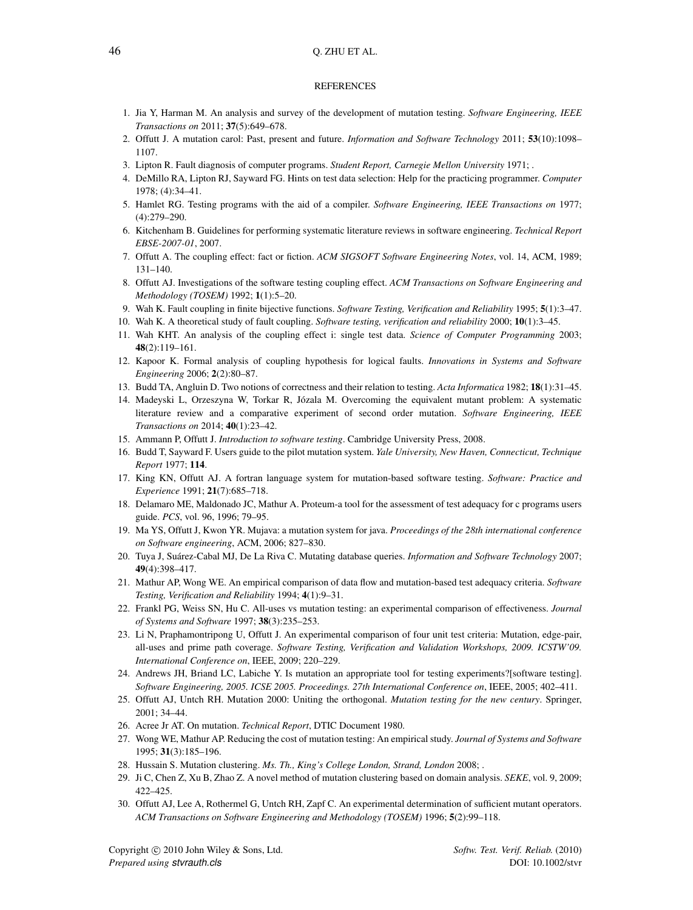### 46 Q. ZHU ET AL.

#### **REFERENCES**

- <span id="page-45-0"></span>1. Jia Y, Harman M. An analysis and survey of the development of mutation testing. *Software Engineering, IEEE Transactions on* 2011; 37(5):649–678.
- <span id="page-45-1"></span>2. Offutt J. A mutation carol: Past, present and future. *Information and Software Technology* 2011; 53(10):1098– 1107.
- <span id="page-45-2"></span>3. Lipton R. Fault diagnosis of computer programs. *Student Report, Carnegie Mellon University* 1971; .
- <span id="page-45-3"></span>4. DeMillo RA, Lipton RJ, Sayward FG. Hints on test data selection: Help for the practicing programmer. *Computer* 1978; (4):34–41.
- <span id="page-45-4"></span>5. Hamlet RG. Testing programs with the aid of a compiler. *Software Engineering, IEEE Transactions on* 1977; (4):279–290.
- <span id="page-45-5"></span>6. Kitchenham B. Guidelines for performing systematic literature reviews in software engineering. *Technical Report EBSE-2007-01*, 2007.
- <span id="page-45-6"></span>7. Offutt A. The coupling effect: fact or fiction. *ACM SIGSOFT Software Engineering Notes*, vol. 14, ACM, 1989; 131–140.
- <span id="page-45-7"></span>8. Offutt AJ. Investigations of the software testing coupling effect. *ACM Transactions on Software Engineering and Methodology (TOSEM)* 1992; 1(1):5–20.
- <span id="page-45-8"></span>9. Wah K. Fault coupling in finite bijective functions. *Software Testing, Verification and Reliability* 1995; 5(1):3–47.
- 10. Wah K. A theoretical study of fault coupling. *Software testing, verification and reliability* 2000; 10(1):3–45.
- <span id="page-45-9"></span>11. Wah KHT. An analysis of the coupling effect i: single test data. *Science of Computer Programming* 2003; 48(2):119–161.
- <span id="page-45-10"></span>12. Kapoor K. Formal analysis of coupling hypothesis for logical faults. *Innovations in Systems and Software Engineering* 2006; 2(2):80–87.
- <span id="page-45-11"></span>13. Budd TA, Angluin D. Two notions of correctness and their relation to testing. *Acta Informatica* 1982; 18(1):31–45.
- <span id="page-45-12"></span>14. Madeyski L, Orzeszyna W, Torkar R, Józala M. Overcoming the equivalent mutant problem: A systematic literature review and a comparative experiment of second order mutation. *Software Engineering, IEEE Transactions on* 2014; 40(1):23–42.
- <span id="page-45-13"></span>15. Ammann P, Offutt J. *Introduction to software testing*. Cambridge University Press, 2008.
- <span id="page-45-14"></span>16. Budd T, Sayward F. Users guide to the pilot mutation system. *Yale University, New Haven, Connecticut, Technique Report* 1977; 114.
- <span id="page-45-15"></span>17. King KN, Offutt AJ. A fortran language system for mutation-based software testing. *Software: Practice and Experience* 1991; 21(7):685–718.
- <span id="page-45-16"></span>18. Delamaro ME, Maldonado JC, Mathur A. Proteum-a tool for the assessment of test adequacy for c programs users guide. *PCS*, vol. 96, 1996; 79–95.
- <span id="page-45-17"></span>19. Ma YS, Offutt J, Kwon YR. Mujava: a mutation system for java. *Proceedings of the 28th international conference on Software engineering*, ACM, 2006; 827–830.
- <span id="page-45-18"></span>20. Tuya J, Suárez-Cabal MJ, De La Riva C. Mutating database queries. *Information and Software Technology* 2007; 49(4):398–417.
- <span id="page-45-19"></span>21. Mathur AP, Wong WE. An empirical comparison of data flow and mutation-based test adequacy criteria. *Software Testing, Verification and Reliability* 1994; 4(1):9–31.
- <span id="page-45-20"></span>22. Frankl PG, Weiss SN, Hu C. All-uses vs mutation testing: an experimental comparison of effectiveness. *Journal of Systems and Software* 1997; 38(3):235–253.
- <span id="page-45-21"></span>23. Li N, Praphamontripong U, Offutt J. An experimental comparison of four unit test criteria: Mutation, edge-pair, all-uses and prime path coverage. *Software Testing, Verification and Validation Workshops, 2009. ICSTW'09. International Conference on*, IEEE, 2009; 220–229.
- <span id="page-45-22"></span>24. Andrews JH, Briand LC, Labiche Y. Is mutation an appropriate tool for testing experiments?[software testing]. *Software Engineering, 2005. ICSE 2005. Proceedings. 27th International Conference on*, IEEE, 2005; 402–411.
- <span id="page-45-23"></span>25. Offutt AJ, Untch RH. Mutation 2000: Uniting the orthogonal. *Mutation testing for the new century*. Springer, 2001; 34–44.
- <span id="page-45-24"></span>26. Acree Jr AT. On mutation. *Technical Report*, DTIC Document 1980.
- <span id="page-45-25"></span>27. Wong WE, Mathur AP. Reducing the cost of mutation testing: An empirical study. *Journal of Systems and Software* 1995; 31(3):185–196.
- <span id="page-45-26"></span>28. Hussain S. Mutation clustering. *Ms. Th., King's College London, Strand, London* 2008; .
- <span id="page-45-27"></span>29. Ji C, Chen Z, Xu B, Zhao Z. A novel method of mutation clustering based on domain analysis. *SEKE*, vol. 9, 2009; 422–425.
- <span id="page-45-28"></span>30. Offutt AJ, Lee A, Rothermel G, Untch RH, Zapf C. An experimental determination of sufficient mutant operators. *ACM Transactions on Software Engineering and Methodology (TOSEM)* 1996; 5(2):99–118.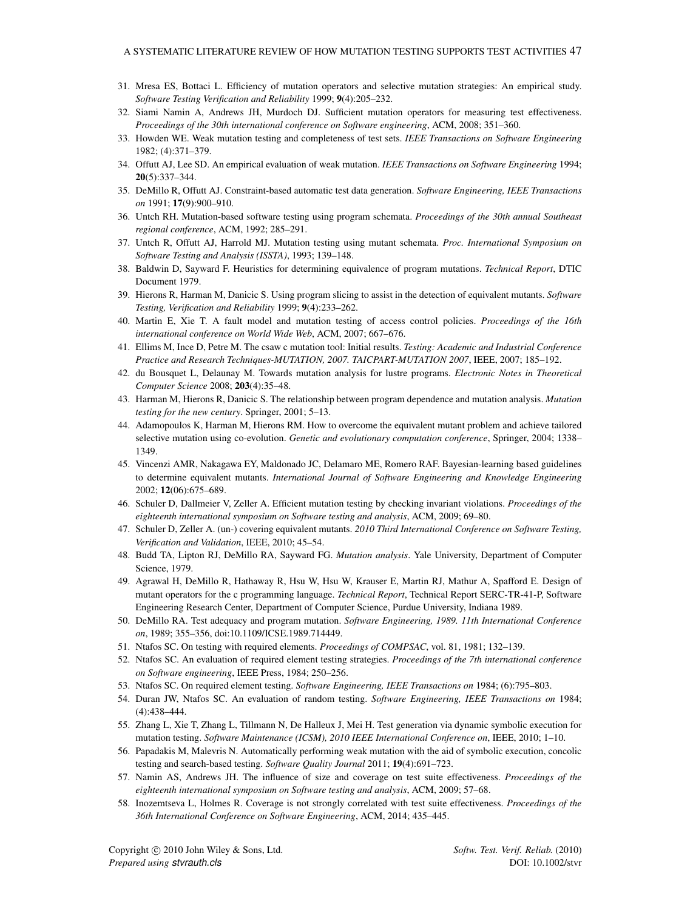- <span id="page-46-10"></span>31. Mresa ES, Bottaci L. Efficiency of mutation operators and selective mutation strategies: An empirical study. *Software Testing Verification and Reliability* 1999; 9(4):205–232.
- <span id="page-46-0"></span>32. Siami Namin A, Andrews JH, Murdoch DJ. Sufficient mutation operators for measuring test effectiveness. *Proceedings of the 30th international conference on Software engineering*, ACM, 2008; 351–360.
- <span id="page-46-1"></span>33. Howden WE. Weak mutation testing and completeness of test sets. *IEEE Transactions on Software Engineering* 1982; (4):371–379.
- 34. Offutt AJ, Lee SD. An empirical evaluation of weak mutation. *IEEE Transactions on Software Engineering* 1994; 20(5):337–344.
- <span id="page-46-2"></span>35. DeMillo R, Offutt AJ. Constraint-based automatic test data generation. *Software Engineering, IEEE Transactions on* 1991; 17(9):900–910.
- <span id="page-46-3"></span>36. Untch RH. Mutation-based software testing using program schemata. *Proceedings of the 30th annual Southeast regional conference*, ACM, 1992; 285–291.
- <span id="page-46-4"></span>37. Untch R, Offutt AJ, Harrold MJ. Mutation testing using mutant schemata. *Proc. International Symposium on Software Testing and Analysis (ISSTA)*, 1993; 139–148.
- <span id="page-46-5"></span>38. Baldwin D, Sayward F. Heuristics for determining equivalence of program mutations. *Technical Report*, DTIC Document 1979.
- <span id="page-46-6"></span>39. Hierons R, Harman M, Danicic S. Using program slicing to assist in the detection of equivalent mutants. *Software Testing, Verification and Reliability* 1999; 9(4):233–262.
- <span id="page-46-7"></span>40. Martin E, Xie T. A fault model and mutation testing of access control policies. *Proceedings of the 16th international conference on World Wide Web*, ACM, 2007; 667–676.
- <span id="page-46-8"></span>41. Ellims M, Ince D, Petre M. The csaw c mutation tool: Initial results. *Testing: Academic and Industrial Conference Practice and Research Techniques-MUTATION, 2007. TAICPART-MUTATION 2007*, IEEE, 2007; 185–192.
- <span id="page-46-9"></span>42. du Bousquet L, Delaunay M. Towards mutation analysis for lustre programs. *Electronic Notes in Theoretical Computer Science* 2008; 203(4):35–48.
- <span id="page-46-11"></span>43. Harman M, Hierons R, Danicic S. The relationship between program dependence and mutation analysis. *Mutation testing for the new century*. Springer, 2001; 5–13.
- <span id="page-46-12"></span>44. Adamopoulos K, Harman M, Hierons RM. How to overcome the equivalent mutant problem and achieve tailored selective mutation using co-evolution. *Genetic and evolutionary computation conference*, Springer, 2004; 1338– 1349.
- <span id="page-46-13"></span>45. Vincenzi AMR, Nakagawa EY, Maldonado JC, Delamaro ME, Romero RAF. Bayesian-learning based guidelines to determine equivalent mutants. *International Journal of Software Engineering and Knowledge Engineering* 2002; 12(06):675–689.
- <span id="page-46-14"></span>46. Schuler D, Dallmeier V, Zeller A. Efficient mutation testing by checking invariant violations. *Proceedings of the eighteenth international symposium on Software testing and analysis*, ACM, 2009; 69–80.
- <span id="page-46-15"></span>47. Schuler D, Zeller A. (un-) covering equivalent mutants. *2010 Third International Conference on Software Testing, Verification and Validation*, IEEE, 2010; 45–54.
- <span id="page-46-16"></span>48. Budd TA, Lipton RJ, DeMillo RA, Sayward FG. *Mutation analysis*. Yale University, Department of Computer Science, 1979.
- <span id="page-46-17"></span>49. Agrawal H, DeMillo R, Hathaway R, Hsu W, Hsu W, Krauser E, Martin RJ, Mathur A, Spafford E. Design of mutant operators for the c programming language. *Technical Report*, Technical Report SERC-TR-41-P, Software Engineering Research Center, Department of Computer Science, Purdue University, Indiana 1989.
- <span id="page-46-18"></span>50. DeMillo RA. Test adequacy and program mutation. *Software Engineering, 1989. 11th International Conference on*, 1989; 355–356, doi:10.1109/ICSE.1989.714449.
- <span id="page-46-19"></span>51. Ntafos SC. On testing with required elements. *Proceedings of COMPSAC*, vol. 81, 1981; 132–139.
- <span id="page-46-21"></span>52. Ntafos SC. An evaluation of required element testing strategies. *Proceedings of the 7th international conference on Software engineering*, IEEE Press, 1984; 250–256.
- 53. Ntafos SC. On required element testing. *Software Engineering, IEEE Transactions on* 1984; (6):795–803.
- <span id="page-46-20"></span>54. Duran JW, Ntafos SC. An evaluation of random testing. *Software Engineering, IEEE Transactions on* 1984; (4):438–444.
- <span id="page-46-22"></span>55. Zhang L, Xie T, Zhang L, Tillmann N, De Halleux J, Mei H. Test generation via dynamic symbolic execution for mutation testing. *Software Maintenance (ICSM), 2010 IEEE International Conference on*, IEEE, 2010; 1–10.
- <span id="page-46-23"></span>56. Papadakis M, Malevris N. Automatically performing weak mutation with the aid of symbolic execution, concolic testing and search-based testing. *Software Quality Journal* 2011; 19(4):691–723.
- <span id="page-46-24"></span>57. Namin AS, Andrews JH. The influence of size and coverage on test suite effectiveness. *Proceedings of the eighteenth international symposium on Software testing and analysis*, ACM, 2009; 57–68.
- <span id="page-46-25"></span>58. Inozemtseva L, Holmes R. Coverage is not strongly correlated with test suite effectiveness. *Proceedings of the 36th International Conference on Software Engineering*, ACM, 2014; 435–445.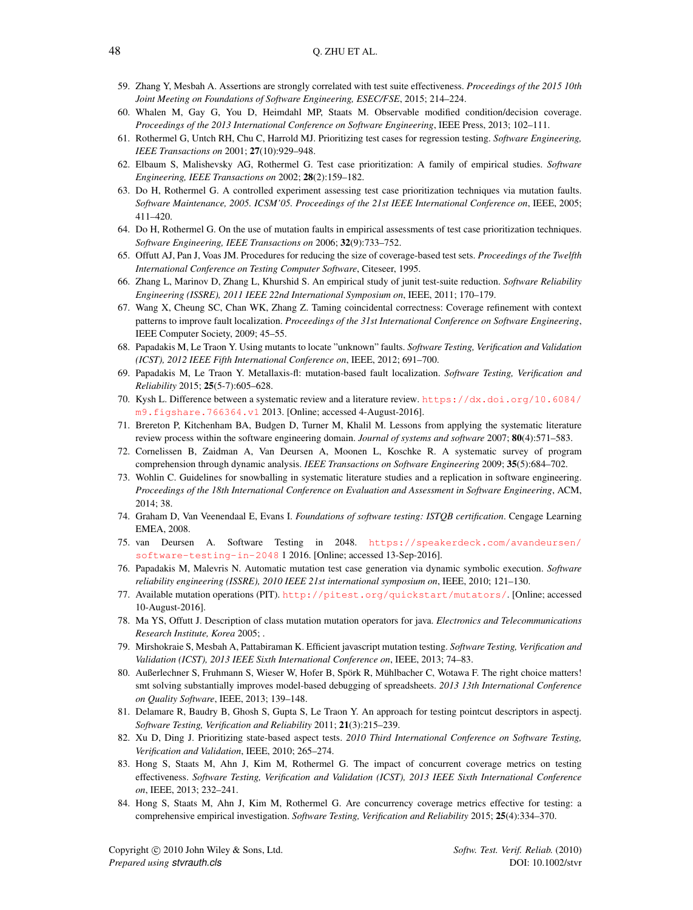- <span id="page-47-0"></span>59. Zhang Y, Mesbah A. Assertions are strongly correlated with test suite effectiveness. *Proceedings of the 2015 10th Joint Meeting on Foundations of Software Engineering, ESEC/FSE*, 2015; 214–224.
- <span id="page-47-1"></span>60. Whalen M, Gay G, You D, Heimdahl MP, Staats M. Observable modified condition/decision coverage. *Proceedings of the 2013 International Conference on Software Engineering*, IEEE Press, 2013; 102–111.
- <span id="page-47-2"></span>61. Rothermel G, Untch RH, Chu C, Harrold MJ. Prioritizing test cases for regression testing. *Software Engineering, IEEE Transactions on* 2001; 27(10):929–948.
- <span id="page-47-3"></span>62. Elbaum S, Malishevsky AG, Rothermel G. Test case prioritization: A family of empirical studies. *Software Engineering, IEEE Transactions on* 2002; 28(2):159–182.
- <span id="page-47-4"></span>63. Do H, Rothermel G. A controlled experiment assessing test case prioritization techniques via mutation faults. *Software Maintenance, 2005. ICSM'05. Proceedings of the 21st IEEE International Conference on*, IEEE, 2005; 411–420.
- <span id="page-47-5"></span>64. Do H, Rothermel G. On the use of mutation faults in empirical assessments of test case prioritization techniques. *Software Engineering, IEEE Transactions on* 2006; 32(9):733–752.
- <span id="page-47-6"></span>65. Offutt AJ, Pan J, Voas JM. Procedures for reducing the size of coverage-based test sets. *Proceedings of the Twelfth International Conference on Testing Computer Software*, Citeseer, 1995.
- <span id="page-47-7"></span>66. Zhang L, Marinov D, Zhang L, Khurshid S. An empirical study of junit test-suite reduction. *Software Reliability Engineering (ISSRE), 2011 IEEE 22nd International Symposium on*, IEEE, 2011; 170–179.
- <span id="page-47-8"></span>67. Wang X, Cheung SC, Chan WK, Zhang Z. Taming coincidental correctness: Coverage refinement with context patterns to improve fault localization. *Proceedings of the 31st International Conference on Software Engineering*, IEEE Computer Society, 2009; 45–55.
- <span id="page-47-10"></span>68. Papadakis M, Le Traon Y. Using mutants to locate "unknown" faults. *Software Testing, Verification and Validation (ICST), 2012 IEEE Fifth International Conference on*, IEEE, 2012; 691–700.
- <span id="page-47-11"></span>69. Papadakis M, Le Traon Y. Metallaxis-fl: mutation-based fault localization. *Software Testing, Verification and Reliability* 2015; 25(5-7):605–628.
- <span id="page-47-12"></span>70. Kysh L. Difference between a systematic review and a literature review. [https://dx.doi.org/10.6084/](https://dx.doi.org/10.6084/m9.figshare.766364.v1) [m9.figshare.766364.v1](https://dx.doi.org/10.6084/m9.figshare.766364.v1) 2013. [Online; accessed 4-August-2016].
- <span id="page-47-13"></span>71. Brereton P, Kitchenham BA, Budgen D, Turner M, Khalil M. Lessons from applying the systematic literature review process within the software engineering domain. *Journal of systems and software* 2007; 80(4):571–583.
- <span id="page-47-9"></span>72. Cornelissen B, Zaidman A, Van Deursen A, Moonen L, Koschke R. A systematic survey of program comprehension through dynamic analysis. *IEEE Transactions on Software Engineering* 2009; 35(5):684–702.
- <span id="page-47-14"></span>73. Wohlin C. Guidelines for snowballing in systematic literature studies and a replication in software engineering. *Proceedings of the 18th International Conference on Evaluation and Assessment in Software Engineering*, ACM, 2014; 38.
- <span id="page-47-15"></span>74. Graham D, Van Veenendaal E, Evans I. *Foundations of software testing: ISTQB certification*. Cengage Learning EMEA, 2008.
- <span id="page-47-16"></span>75. van Deursen A. Software Testing in 2048. [https://speakerdeck.com/avandeursen/](https://speakerdeck.com/avandeursen/software-testing-in-2048) [software-testing-in-2048](https://speakerdeck.com/avandeursen/software-testing-in-2048) 1 2016. [Online; accessed 13-Sep-2016].
- <span id="page-47-17"></span>76. Papadakis M, Malevris N. Automatic mutation test case generation via dynamic symbolic execution. *Software reliability engineering (ISSRE), 2010 IEEE 21st international symposium on*, IEEE, 2010; 121–130.
- <span id="page-47-18"></span>77. Available mutation operations (PIT). <http://pitest.org/quickstart/mutators/>. [Online; accessed 10-August-2016].
- <span id="page-47-19"></span>78. Ma YS, Offutt J. Description of class mutation mutation operators for java. *Electronics and Telecommunications Research Institute, Korea* 2005; .
- <span id="page-47-20"></span>79. Mirshokraie S, Mesbah A, Pattabiraman K. Efficient javascript mutation testing. *Software Testing, Verification and Validation (ICST), 2013 IEEE Sixth International Conference on*, IEEE, 2013; 74–83.
- <span id="page-47-21"></span>80. Außerlechner S, Fruhmann S, Wieser W, Hofer B, Spörk R, Mühlbacher C, Wotawa F. The right choice matters! smt solving substantially improves model-based debugging of spreadsheets. *2013 13th International Conference on Quality Software*, IEEE, 2013; 139–148.
- <span id="page-47-22"></span>81. Delamare R, Baudry B, Ghosh S, Gupta S, Le Traon Y. An approach for testing pointcut descriptors in aspectj. *Software Testing, Verification and Reliability* 2011; 21(3):215–239.
- <span id="page-47-23"></span>82. Xu D, Ding J. Prioritizing state-based aspect tests. *2010 Third International Conference on Software Testing, Verification and Validation*, IEEE, 2010; 265–274.
- <span id="page-47-24"></span>83. Hong S, Staats M, Ahn J, Kim M, Rothermel G. The impact of concurrent coverage metrics on testing effectiveness. *Software Testing, Verification and Validation (ICST), 2013 IEEE Sixth International Conference on*, IEEE, 2013; 232–241.
- <span id="page-47-25"></span>84. Hong S, Staats M, Ahn J, Kim M, Rothermel G. Are concurrency coverage metrics effective for testing: a comprehensive empirical investigation. *Software Testing, Verification and Reliability* 2015; 25(4):334–370.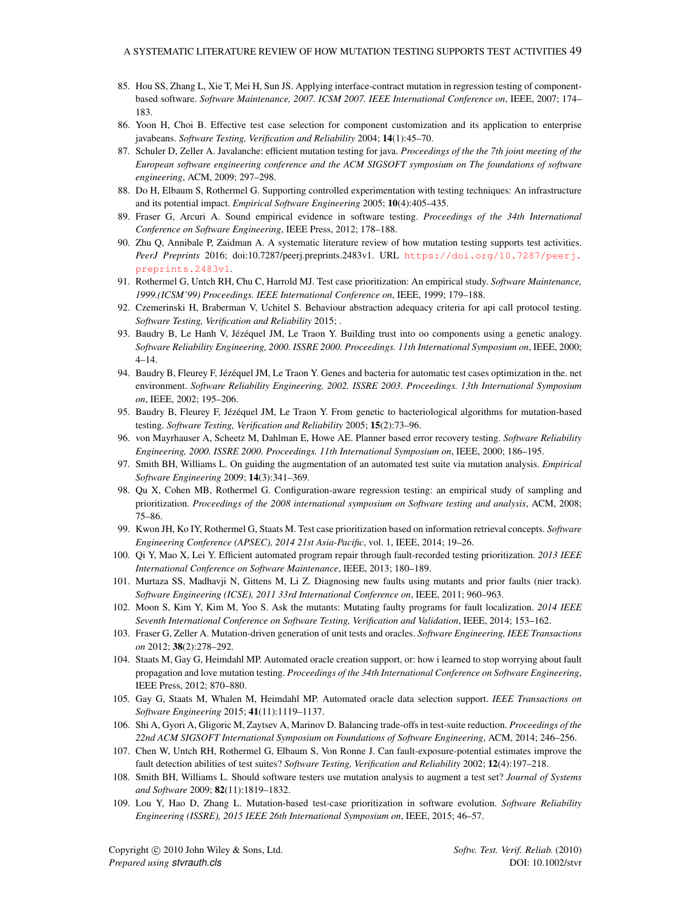- <span id="page-48-0"></span>85. Hou SS, Zhang L, Xie T, Mei H, Sun JS. Applying interface-contract mutation in regression testing of componentbased software. *Software Maintenance, 2007. ICSM 2007. IEEE International Conference on*, IEEE, 2007; 174– 183.
- <span id="page-48-1"></span>86. Yoon H, Choi B. Effective test case selection for component customization and its application to enterprise javabeans. *Software Testing, Verification and Reliability* 2004; 14(1):45–70.
- <span id="page-48-2"></span>87. Schuler D, Zeller A. Javalanche: efficient mutation testing for java. *Proceedings of the the 7th joint meeting of the European software engineering conference and the ACM SIGSOFT symposium on The foundations of software engineering*, ACM, 2009; 297–298.
- <span id="page-48-3"></span>88. Do H, Elbaum S, Rothermel G. Supporting controlled experimentation with testing techniques: An infrastructure and its potential impact. *Empirical Software Engineering* 2005; 10(4):405–435.
- <span id="page-48-4"></span>89. Fraser G, Arcuri A. Sound empirical evidence in software testing. *Proceedings of the 34th International Conference on Software Engineering*, IEEE Press, 2012; 178–188.
- <span id="page-48-5"></span>90. Zhu Q, Annibale P, Zaidman A. A systematic literature review of how mutation testing supports test activities. *PeerJ Preprints* 2016; doi:10.7287/peerj.preprints.2483v1. URL [https://doi.org/10.7287/peerj.](https://doi.org/10.7287/peerj.preprints.2483v1) [preprints.2483v1](https://doi.org/10.7287/peerj.preprints.2483v1).
- <span id="page-48-6"></span>91. Rothermel G, Untch RH, Chu C, Harrold MJ. Test case prioritization: An empirical study. *Software Maintenance, 1999.(ICSM'99) Proceedings. IEEE International Conference on*, IEEE, 1999; 179–188.
- <span id="page-48-7"></span>92. Czemerinski H, Braberman V, Uchitel S. Behaviour abstraction adequacy criteria for api call protocol testing. *Software Testing, Verification and Reliability* 2015; .
- <span id="page-48-8"></span>93. Baudry B, Le Hanh V, Jézéquel JM, Le Traon Y. Building trust into oo components using a genetic analogy. *Software Reliability Engineering, 2000. ISSRE 2000. Proceedings. 11th International Symposium on*, IEEE, 2000; 4–14.
- 94. Baudry B, Fleurey F, Jézéquel JM, Le Traon Y. Genes and bacteria for automatic test cases optimization in the. net environment. *Software Reliability Engineering, 2002. ISSRE 2003. Proceedings. 13th International Symposium on*, IEEE, 2002; 195–206.
- <span id="page-48-9"></span>95. Baudry B, Fleurey F, Jézéquel JM, Le Traon Y. From genetic to bacteriological algorithms for mutation-based testing. *Software Testing, Verification and Reliability* 2005; 15(2):73–96.
- <span id="page-48-10"></span>96. von Mayrhauser A, Scheetz M, Dahlman E, Howe AE. Planner based error recovery testing. *Software Reliability Engineering, 2000. ISSRE 2000. Proceedings. 11th International Symposium on*, IEEE, 2000; 186–195.
- <span id="page-48-11"></span>97. Smith BH, Williams L. On guiding the augmentation of an automated test suite via mutation analysis. *Empirical Software Engineering* 2009; 14(3):341–369.
- <span id="page-48-12"></span>98. Qu X, Cohen MB, Rothermel G. Configuration-aware regression testing: an empirical study of sampling and prioritization. *Proceedings of the 2008 international symposium on Software testing and analysis*, ACM, 2008; 75–86.
- <span id="page-48-13"></span>99. Kwon JH, Ko IY, Rothermel G, Staats M. Test case prioritization based on information retrieval concepts. *Software Engineering Conference (APSEC), 2014 21st Asia-Pacific*, vol. 1, IEEE, 2014; 19–26.
- <span id="page-48-14"></span>100. Qi Y, Mao X, Lei Y. Efficient automated program repair through fault-recorded testing prioritization. *2013 IEEE International Conference on Software Maintenance*, IEEE, 2013; 180–189.
- <span id="page-48-15"></span>101. Murtaza SS, Madhavji N, Gittens M, Li Z. Diagnosing new faults using mutants and prior faults (nier track). *Software Engineering (ICSE), 2011 33rd International Conference on*, IEEE, 2011; 960–963.
- <span id="page-48-16"></span>102. Moon S, Kim Y, Kim M, Yoo S. Ask the mutants: Mutating faulty programs for fault localization. *2014 IEEE Seventh International Conference on Software Testing, Verification and Validation*, IEEE, 2014; 153–162.
- <span id="page-48-17"></span>103. Fraser G, Zeller A. Mutation-driven generation of unit tests and oracles. *Software Engineering, IEEE Transactions on* 2012; 38(2):278–292.
- <span id="page-48-18"></span>104. Staats M, Gay G, Heimdahl MP. Automated oracle creation support, or: how i learned to stop worrying about fault propagation and love mutation testing. *Proceedings of the 34th International Conference on Software Engineering*, IEEE Press, 2012; 870–880.
- <span id="page-48-19"></span>105. Gay G, Staats M, Whalen M, Heimdahl MP. Automated oracle data selection support. *IEEE Transactions on Software Engineering* 2015; 41(11):1119–1137.
- <span id="page-48-20"></span>106. Shi A, Gyori A, Gligoric M, Zaytsev A, Marinov D. Balancing trade-offs in test-suite reduction. *Proceedings of the 22nd ACM SIGSOFT International Symposium on Foundations of Software Engineering*, ACM, 2014; 246–256.
- <span id="page-48-21"></span>107. Chen W, Untch RH, Rothermel G, Elbaum S, Von Ronne J. Can fault-exposure-potential estimates improve the fault detection abilities of test suites? *Software Testing, Verification and Reliability* 2002; 12(4):197–218.
- <span id="page-48-22"></span>108. Smith BH, Williams L. Should software testers use mutation analysis to augment a test set? *Journal of Systems and Software* 2009; 82(11):1819–1832.
- <span id="page-48-23"></span>109. Lou Y, Hao D, Zhang L. Mutation-based test-case prioritization in software evolution. *Software Reliability Engineering (ISSRE), 2015 IEEE 26th International Symposium on*, IEEE, 2015; 46–57.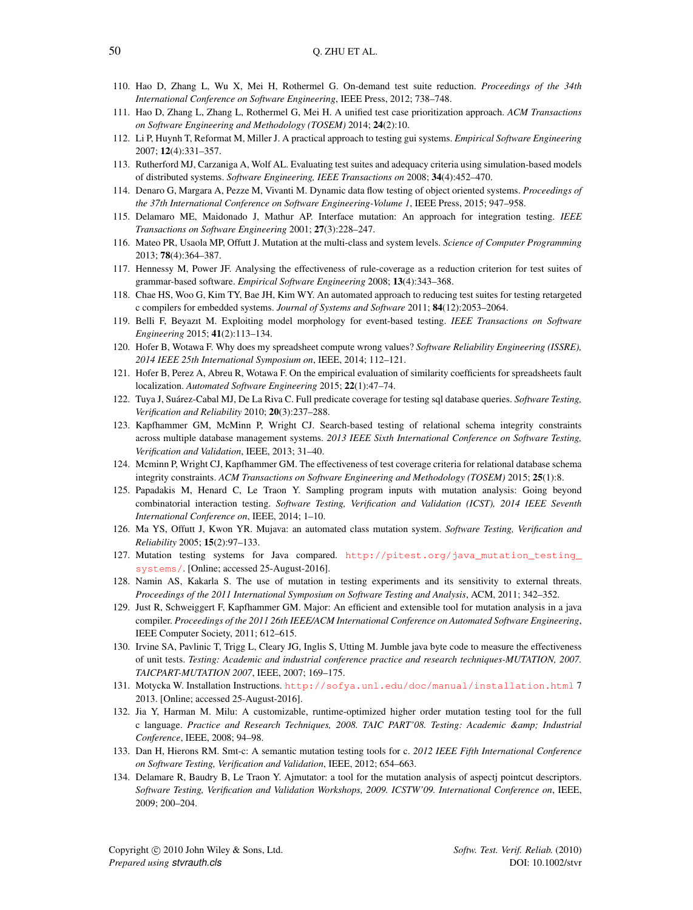- <span id="page-49-0"></span>110. Hao D, Zhang L, Wu X, Mei H, Rothermel G. On-demand test suite reduction. *Proceedings of the 34th International Conference on Software Engineering*, IEEE Press, 2012; 738–748.
- <span id="page-49-1"></span>111. Hao D, Zhang L, Zhang L, Rothermel G, Mei H. A unified test case prioritization approach. *ACM Transactions on Software Engineering and Methodology (TOSEM)* 2014; 24(2):10.
- <span id="page-49-2"></span>112. Li P, Huynh T, Reformat M, Miller J. A practical approach to testing gui systems. *Empirical Software Engineering* 2007; 12(4):331–357.
- <span id="page-49-3"></span>113. Rutherford MJ, Carzaniga A, Wolf AL. Evaluating test suites and adequacy criteria using simulation-based models of distributed systems. *Software Engineering, IEEE Transactions on* 2008; 34(4):452–470.
- <span id="page-49-4"></span>114. Denaro G, Margara A, Pezze M, Vivanti M. Dynamic data flow testing of object oriented systems. *Proceedings of the 37th International Conference on Software Engineering-Volume 1*, IEEE Press, 2015; 947–958.
- <span id="page-49-5"></span>115. Delamaro ME, Maidonado J, Mathur AP. Interface mutation: An approach for integration testing. *IEEE Transactions on Software Engineering* 2001; 27(3):228–247.
- <span id="page-49-6"></span>116. Mateo PR, Usaola MP, Offutt J. Mutation at the multi-class and system levels. *Science of Computer Programming* 2013; 78(4):364–387.
- <span id="page-49-7"></span>117. Hennessy M, Power JF. Analysing the effectiveness of rule-coverage as a reduction criterion for test suites of grammar-based software. *Empirical Software Engineering* 2008; 13(4):343–368.
- 118. Chae HS, Woo G, Kim TY, Bae JH, Kim WY. An automated approach to reducing test suites for testing retargeted c compilers for embedded systems. *Journal of Systems and Software* 2011; 84(12):2053–2064.
- <span id="page-49-8"></span>119. Belli F, Beyazıt M. Exploiting model morphology for event-based testing. *IEEE Transactions on Software Engineering* 2015; 41(2):113–134.
- <span id="page-49-9"></span>120. Hofer B, Wotawa F. Why does my spreadsheet compute wrong values? *Software Reliability Engineering (ISSRE), 2014 IEEE 25th International Symposium on*, IEEE, 2014; 112–121.
- <span id="page-49-10"></span>121. Hofer B, Perez A, Abreu R, Wotawa F. On the empirical evaluation of similarity coefficients for spreadsheets fault localization. *Automated Software Engineering* 2015; 22(1):47–74.
- <span id="page-49-11"></span>122. Tuya J, Suarez-Cabal MJ, De La Riva C. Full predicate coverage for testing sql database queries. ´ *Software Testing, Verification and Reliability* 2010; 20(3):237–288.
- 123. Kapfhammer GM, McMinn P, Wright CJ. Search-based testing of relational schema integrity constraints across multiple database management systems. *2013 IEEE Sixth International Conference on Software Testing, Verification and Validation*, IEEE, 2013; 31–40.
- <span id="page-49-12"></span>124. Mcminn P, Wright CJ, Kapfhammer GM. The effectiveness of test coverage criteria for relational database schema integrity constraints. *ACM Transactions on Software Engineering and Methodology (TOSEM)* 2015; 25(1):8.
- <span id="page-49-13"></span>125. Papadakis M, Henard C, Le Traon Y. Sampling program inputs with mutation analysis: Going beyond combinatorial interaction testing. *Software Testing, Verification and Validation (ICST), 2014 IEEE Seventh International Conference on*, IEEE, 2014; 1–10.
- <span id="page-49-14"></span>126. Ma YS, Offutt J, Kwon YR. Mujava: an automated class mutation system. *Software Testing, Verification and Reliability* 2005; 15(2):97–133.
- <span id="page-49-15"></span>127. Mutation testing systems for Java compared. [http://pitest.org/java\\_mutation\\_testing\\_](http://pitest.org/java_mutation_testing_systems/) [systems/](http://pitest.org/java_mutation_testing_systems/). [Online; accessed 25-August-2016].
- <span id="page-49-16"></span>128. Namin AS, Kakarla S. The use of mutation in testing experiments and its sensitivity to external threats. *Proceedings of the 2011 International Symposium on Software Testing and Analysis*, ACM, 2011; 342–352.
- <span id="page-49-17"></span>129. Just R, Schweiggert F, Kapfhammer GM. Major: An efficient and extensible tool for mutation analysis in a java compiler. *Proceedings of the 2011 26th IEEE/ACM International Conference on Automated Software Engineering*, IEEE Computer Society, 2011; 612–615.
- <span id="page-49-18"></span>130. Irvine SA, Pavlinic T, Trigg L, Cleary JG, Inglis S, Utting M. Jumble java byte code to measure the effectiveness of unit tests. *Testing: Academic and industrial conference practice and research techniques-MUTATION, 2007. TAICPART-MUTATION 2007*, IEEE, 2007; 169–175.
- <span id="page-49-19"></span>131. Motycka W. Installation Instructions. <http://sofya.unl.edu/doc/manual/installation.html> 7 2013. [Online; accessed 25-August-2016].
- <span id="page-49-20"></span>132. Jia Y, Harman M. Milu: A customizable, runtime-optimized higher order mutation testing tool for the full c language. *Practice and Research Techniques, 2008. TAIC PART'08. Testing: Academic & Industrial Conference*, IEEE, 2008; 94–98.
- <span id="page-49-21"></span>133. Dan H, Hierons RM. Smt-c: A semantic mutation testing tools for c. *2012 IEEE Fifth International Conference on Software Testing, Verification and Validation*, IEEE, 2012; 654–663.
- <span id="page-49-22"></span>134. Delamare R, Baudry B, Le Traon Y. Ajmutator: a tool for the mutation analysis of aspectj pointcut descriptors. *Software Testing, Verification and Validation Workshops, 2009. ICSTW'09. International Conference on*, IEEE, 2009; 200–204.